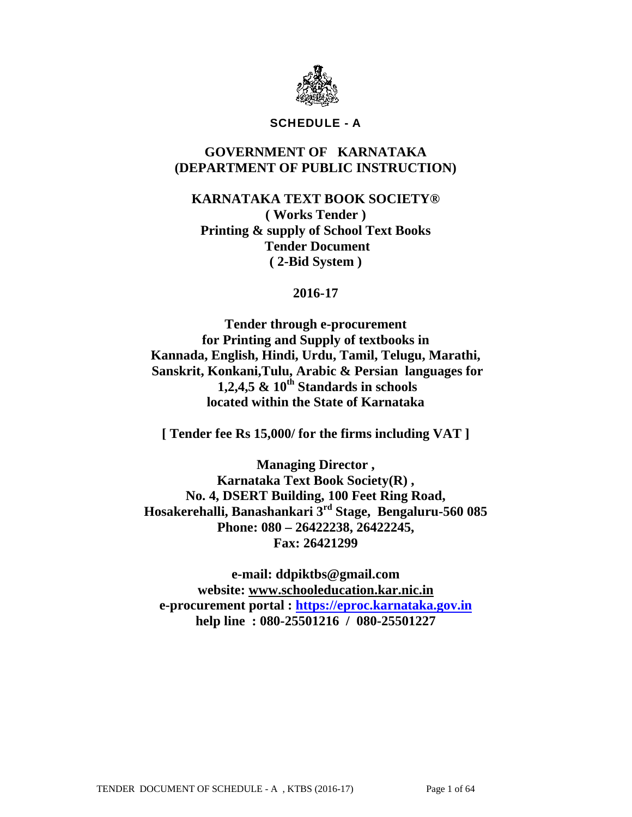

## SCHEDULE - A

# **GOVERNMENT OF KARNATAKA (DEPARTMENT OF PUBLIC INSTRUCTION)**

**KARNATAKA TEXT BOOK SOCIETY® ( Works Tender ) Printing & supply of School Text Books Tender Document ( 2-Bid System )** 

## **2016-17**

**Tender through e-procurement for Printing and Supply of textbooks in Kannada, English, Hindi, Urdu, Tamil, Telugu, Marathi, Sanskrit, Konkani,Tulu, Arabic & Persian languages for 1,2,4,5 & 10th Standards in schools located within the State of Karnataka** 

**[ Tender fee Rs 15,000/ for the firms including VAT ]** 

**Managing Director , Karnataka Text Book Society(R) , No. 4, DSERT Building, 100 Feet Ring Road, Hosakerehalli, Banashankari 3rd Stage, Bengaluru-560 085 Phone: 080 – 26422238, 26422245, Fax: 26421299** 

**e-mail: ddpiktbs@gmail.com website: www.schooleducation.kar.nic.in e-procurement portal : https://eproc.karnataka.gov.in help line : 080-25501216 / 080-25501227**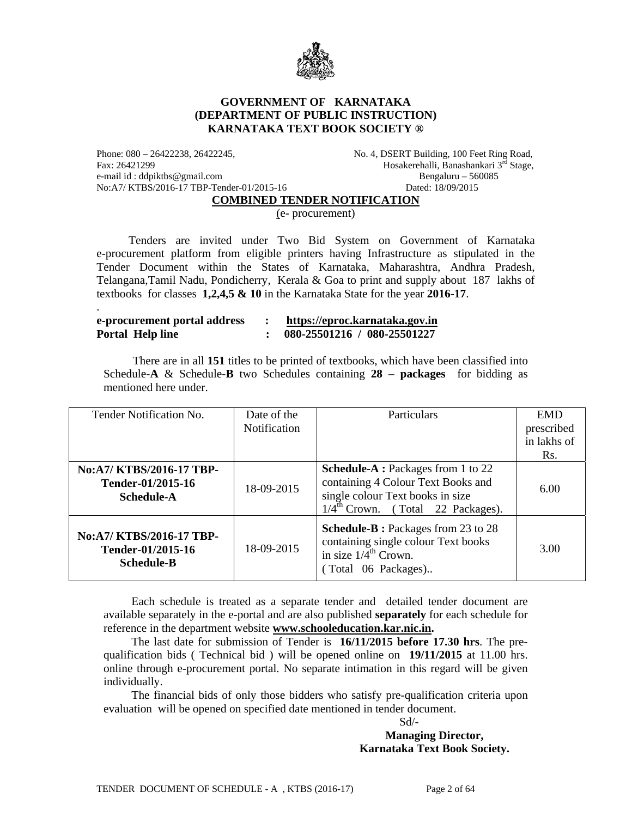

### **GOVERNMENT OF KARNATAKA (DEPARTMENT OF PUBLIC INSTRUCTION) KARNATAKA TEXT BOOK SOCIETY ®**

e-mail id : ddpiktbs@gmail.com Bengaluru – 560085 No:A7/ KTBS/2016-17 TBP-Tender-01/2015-16 Dated: 18/09/2015

.

Phone: 080 - 26422238, 26422245, No. 4, DSERT Building, 100 Feet Ring Road, Fax: 26421299 **Hosakerehalli, Banashankari 3<sup>rd</sup> Stage**,

**COMBINED TENDER NOTIFICATION**

(e- procurement)

 Tenders are invited under Two Bid System on Government of Karnataka e-procurement platform from eligible printers having Infrastructure as stipulated in the Tender Document within the States of Karnataka, Maharashtra, Andhra Pradesh, Telangana,Tamil Nadu, Pondicherry, Kerala & Goa to print and supply about 187 lakhs of textbooks for classes **1,2,4,5 & 10** in the Karnataka State for the year **2016-17**.

| e-procurement portal address |  | https://eproc.karnataka.gov.in |
|------------------------------|--|--------------------------------|
| Portal Help line             |  | 080-25501216 / 080-25501227    |

 There are in all **151** titles to be printed of textbooks, which have been classified into Schedule-**A** & Schedule-**B** two Schedules containing **28 – packages** for bidding as mentioned here under.

| Tender Notification No.                                            | Date of the<br><b>Notification</b> | Particulars                                                                                                                                                          | <b>EMD</b><br>prescribed<br>in lakhs of<br>Rs. |
|--------------------------------------------------------------------|------------------------------------|----------------------------------------------------------------------------------------------------------------------------------------------------------------------|------------------------------------------------|
| No:A7/ KTBS/2016-17 TBP-<br>Tender-01/2015-16<br>Schedule-A        | 18-09-2015                         | <b>Schedule-A</b> : Packages from 1 to 22<br>containing 4 Colour Text Books and<br>single colour Text books in size<br>$1/4^{\text{th}}$ Crown. (Total 22 Packages). | 6.00                                           |
| No:A7/ KTBS/2016-17 TBP-<br>Tender-01/2015-16<br><b>Schedule-B</b> | 18-09-2015                         | <b>Schedule-B</b> : Packages from 23 to 28<br>containing single colour Text books<br>in size $1/\overline{4}^{\text{th}}$ Crown.<br>(Total 06 Packages)              | 3.00                                           |

 Each schedule is treated as a separate tender and detailed tender document are available separately in the e-portal and are also published **separately** for each schedule for reference in the department website **www.schooleducation.kar.nic.in.**

The last date for submission of Tender is **16/11/2015 before 17.30 hrs**. The prequalification bids ( Technical bid ) will be opened online on **19/11/2015** at 11.00 hrs. online through e-procurement portal. No separate intimation in this regard will be given individually.

The financial bids of only those bidders who satisfy pre-qualification criteria upon evaluation will be opened on specified date mentioned in tender document.

Sd/-

**Managing Director, Karnataka Text Book Society.**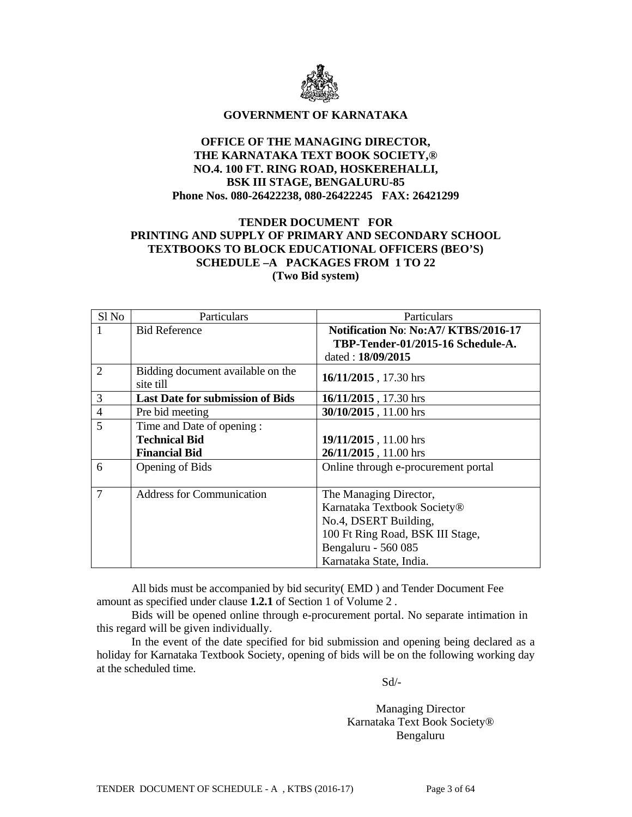

#### **GOVERNMENT OF KARNATAKA**

### **OFFICE OF THE MANAGING DIRECTOR, THE KARNATAKA TEXT BOOK SOCIETY,® NO.4. 100 FT. RING ROAD, HOSKEREHALLI, BSK III STAGE, BENGALURU-85 Phone Nos. 080-26422238, 080-26422245 FAX: 26421299**

### **TENDER DOCUMENT FOR PRINTING AND SUPPLY OF PRIMARY AND SECONDARY SCHOOL TEXTBOOKS TO BLOCK EDUCATIONAL OFFICERS (BEO'S) SCHEDULE –A PACKAGES FROM 1 TO 22 (Two Bid system)**

| Sl <sub>No</sub> | Particulars                                    | Particulars                         |
|------------------|------------------------------------------------|-------------------------------------|
| $\mathbf{1}$     | <b>Bid Reference</b>                           | Notification No: No:A7/KTBS/2016-17 |
|                  |                                                | TBP-Tender-01/2015-16 Schedule-A.   |
|                  |                                                | dated: 18/09/2015                   |
| $\overline{2}$   | Bidding document available on the<br>site till | 16/11/2015, 17.30 hrs               |
| 3                | <b>Last Date for submission of Bids</b>        | 16/11/2015, 17.30 hrs               |
| $\overline{4}$   | Pre bid meeting                                | 30/10/2015, 11.00 hrs               |
| 5                | Time and Date of opening:                      |                                     |
|                  | <b>Technical Bid</b>                           | 19/11/2015, 11.00 hrs               |
|                  | <b>Financial Bid</b>                           | 26/11/2015, 11.00 hrs               |
| 6                | Opening of Bids                                | Online through e-procurement portal |
|                  |                                                |                                     |
| 7                | <b>Address for Communication</b>               | The Managing Director,              |
|                  |                                                | Karnataka Textbook Society®         |
|                  |                                                | No.4, DSERT Building,               |
|                  |                                                | 100 Ft Ring Road, BSK III Stage,    |
|                  |                                                | Bengaluru - 560 085                 |
|                  |                                                | Karnataka State, India.             |

 All bids must be accompanied by bid security( EMD ) and Tender Document Fee amount as specified under clause **1.2.1** of Section 1 of Volume 2 .

Bids will be opened online through e-procurement portal. No separate intimation in this regard will be given individually.

 In the event of the date specified for bid submission and opening being declared as a holiday for Karnataka Textbook Society, opening of bids will be on the following working day at the scheduled time.

Sd/-

Managing Director Karnataka Text Book Society® Bengaluru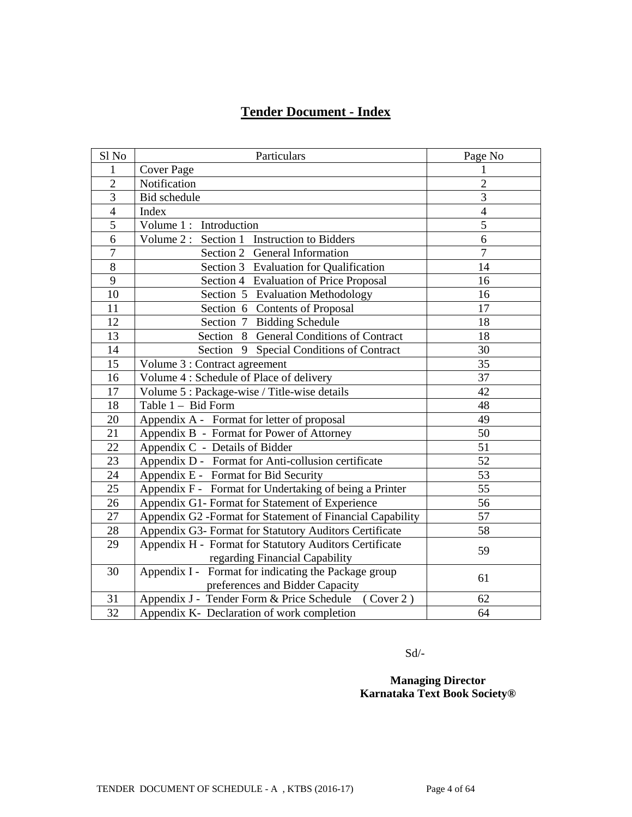# **Tender Document - Index**

| Sl No           | Particulars                                                | Page No        |
|-----------------|------------------------------------------------------------|----------------|
| 1               | <b>Cover Page</b>                                          | 1              |
| $\overline{2}$  | Notification                                               | $\overline{2}$ |
| 3               | Bid schedule                                               | 3              |
| $\overline{4}$  | Index                                                      | $\overline{4}$ |
| 5               | Volume 1: Introduction                                     | $\overline{5}$ |
| 6               | Volume 2: Section 1 Instruction to Bidders                 | 6              |
| $\tau$          | Section 2 General Information                              | $\overline{7}$ |
| 8               | Section 3 Evaluation for Qualification                     | 14             |
| 9               | Section 4 Evaluation of Price Proposal                     | 16             |
| 10              | Section 5 Evaluation Methodology                           | 16             |
| 11              | Section 6 Contents of Proposal                             | 17             |
| 12              | Section 7 Bidding Schedule                                 | 18             |
| 13              | Section 8 General Conditions of Contract                   | 18             |
| 14              | Section 9 Special Conditions of Contract                   | 30             |
| 15              | Volume 3 : Contract agreement                              | 35             |
| 16              | Volume 4 : Schedule of Place of delivery                   | 37             |
| 17              | Volume 5 : Package-wise / Title-wise details               | 42             |
| 18              | Table 1 - Bid Form                                         | 48             |
| 20              | Appendix A - Format for letter of proposal                 | 49             |
| 21              | Appendix B - Format for Power of Attorney                  | 50             |
| 22              | Appendix C - Details of Bidder                             | 51             |
| 23              | Appendix D - Format for Anti-collusion certificate         | 52             |
| 24              | Appendix E - Format for Bid Security                       | 53             |
| 25              | Appendix F - Format for Undertaking of being a Printer     | 55             |
| 26              | Appendix G1- Format for Statement of Experience            | 56             |
| 27              | Appendix G2 - Format for Statement of Financial Capability | 57             |
| 28              | Appendix G3- Format for Statutory Auditors Certificate     | 58             |
| 29              | Appendix H - Format for Statutory Auditors Certificate     |                |
|                 | regarding Financial Capability                             | 59             |
| 30              | Appendix I - Format for indicating the Package group       | 61             |
|                 | preferences and Bidder Capacity                            |                |
| 31              | Appendix J - Tender Form & Price Schedule (Cover 2)        | 62             |
| $\overline{32}$ | Appendix K- Declaration of work completion                 | 64             |

Sd/-

**Managing Director Karnataka Text Book Society®**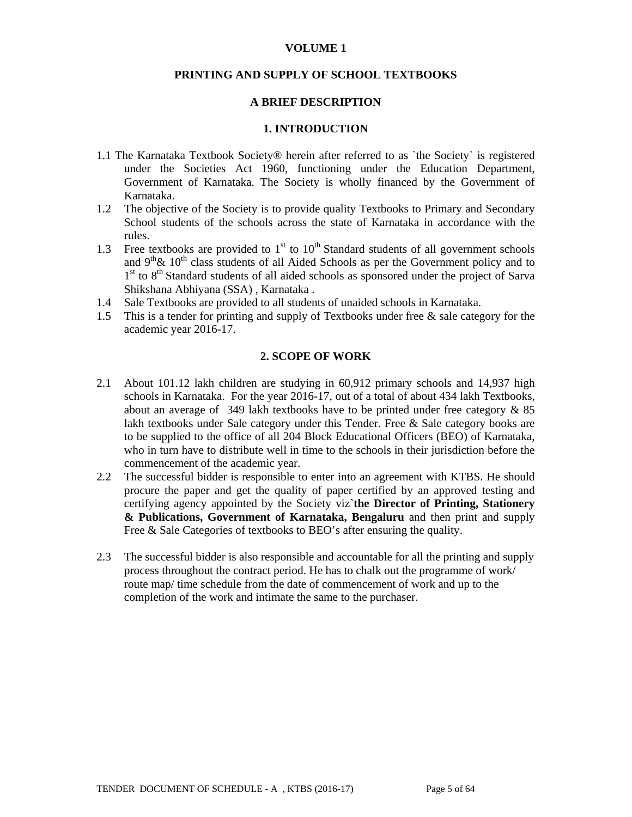#### **VOLUME 1**

#### **PRINTING AND SUPPLY OF SCHOOL TEXTBOOKS**

#### **A BRIEF DESCRIPTION**

#### **1. INTRODUCTION**

- 1.1 The Karnataka Textbook Society® herein after referred to as `the Society` is registered under the Societies Act 1960, functioning under the Education Department, Government of Karnataka. The Society is wholly financed by the Government of Karnataka.
- 1.2 The objective of the Society is to provide quality Textbooks to Primary and Secondary School students of the schools across the state of Karnataka in accordance with the rules.
- 1.3 Free textbooks are provided to  $1<sup>st</sup>$  to  $10<sup>th</sup>$  Standard students of all government schools and  $9<sup>th</sup>$ &  $10<sup>th</sup>$  class students of all Aided Schools as per the Government policy and to  $1<sup>st</sup>$  to  $8<sup>th</sup>$  Standard students of all aided schools as sponsored under the project of Sarva Shikshana Abhiyana (SSA) , Karnataka .
- 1.4 Sale Textbooks are provided to all students of unaided schools in Karnataka.
- 1.5 This is a tender for printing and supply of Textbooks under free & sale category for the academic year 2016-17.

#### **2. SCOPE OF WORK**

- 2.1 About 101.12 lakh children are studying in 60,912 primary schools and 14,937 high schools in Karnataka. For the year 2016-17, out of a total of about 434 lakh Textbooks, about an average of 349 lakh textbooks have to be printed under free category  $\&$  85 lakh textbooks under Sale category under this Tender. Free & Sale category books are to be supplied to the office of all 204 Block Educational Officers (BEO) of Karnataka, who in turn have to distribute well in time to the schools in their jurisdiction before the commencement of the academic year.
- 2.2 The successful bidder is responsible to enter into an agreement with KTBS. He should procure the paper and get the quality of paper certified by an approved testing and certifying agency appointed by the Society viz**`the Director of Printing, Stationery & Publications, Government of Karnataka, Bengaluru** and then print and supply Free & Sale Categories of textbooks to BEO's after ensuring the quality.
- 2.3 The successful bidder is also responsible and accountable for all the printing and supply process throughout the contract period. He has to chalk out the programme of work/ route map/ time schedule from the date of commencement of work and up to the completion of the work and intimate the same to the purchaser.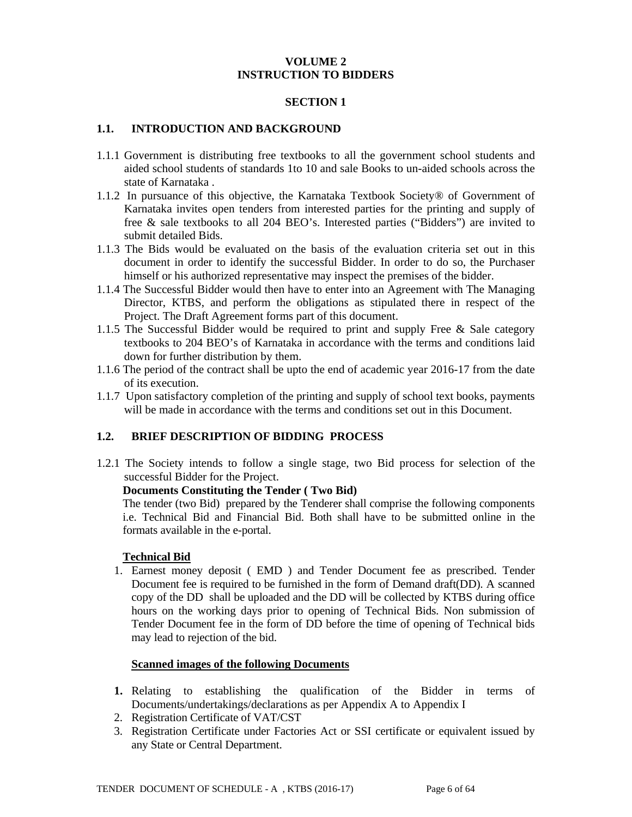#### **VOLUME 2 INSTRUCTION TO BIDDERS**

### **SECTION 1**

#### **1.1. INTRODUCTION AND BACKGROUND**

- 1.1.1 Government is distributing free textbooks to all the government school students and aided school students of standards 1to 10 and sale Books to un-aided schools across the state of Karnataka .
- 1.1.2 In pursuance of this objective, the Karnataka Textbook Society® of Government of Karnataka invites open tenders from interested parties for the printing and supply of free & sale textbooks to all 204 BEO's. Interested parties ("Bidders") are invited to submit detailed Bids.
- 1.1.3 The Bids would be evaluated on the basis of the evaluation criteria set out in this document in order to identify the successful Bidder. In order to do so, the Purchaser himself or his authorized representative may inspect the premises of the bidder.
- 1.1.4 The Successful Bidder would then have to enter into an Agreement with The Managing Director, KTBS, and perform the obligations as stipulated there in respect of the Project. The Draft Agreement forms part of this document.
- 1.1.5 The Successful Bidder would be required to print and supply Free & Sale category textbooks to 204 BEO's of Karnataka in accordance with the terms and conditions laid down for further distribution by them.
- 1.1.6 The period of the contract shall be upto the end of academic year 2016-17 from the date of its execution.
- 1.1.7 Upon satisfactory completion of the printing and supply of school text books, payments will be made in accordance with the terms and conditions set out in this Document.

#### **1.2. BRIEF DESCRIPTION OF BIDDING PROCESS**

1.2.1 The Society intends to follow a single stage, two Bid process for selection of the successful Bidder for the Project.

#### **Documents Constituting the Tender ( Two Bid)**

 The tender (two Bid) prepared by the Tenderer shall comprise the following components i.e. Technical Bid and Financial Bid. Both shall have to be submitted online in the formats available in the e-portal.

#### **Technical Bid**

1. Earnest money deposit ( EMD ) and Tender Document fee as prescribed. Tender Document fee is required to be furnished in the form of Demand draft(DD). A scanned copy of the DD shall be uploaded and the DD will be collected by KTBS during office hours on the working days prior to opening of Technical Bids. Non submission of Tender Document fee in the form of DD before the time of opening of Technical bids may lead to rejection of the bid.

#### **Scanned images of the following Documents**

- **1.** Relating to establishing the qualification of the Bidder in terms of Documents/undertakings/declarations as per Appendix A to Appendix I
- 2. Registration Certificate of VAT/CST
- 3. Registration Certificate under Factories Act or SSI certificate or equivalent issued by any State or Central Department.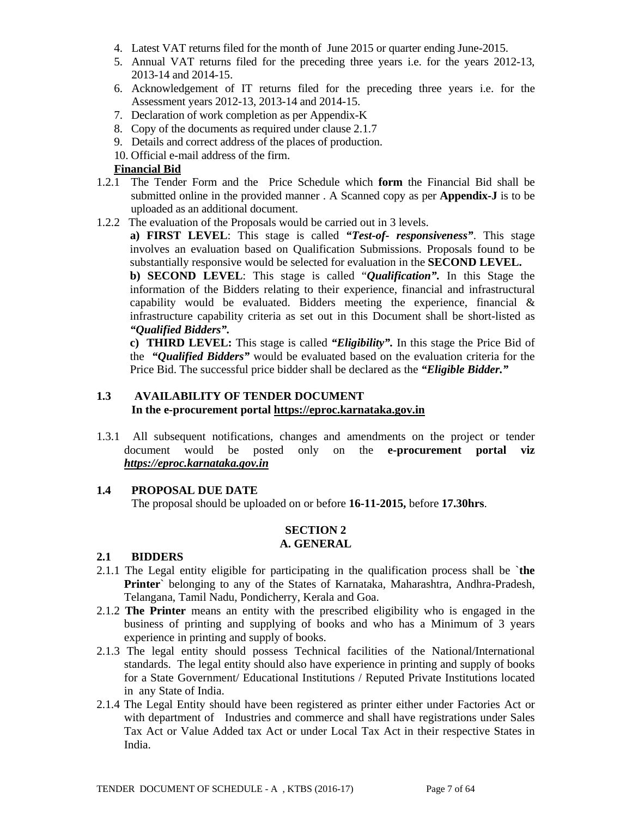- 4. Latest VAT returns filed for the month of June 2015 or quarter ending June-2015.
- 5. Annual VAT returns filed for the preceding three years i.e. for the years 2012-13, 2013-14 and 2014-15.
- 6. Acknowledgement of IT returns filed for the preceding three years i.e. for the Assessment years 2012-13, 2013-14 and 2014-15.
- 7. Declaration of work completion as per Appendix-K
- 8. Copy of the documents as required under clause 2.1.7
- 9. Details and correct address of the places of production.
- 10. Official e-mail address of the firm.

### **Financial Bid**

- 1.2.1 The Tender Form and the Price Schedule which **form** the Financial Bid shall be submitted online in the provided manner . A Scanned copy as per **Appendix-J** is to be uploaded as an additional document.
- 1.2.2 The evaluation of the Proposals would be carried out in 3 levels.

**a) FIRST LEVEL**: This stage is called *"Test-of- responsiveness"*. This stage involves an evaluation based on Qualification Submissions. Proposals found to be substantially responsive would be selected for evaluation in the **SECOND LEVEL.** 

**b) SECOND LEVEL**: This stage is called "*Qualification".* In this Stage the information of the Bidders relating to their experience, financial and infrastructural capability would be evaluated. Bidders meeting the experience, financial  $\&$ infrastructure capability criteria as set out in this Document shall be short-listed as *"Qualified Bidders".*

**c) THIRD LEVEL:** This stage is called *"Eligibility".* In this stage the Price Bid of the *"Qualified Bidders"* would be evaluated based on the evaluation criteria for the Price Bid. The successful price bidder shall be declared as the *"Eligible Bidder."* 

## **1.3 AVAILABILITY OF TENDER DOCUMENT In the e-procurement portal https://eproc.karnataka.gov.in**

1.3.1 All subsequent notifications, changes and amendments on the project or tender document would be posted only on the **e-procurement portal viz**  *https://eproc.karnataka.gov.in*

## **1.4 PROPOSAL DUE DATE**

The proposal should be uploaded on or before **16-11-2015,** before **17.30hrs**.

#### **SECTION 2 A. GENERAL**

#### **2.1 BIDDERS**

- 2.1.1 The Legal entity eligible for participating in the qualification process shall be `**the Printer**` belonging to any of the States of Karnataka, Maharashtra, Andhra-Pradesh, Telangana, Tamil Nadu, Pondicherry, Kerala and Goa.
- 2.1.2 **The Printer** means an entity with the prescribed eligibility who is engaged in the business of printing and supplying of books and who has a Minimum of 3 years experience in printing and supply of books.
- 2.1.3 The legal entity should possess Technical facilities of the National/International standards. The legal entity should also have experience in printing and supply of books for a State Government/ Educational Institutions / Reputed Private Institutions located in any State of India.
- 2.1.4 The Legal Entity should have been registered as printer either under Factories Act or with department of Industries and commerce and shall have registrations under Sales Tax Act or Value Added tax Act or under Local Tax Act in their respective States in India.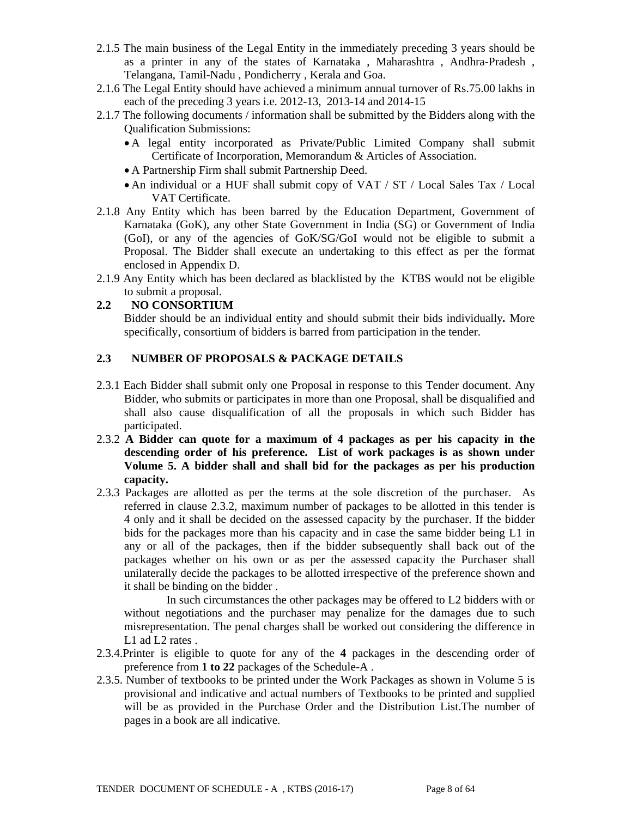- 2.1.5 The main business of the Legal Entity in the immediately preceding 3 years should be as a printer in any of the states of Karnataka , Maharashtra , Andhra-Pradesh , Telangana, Tamil-Nadu , Pondicherry , Kerala and Goa.
- 2.1.6 The Legal Entity should have achieved a minimum annual turnover of Rs.75.00 lakhs in each of the preceding 3 years i.e. 2012-13, 2013-14 and 2014-15
- 2.1.7 The following documents / information shall be submitted by the Bidders along with the Qualification Submissions:
	- A legal entity incorporated as Private/Public Limited Company shall submit Certificate of Incorporation, Memorandum & Articles of Association.
	- A Partnership Firm shall submit Partnership Deed.
	- An individual or a HUF shall submit copy of VAT / ST / Local Sales Tax / Local VAT Certificate.
- 2.1.8 Any Entity which has been barred by the Education Department, Government of Karnataka (GoK), any other State Government in India (SG) or Government of India (GoI), or any of the agencies of GoK/SG/GoI would not be eligible to submit a Proposal. The Bidder shall execute an undertaking to this effect as per the format enclosed in Appendix D.
- 2.1.9 Any Entity which has been declared as blacklisted by the KTBS would not be eligible to submit a proposal.

## **2.2 NO CONSORTIUM**

 Bidder should be an individual entity and should submit their bids individually*.* More specifically, consortium of bidders is barred from participation in the tender.

## **2.3 NUMBER OF PROPOSALS & PACKAGE DETAILS**

- 2.3.1 Each Bidder shall submit only one Proposal in response to this Tender document. Any Bidder, who submits or participates in more than one Proposal, shall be disqualified and shall also cause disqualification of all the proposals in which such Bidder has participated.
- 2.3.2 **A Bidder can quote for a maximum of 4 packages as per his capacity in the descending order of his preference. List of work packages is as shown under Volume 5. A bidder shall and shall bid for the packages as per his production capacity.**
- 2.3.3 Packages are allotted as per the terms at the sole discretion of the purchaser. As referred in clause 2.3.2, maximum number of packages to be allotted in this tender is 4 only and it shall be decided on the assessed capacity by the purchaser. If the bidder bids for the packages more than his capacity and in case the same bidder being L1 in any or all of the packages, then if the bidder subsequently shall back out of the packages whether on his own or as per the assessed capacity the Purchaser shall unilaterally decide the packages to be allotted irrespective of the preference shown and it shall be binding on the bidder .

 In such circumstances the other packages may be offered to L2 bidders with or without negotiations and the purchaser may penalize for the damages due to such misrepresentation. The penal charges shall be worked out considering the difference in L1 ad L2 rates.

- 2.3.4.Printer is eligible to quote for any of the **4** packages in the descending order of preference from **1 to 22** packages of the Schedule-A .
- 2.3.5. Number of textbooks to be printed under the Work Packages as shown in Volume 5 is provisional and indicative and actual numbers of Textbooks to be printed and supplied will be as provided in the Purchase Order and the Distribution List.The number of pages in a book are all indicative.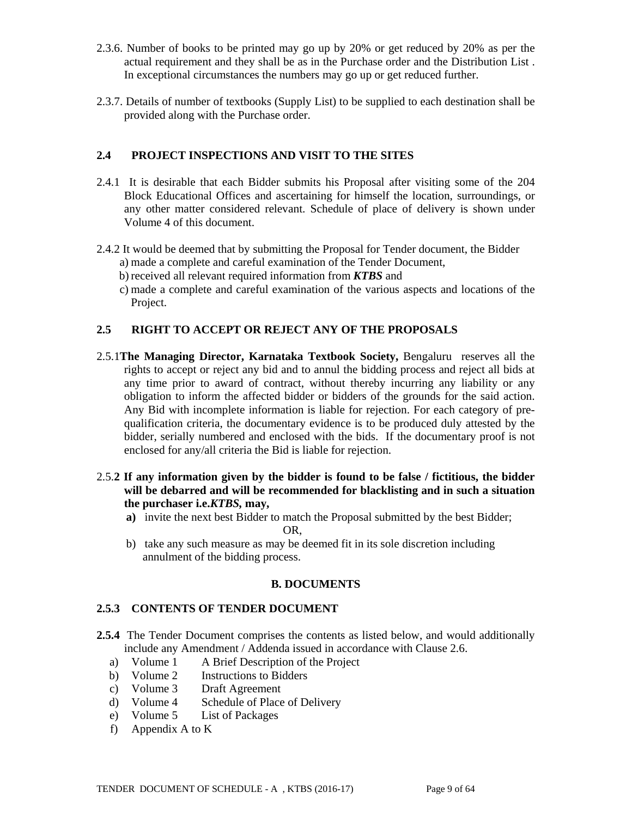- 2.3.6. Number of books to be printed may go up by 20% or get reduced by 20% as per the actual requirement and they shall be as in the Purchase order and the Distribution List . In exceptional circumstances the numbers may go up or get reduced further.
- 2.3.7. Details of number of textbooks (Supply List) to be supplied to each destination shall be provided along with the Purchase order.

## **2.4 PROJECT INSPECTIONS AND VISIT TO THE SITES**

- 2.4.1 It is desirable that each Bidder submits his Proposal after visiting some of the 204 Block Educational Offices and ascertaining for himself the location, surroundings, or any other matter considered relevant. Schedule of place of delivery is shown under Volume 4 of this document.
- 2.4.2 It would be deemed that by submitting the Proposal for Tender document, the Bidder a) made a complete and careful examination of the Tender Document,
	- b) received all relevant required information from *KTBS* and
	- c) made a complete and careful examination of the various aspects and locations of the Project.

## **2.5 RIGHT TO ACCEPT OR REJECT ANY OF THE PROPOSALS**

- 2.5.1**The Managing Director, Karnataka Textbook Society,** Bengaluru reserves all the rights to accept or reject any bid and to annul the bidding process and reject all bids at any time prior to award of contract, without thereby incurring any liability or any obligation to inform the affected bidder or bidders of the grounds for the said action. Any Bid with incomplete information is liable for rejection. For each category of prequalification criteria, the documentary evidence is to be produced duly attested by the bidder, serially numbered and enclosed with the bids. If the documentary proof is not enclosed for any/all criteria the Bid is liable for rejection.
- 2.5.**2 If any information given by the bidder is found to be false / fictitious, the bidder will be debarred and will be recommended for blacklisting and in such a situation the purchaser i.e.***KTBS,* **may,** 
	- **a)** invite the next best Bidder to match the Proposal submitted by the best Bidder; OR,
	- b) take any such measure as may be deemed fit in its sole discretion including annulment of the bidding process.

## **B. DOCUMENTS**

## **2.5.3 CONTENTS OF TENDER DOCUMENT**

- **2.5.4** The Tender Document comprises the contents as listed below, and would additionally include any Amendment / Addenda issued in accordance with Clause 2.6.
	- a) Volume 1 A Brief Description of the Project
	- b) Volume 2 Instructions to Bidders
	- c) Volume 3 Draft Agreement
	- d) Volume 4 Schedule of Place of Delivery
	- e) Volume 5 List of Packages
	- f) Appendix A to K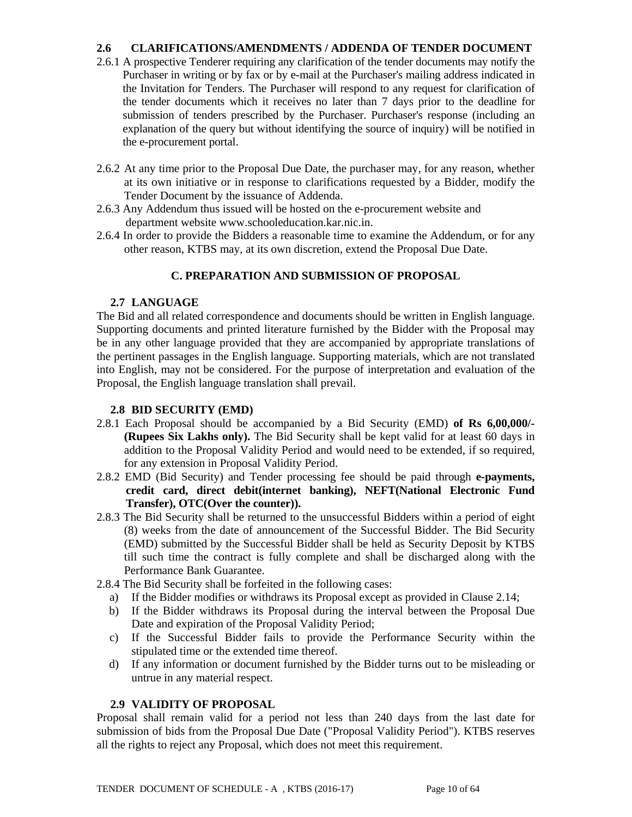## **2.6 CLARIFICATIONS/AMENDMENTS / ADDENDA OF TENDER DOCUMENT**

- 2.6.1 A prospective Tenderer requiring any clarification of the tender documents may notify the Purchaser in writing or by fax or by e-mail at the Purchaser's mailing address indicated in the Invitation for Tenders. The Purchaser will respond to any request for clarification of the tender documents which it receives no later than 7 days prior to the deadline for submission of tenders prescribed by the Purchaser. Purchaser's response (including an explanation of the query but without identifying the source of inquiry) will be notified in the e-procurement portal.
- 2.6.2 At any time prior to the Proposal Due Date, the purchaser may, for any reason, whether at its own initiative or in response to clarifications requested by a Bidder, modify the Tender Document by the issuance of Addenda.
- 2.6.3 Any Addendum thus issued will be hosted on the e-procurement website and department website www.schooleducation.kar.nic.in.
- 2.6.4 In order to provide the Bidders a reasonable time to examine the Addendum, or for any other reason, KTBS may, at its own discretion, extend the Proposal Due Date.

### **C. PREPARATION AND SUBMISSION OF PROPOSAL**

### **2.7 LANGUAGE**

The Bid and all related correspondence and documents should be written in English language. Supporting documents and printed literature furnished by the Bidder with the Proposal may be in any other language provided that they are accompanied by appropriate translations of the pertinent passages in the English language. Supporting materials, which are not translated into English, may not be considered. For the purpose of interpretation and evaluation of the Proposal, the English language translation shall prevail.

#### **2.8 BID SECURITY (EMD)**

- 2.8.1 Each Proposal should be accompanied by a Bid Security (EMD) **of Rs 6,00,000/- (Rupees Six Lakhs only).** The Bid Security shall be kept valid for at least 60 days in addition to the Proposal Validity Period and would need to be extended, if so required, for any extension in Proposal Validity Period.
- 2.8.2 EMD (Bid Security) and Tender processing fee should be paid through **e-payments, credit card, direct debit(internet banking), NEFT(National Electronic Fund Transfer), OTC(Over the counter)).**
- 2.8.3 The Bid Security shall be returned to the unsuccessful Bidders within a period of eight (8) weeks from the date of announcement of the Successful Bidder. The Bid Security (EMD) submitted by the Successful Bidder shall be held as Security Deposit by KTBS till such time the contract is fully complete and shall be discharged along with the Performance Bank Guarantee.
- 2.8.4 The Bid Security shall be forfeited in the following cases:
	- a) If the Bidder modifies or withdraws its Proposal except as provided in Clause 2.14;
	- b) If the Bidder withdraws its Proposal during the interval between the Proposal Due Date and expiration of the Proposal Validity Period;
	- c) If the Successful Bidder fails to provide the Performance Security within the stipulated time or the extended time thereof.
	- d) If any information or document furnished by the Bidder turns out to be misleading or untrue in any material respect.

#### **2.9 VALIDITY OF PROPOSAL**

Proposal shall remain valid for a period not less than 240 days from the last date for submission of bids from the Proposal Due Date ("Proposal Validity Period"). KTBS reserves all the rights to reject any Proposal, which does not meet this requirement.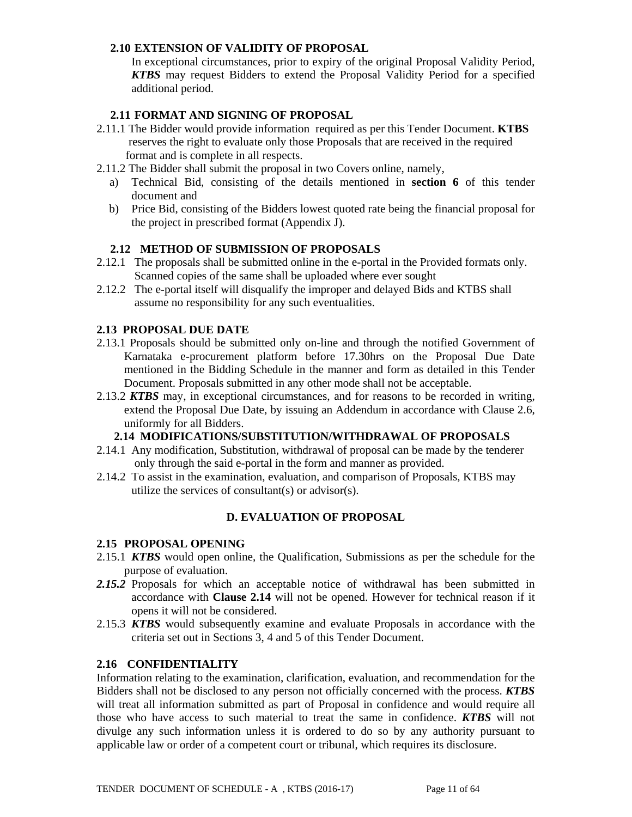### **2.10 EXTENSION OF VALIDITY OF PROPOSAL**

In exceptional circumstances, prior to expiry of the original Proposal Validity Period, *KTBS* may request Bidders to extend the Proposal Validity Period for a specified additional period.

### **2.11 FORMAT AND SIGNING OF PROPOSAL**

- 2.11.1 The Bidder would provide information required as per this Tender Document. **KTBS** reserves the right to evaluate only those Proposals that are received in the required format and is complete in all respects.
- 2.11.2 The Bidder shall submit the proposal in two Covers online, namely,
	- a) Technical Bid, consisting of the details mentioned in **section 6** of this tender document and
	- b) Price Bid, consisting of the Bidders lowest quoted rate being the financial proposal for the project in prescribed format (Appendix J).

### **2.12 METHOD OF SUBMISSION OF PROPOSALS**

- 2.12.1 The proposals shall be submitted online in the e-portal in the Provided formats only. Scanned copies of the same shall be uploaded where ever sought
- 2.12.2 The e-portal itself will disqualify the improper and delayed Bids and KTBS shall assume no responsibility for any such eventualities.

### **2.13 PROPOSAL DUE DATE**

- 2.13.1 Proposals should be submitted only on-line and through the notified Government of Karnataka e-procurement platform before 17.30hrs on the Proposal Due Date mentioned in the Bidding Schedule in the manner and form as detailed in this Tender Document. Proposals submitted in any other mode shall not be acceptable.
- 2.13.2 *KTBS* may, in exceptional circumstances, and for reasons to be recorded in writing, extend the Proposal Due Date, by issuing an Addendum in accordance with Clause 2.6, uniformly for all Bidders.

## **2.14 MODIFICATIONS/SUBSTITUTION/WITHDRAWAL OF PROPOSALS**

- 2.14.1 Any modification, Substitution, withdrawal of proposal can be made by the tenderer only through the said e-portal in the form and manner as provided.
- 2.14.2 To assist in the examination, evaluation, and comparison of Proposals, KTBS may utilize the services of consultant(s) or advisor(s).

## **D. EVALUATION OF PROPOSAL**

#### **2.15 PROPOSAL OPENING**

- 2.15.1 *KTBS* would open online, the Qualification, Submissions as per the schedule for the purpose of evaluation.
- *2.15.2* Proposals for which an acceptable notice of withdrawal has been submitted in accordance with **Clause 2.14** will not be opened. However for technical reason if it opens it will not be considered.
- 2.15.3 *KTBS* would subsequently examine and evaluate Proposals in accordance with the criteria set out in Sections 3, 4 and 5 of this Tender Document.

#### **2.16 CONFIDENTIALITY**

Information relating to the examination, clarification, evaluation, and recommendation for the Bidders shall not be disclosed to any person not officially concerned with the process. *KTBS* will treat all information submitted as part of Proposal in confidence and would require all those who have access to such material to treat the same in confidence. *KTBS* will not divulge any such information unless it is ordered to do so by any authority pursuant to applicable law or order of a competent court or tribunal, which requires its disclosure.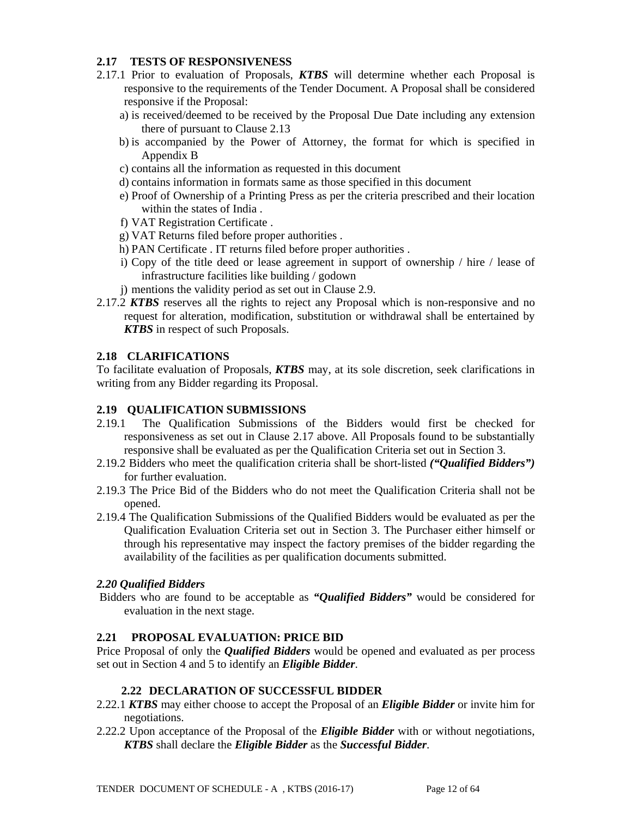### **2.17 TESTS OF RESPONSIVENESS**

- 2.17.1 Prior to evaluation of Proposals, *KTBS* will determine whether each Proposal is responsive to the requirements of the Tender Document. A Proposal shall be considered responsive if the Proposal:
	- a) is received/deemed to be received by the Proposal Due Date including any extension there of pursuant to Clause 2.13
	- b) is accompanied by the Power of Attorney, the format for which is specified in Appendix B
	- c) contains all the information as requested in this document
	- d) contains information in formats same as those specified in this document
	- e) Proof of Ownership of a Printing Press as per the criteria prescribed and their location within the states of India .
	- f) VAT Registration Certificate .
	- g) VAT Returns filed before proper authorities .
	- h) PAN Certificate . IT returns filed before proper authorities .
	- i) Copy of the title deed or lease agreement in support of ownership / hire / lease of infrastructure facilities like building / godown
	- j) mentions the validity period as set out in Clause 2.9.
- 2.17.2 *KTBS* reserves all the rights to reject any Proposal which is non-responsive and no request for alteration, modification, substitution or withdrawal shall be entertained by *KTBS* in respect of such Proposals.

#### **2.18 CLARIFICATIONS**

To facilitate evaluation of Proposals, *KTBS* may, at its sole discretion, seek clarifications in writing from any Bidder regarding its Proposal.

#### **2.19 QUALIFICATION SUBMISSIONS**

- 2.19.1 The Qualification Submissions of the Bidders would first be checked for responsiveness as set out in Clause 2.17 above. All Proposals found to be substantially responsive shall be evaluated as per the Qualification Criteria set out in Section 3.
- 2.19.2 Bidders who meet the qualification criteria shall be short-listed *("Qualified Bidders")* for further evaluation.
- 2.19.3 The Price Bid of the Bidders who do not meet the Qualification Criteria shall not be opened.
- 2.19.4 The Qualification Submissions of the Qualified Bidders would be evaluated as per the Qualification Evaluation Criteria set out in Section 3. The Purchaser either himself or through his representative may inspect the factory premises of the bidder regarding the availability of the facilities as per qualification documents submitted.

## *2.20 Qualified Bidders*

 Bidders who are found to be acceptable as *"Qualified Bidders"* would be considered for evaluation in the next stage.

#### **2.21 PROPOSAL EVALUATION: PRICE BID**

Price Proposal of only the *Qualified Bidders* would be opened and evaluated as per process set out in Section 4 and 5 to identify an *Eligible Bidder*.

#### **2.22 DECLARATION OF SUCCESSFUL BIDDER**

- 2.22.1 *KTBS* may either choose to accept the Proposal of an *Eligible Bidder* or invite him for negotiations.
- 2.22.2 Upon acceptance of the Proposal of the *Eligible Bidder* with or without negotiations, *KTBS* shall declare the *Eligible Bidder* as the *Successful Bidder*.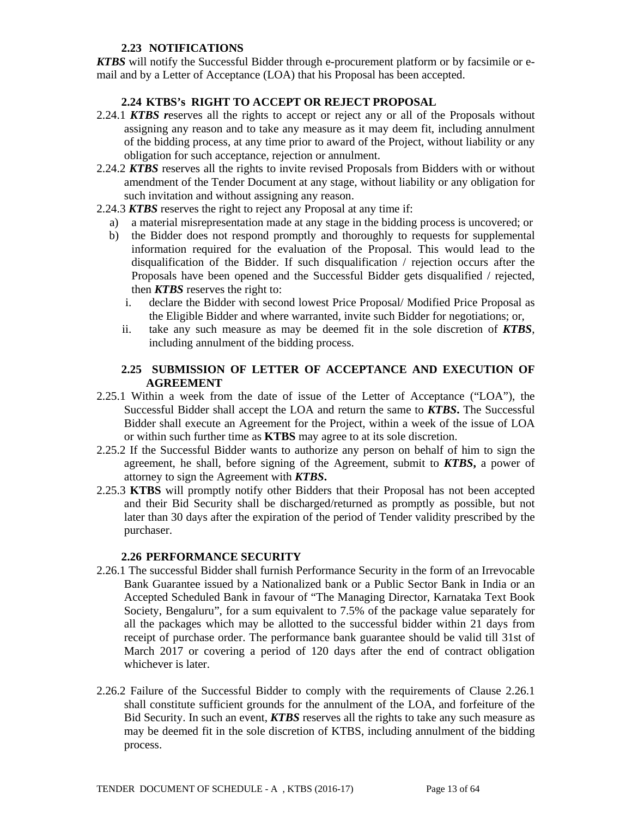## **2.23 NOTIFICATIONS**

*KTBS* will notify the Successful Bidder through e-procurement platform or by facsimile or email and by a Letter of Acceptance (LOA) that his Proposal has been accepted.

## **2.24 KTBS's RIGHT TO ACCEPT OR REJECT PROPOSAL**

- 2.24.1 *KTBS r*eserves all the rights to accept or reject any or all of the Proposals without assigning any reason and to take any measure as it may deem fit, including annulment of the bidding process, at any time prior to award of the Project, without liability or any obligation for such acceptance, rejection or annulment.
- 2.24.2 *KTBS* reserves all the rights to invite revised Proposals from Bidders with or without amendment of the Tender Document at any stage, without liability or any obligation for such invitation and without assigning any reason.
- 2.24.3 *KTBS* reserves the right to reject any Proposal at any time if:
	- a) a material misrepresentation made at any stage in the bidding process is uncovered; or
	- b) the Bidder does not respond promptly and thoroughly to requests for supplemental information required for the evaluation of the Proposal. This would lead to the disqualification of the Bidder. If such disqualification / rejection occurs after the Proposals have been opened and the Successful Bidder gets disqualified / rejected, then *KTBS* reserves the right to:
		- i. declare the Bidder with second lowest Price Proposal/ Modified Price Proposal as the Eligible Bidder and where warranted, invite such Bidder for negotiations; or,
		- ii. take any such measure as may be deemed fit in the sole discretion of *KTBS*, including annulment of the bidding process.

## **2.25 SUBMISSION OF LETTER OF ACCEPTANCE AND EXECUTION OF AGREEMENT**

- 2.25.1 Within a week from the date of issue of the Letter of Acceptance ("LOA"), the Successful Bidder shall accept the LOA and return the same to *KTBS***.** The Successful Bidder shall execute an Agreement for the Project, within a week of the issue of LOA or within such further time as **KTBS** may agree to at its sole discretion.
- 2.25.2 If the Successful Bidder wants to authorize any person on behalf of him to sign the agreement, he shall, before signing of the Agreement, submit to *KTBS***,** a power of attorney to sign the Agreement with *KTBS***.**
- 2.25.3 **KTBS** will promptly notify other Bidders that their Proposal has not been accepted and their Bid Security shall be discharged/returned as promptly as possible, but not later than 30 days after the expiration of the period of Tender validity prescribed by the purchaser.

#### **2.26 PERFORMANCE SECURITY**

- 2.26.1 The successful Bidder shall furnish Performance Security in the form of an Irrevocable Bank Guarantee issued by a Nationalized bank or a Public Sector Bank in India or an Accepted Scheduled Bank in favour of "The Managing Director, Karnataka Text Book Society, Bengaluru", for a sum equivalent to 7.5% of the package value separately for all the packages which may be allotted to the successful bidder within 21 days from receipt of purchase order. The performance bank guarantee should be valid till 31st of March 2017 or covering a period of 120 days after the end of contract obligation whichever is later.
- 2.26.2 Failure of the Successful Bidder to comply with the requirements of Clause 2.26.1 shall constitute sufficient grounds for the annulment of the LOA, and forfeiture of the Bid Security. In such an event, *KTBS* reserves all the rights to take any such measure as may be deemed fit in the sole discretion of KTBS, including annulment of the bidding process.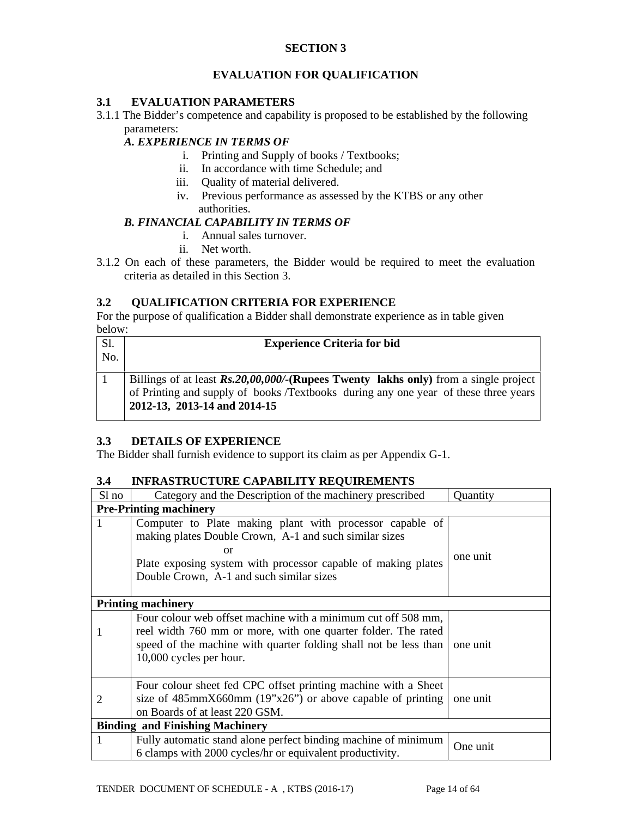## **SECTION 3**

## **EVALUATION FOR QUALIFICATION**

### **3.1 EVALUATION PARAMETERS**

3.1.1 The Bidder's competence and capability is proposed to be established by the following parameters:

### *A. EXPERIENCE IN TERMS OF*

- i. Printing and Supply of books / Textbooks;
- ii. In accordance with time Schedule; and
- iii. Quality of material delivered.
- iv. Previous performance as assessed by the KTBS or any other authorities.

#### *B. FINANCIAL CAPABILITY IN TERMS OF*

- i. Annual sales turnover.
- ii. Net worth.
- 3.1.2 On each of these parameters, the Bidder would be required to meet the evaluation criteria as detailed in this Section 3.

### **3.2 QUALIFICATION CRITERIA FOR EXPERIENCE**

For the purpose of qualification a Bidder shall demonstrate experience as in table given below:

| <b>Sl.</b> | <b>Experience Criteria for bid</b>                                                    |  |  |  |  |  |
|------------|---------------------------------------------------------------------------------------|--|--|--|--|--|
| No.        |                                                                                       |  |  |  |  |  |
|            |                                                                                       |  |  |  |  |  |
|            | Billings of at least $Rs.20,00,000/$ (Rupees Twenty lakhs only) from a single project |  |  |  |  |  |
|            | of Printing and supply of books /Textbooks during any one year of these three years   |  |  |  |  |  |
|            | 2012-13, 2013-14 and 2014-15                                                          |  |  |  |  |  |

## **3.3 DETAILS OF EXPERIENCE**

The Bidder shall furnish evidence to support its claim as per Appendix G-1.

#### **3.4 INFRASTRUCTURE CAPABILITY REQUIREMENTS**

| Sl no          | Category and the Description of the machinery prescribed                                                                                                                                                                              | Quantity |  |  |  |  |
|----------------|---------------------------------------------------------------------------------------------------------------------------------------------------------------------------------------------------------------------------------------|----------|--|--|--|--|
|                | <b>Pre-Printing machinery</b>                                                                                                                                                                                                         |          |  |  |  |  |
| 1              | Computer to Plate making plant with processor capable of<br>making plates Double Crown, A-1 and such similar sizes<br>or<br>Plate exposing system with processor capable of making plates<br>Double Crown, A-1 and such similar sizes | one unit |  |  |  |  |
|                | <b>Printing machinery</b>                                                                                                                                                                                                             |          |  |  |  |  |
|                | Four colour web offset machine with a minimum cut off 508 mm,<br>reel width 760 mm or more, with one quarter folder. The rated<br>speed of the machine with quarter folding shall not be less than<br>10,000 cycles per hour.         | one unit |  |  |  |  |
| $\overline{2}$ | Four colour sheet fed CPC offset printing machine with a Sheet<br>size of $485 \text{mm} \times 660 \text{mm}$ (19"x26") or above capable of printing<br>on Boards of at least 220 GSM.                                               | one unit |  |  |  |  |
|                | <b>Binding and Finishing Machinery</b>                                                                                                                                                                                                |          |  |  |  |  |
| 1              | Fully automatic stand alone perfect binding machine of minimum<br>6 clamps with 2000 cycles/hr or equivalent productivity.                                                                                                            | One unit |  |  |  |  |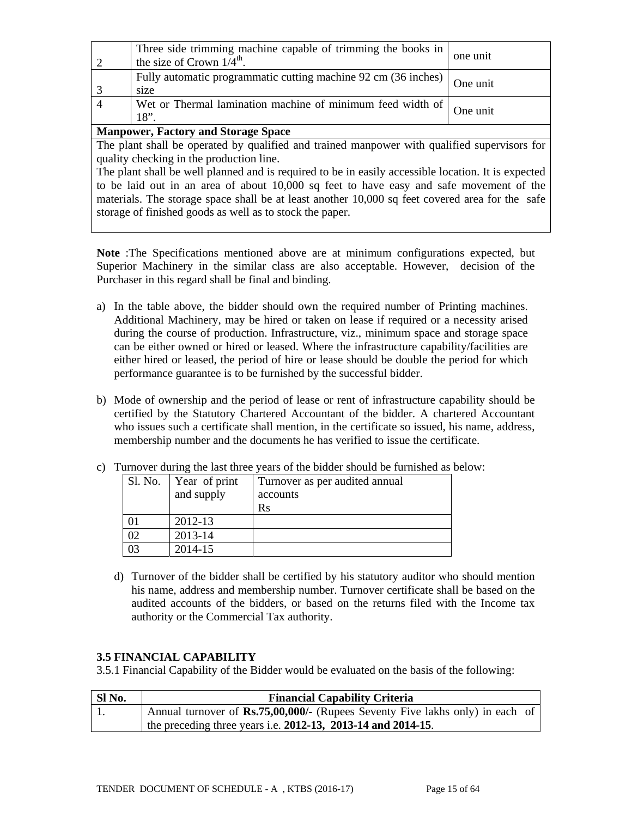| One unit<br>18"<br><b>Manpower, Factory and Storage Space</b>                                         |          |  |  |  |  |
|-------------------------------------------------------------------------------------------------------|----------|--|--|--|--|
| Wet or Thermal lamination machine of minimum feed width of                                            |          |  |  |  |  |
| size                                                                                                  |          |  |  |  |  |
| Fully automatic programmatic cutting machine 92 cm (36 inches)                                        | One unit |  |  |  |  |
| Three side trimming machine capable of trimming the books in<br>the size of Crown $1/4^{\text{th}}$ . | one unit |  |  |  |  |

The plant shall be operated by qualified and trained manpower with qualified supervisors for quality checking in the production line.

The plant shall be well planned and is required to be in easily accessible location. It is expected to be laid out in an area of about 10,000 sq feet to have easy and safe movement of the materials. The storage space shall be at least another 10,000 sq feet covered area for the safe storage of finished goods as well as to stock the paper.

**Note** :The Specifications mentioned above are at minimum configurations expected, but Superior Machinery in the similar class are also acceptable. However, decision of the Purchaser in this regard shall be final and binding.

- a) In the table above, the bidder should own the required number of Printing machines. Additional Machinery, may be hired or taken on lease if required or a necessity arised during the course of production. Infrastructure, viz., minimum space and storage space can be either owned or hired or leased. Where the infrastructure capability/facilities are either hired or leased, the period of hire or lease should be double the period for which performance guarantee is to be furnished by the successful bidder.
- b) Mode of ownership and the period of lease or rent of infrastructure capability should be certified by the Statutory Chartered Accountant of the bidder. A chartered Accountant who issues such a certificate shall mention, in the certificate so issued, his name, address, membership number and the documents he has verified to issue the certificate.

| I arnover during the fast time years of the bidder should be furnished as |               |                                |  |  |  |
|---------------------------------------------------------------------------|---------------|--------------------------------|--|--|--|
| Sl. No.                                                                   | Year of print | Turnover as per audited annual |  |  |  |
| and supply                                                                |               | accounts                       |  |  |  |
|                                                                           |               | Rs                             |  |  |  |
|                                                                           | 2012-13       |                                |  |  |  |
| $\overline{2}$                                                            | 2013-14       |                                |  |  |  |
| 03                                                                        | 2014-15       |                                |  |  |  |

c) Turnover during the last three years of the bidder should be furnished as below:

d) Turnover of the bidder shall be certified by his statutory auditor who should mention his name, address and membership number. Turnover certificate shall be based on the audited accounts of the bidders, or based on the returns filed with the Income tax authority or the Commercial Tax authority.

## **3.5 FINANCIAL CAPABILITY**

3.5.1 Financial Capability of the Bidder would be evaluated on the basis of the following:

| SI No. | <b>Financial Capability Criteria</b>                                                 |
|--------|--------------------------------------------------------------------------------------|
|        | Annual turnover of <b>Rs.75,00,000/-</b> (Rupees Seventy Five lakhs only) in each of |
|        | the preceding three years i.e. $2012-13$ , $2013-14$ and $2014-15$ .                 |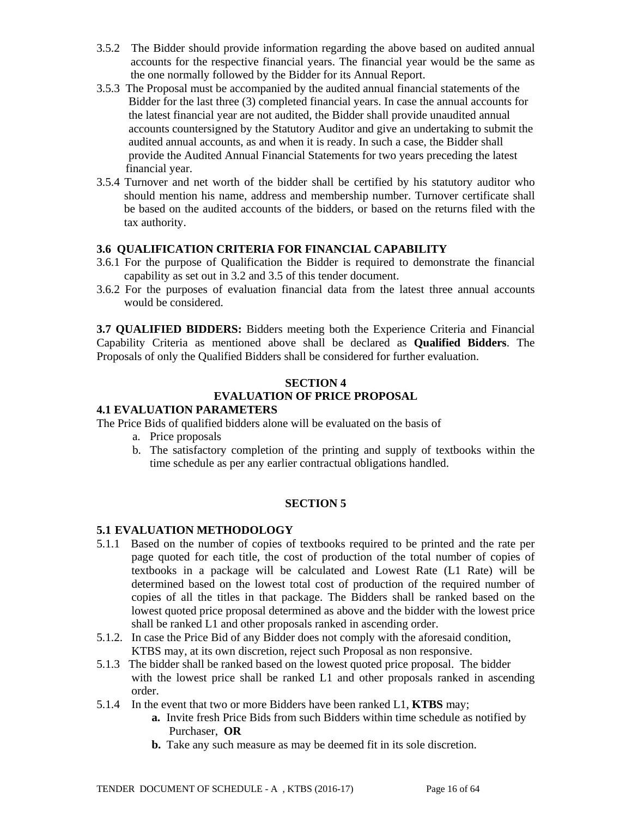- 3.5.2 The Bidder should provide information regarding the above based on audited annual accounts for the respective financial years. The financial year would be the same as the one normally followed by the Bidder for its Annual Report.
- 3.5.3 The Proposal must be accompanied by the audited annual financial statements of the Bidder for the last three (3) completed financial years. In case the annual accounts for the latest financial year are not audited, the Bidder shall provide unaudited annual accounts countersigned by the Statutory Auditor and give an undertaking to submit the audited annual accounts, as and when it is ready. In such a case, the Bidder shall provide the Audited Annual Financial Statements for two years preceding the latest financial year.
- 3.5.4 Turnover and net worth of the bidder shall be certified by his statutory auditor who should mention his name, address and membership number. Turnover certificate shall be based on the audited accounts of the bidders, or based on the returns filed with the tax authority.

## **3.6 QUALIFICATION CRITERIA FOR FINANCIAL CAPABILITY**

- 3.6.1 For the purpose of Qualification the Bidder is required to demonstrate the financial capability as set out in 3.2 and 3.5 of this tender document.
- 3.6.2 For the purposes of evaluation financial data from the latest three annual accounts would be considered.

**3.7 QUALIFIED BIDDERS:** Bidders meeting both the Experience Criteria and Financial Capability Criteria as mentioned above shall be declared as **Qualified Bidders**. The Proposals of only the Qualified Bidders shall be considered for further evaluation.

### **SECTION 4 EVALUATION OF PRICE PROPOSAL**

### **4.1 EVALUATION PARAMETERS**

The Price Bids of qualified bidders alone will be evaluated on the basis of

- a. Price proposals
- b. The satisfactory completion of the printing and supply of textbooks within the time schedule as per any earlier contractual obligations handled.

#### **SECTION 5**

#### **5.1 EVALUATION METHODOLOGY**

- 5.1.1 Based on the number of copies of textbooks required to be printed and the rate per page quoted for each title, the cost of production of the total number of copies of textbooks in a package will be calculated and Lowest Rate (L1 Rate) will be determined based on the lowest total cost of production of the required number of copies of all the titles in that package. The Bidders shall be ranked based on the lowest quoted price proposal determined as above and the bidder with the lowest price shall be ranked L1 and other proposals ranked in ascending order.
- 5.1.2. In case the Price Bid of any Bidder does not comply with the aforesaid condition, KTBS may, at its own discretion, reject such Proposal as non responsive.
- 5.1.3 The bidder shall be ranked based on the lowest quoted price proposal. The bidder with the lowest price shall be ranked L1 and other proposals ranked in ascending order.
- 5.1.4 In the event that two or more Bidders have been ranked L1, **KTBS** may;
	- **a.** Invite fresh Price Bids from such Bidders within time schedule as notified by Purchaser, **OR**
	- **b.** Take any such measure as may be deemed fit in its sole discretion.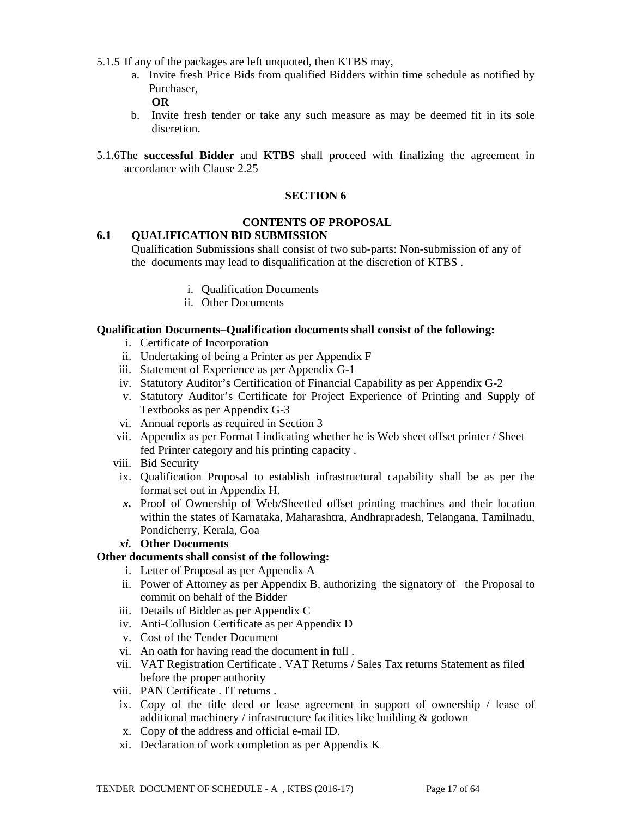- 5.1.5 If any of the packages are left unquoted, then KTBS may,
	- a. Invite fresh Price Bids from qualified Bidders within time schedule as notified by Purchaser,

**OR**

- b. Invite fresh tender or take any such measure as may be deemed fit in its sole discretion.
- 5.1.6The **successful Bidder** and **KTBS** shall proceed with finalizing the agreement in accordance with Clause 2.25

#### **SECTION 6**

#### **CONTENTS OF PROPOSAL**

#### **6.1 QUALIFICATION BID SUBMISSION**

Qualification Submissions shall consist of two sub-parts: Non-submission of any of the documents may lead to disqualification at the discretion of KTBS .

- i. Qualification Documents
- ii. Other Documents

#### **Qualification Documents***–***Qualification documents shall consist of the following:**

- i. Certificate of Incorporation
- ii. Undertaking of being a Printer as per Appendix F
- iii. Statement of Experience as per Appendix G-1
- iv. Statutory Auditor's Certification of Financial Capability as per Appendix G-2
- v. Statutory Auditor's Certificate for Project Experience of Printing and Supply of Textbooks as per Appendix G-3
- vi. Annual reports as required in Section 3
- vii. Appendix as per Format I indicating whether he is Web sheet offset printer / Sheet fed Printer category and his printing capacity .
- viii. Bid Security
- ix. Qualification Proposal to establish infrastructural capability shall be as per the format set out in Appendix H.
- *x.* Proof of Ownership of Web/Sheetfed offset printing machines and their location within the states of Karnataka, Maharashtra, Andhrapradesh, Telangana, Tamilnadu, Pondicherry, Kerala, Goa

#### *xi.* **Other Documents**

#### **Other documents shall consist of the following:**

- i. Letter of Proposal as per Appendix A
- ii. Power of Attorney as per Appendix B, authorizing the signatory of the Proposal to commit on behalf of the Bidder
- iii. Details of Bidder as per Appendix C
- iv. Anti-Collusion Certificate as per Appendix D
- v. Cost of the Tender Document
- vi. An oath for having read the document in full .
- vii. VAT Registration Certificate . VAT Returns / Sales Tax returns Statement as filed before the proper authority
- viii. PAN Certificate . IT returns .
- ix. Copy of the title deed or lease agreement in support of ownership / lease of additional machinery / infrastructure facilities like building & godown
- x. Copy of the address and official e-mail ID.
- xi. Declaration of work completion as per Appendix K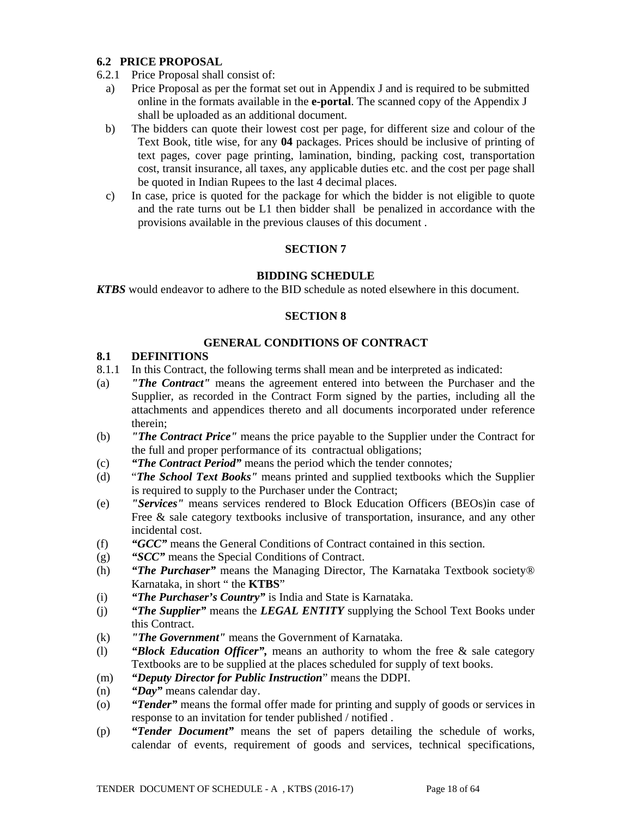### **6.2 PRICE PROPOSAL**

- 6.2.1 Price Proposal shall consist of:
	- a) Price Proposal as per the format set out in Appendix J and is required to be submitted online in the formats available in the **e-portal**. The scanned copy of the Appendix J shall be uploaded as an additional document.
	- b) The bidders can quote their lowest cost per page, for different size and colour of the Text Book, title wise, for any **04** packages. Prices should be inclusive of printing of text pages, cover page printing, lamination, binding, packing cost, transportation cost, transit insurance, all taxes, any applicable duties etc. and the cost per page shall be quoted in Indian Rupees to the last 4 decimal places.
	- c) In case, price is quoted for the package for which the bidder is not eligible to quote and the rate turns out be L1 then bidder shall be penalized in accordance with the provisions available in the previous clauses of this document .

## **SECTION 7**

### **BIDDING SCHEDULE**

*KTBS* would endeavor to adhere to the BID schedule as noted elsewhere in this document.

### **SECTION 8**

### **GENERAL CONDITIONS OF CONTRACT**

### **8.1 DEFINITIONS**

- 8.1.1 In this Contract, the following terms shall mean and be interpreted as indicated:
- (a) *"The Contract"* means the agreement entered into between the Purchaser and the Supplier, as recorded in the Contract Form signed by the parties, including all the attachments and appendices thereto and all documents incorporated under reference therein;
- (b) *"The Contract Price"* means the price payable to the Supplier under the Contract for the full and proper performance of its contractual obligations;
- (c) *"The Contract Period"* means the period which the tender connotes*;*
- (d) "*The School Text Books"* means printed and supplied textbooks which the Supplier is required to supply to the Purchaser under the Contract;
- (e) *"Services"* means services rendered to Block Education Officers (BEOs)in case of Free & sale category textbooks inclusive of transportation, insurance, and any other incidental cost.
- (f) *"GCC"* means the General Conditions of Contract contained in this section.
- (g) *"SCC"* means the Special Conditions of Contract.
- (h) *"The Purchaser"* means the Managing Director, The Karnataka Textbook society® Karnataka, in short " the **KTBS**"
- (i) *"The Purchaser's Country"* is India and State is Karnataka.
- (j) *"The Supplier"* means the *LEGAL ENTITY* supplying the School Text Books under this Contract.
- (k) *"The Government"* means the Government of Karnataka.
- (l) *"Block Education Officer",* means an authority to whom the free & sale category Textbooks are to be supplied at the places scheduled for supply of text books.
- (m) *"Deputy Director for Public Instruction*" means the DDPI.
- (n) *"Day"* means calendar day.
- (o) *"Tender"* means the formal offer made for printing and supply of goods or services in response to an invitation for tender published / notified .
- (p) *"Tender Document"* means the set of papers detailing the schedule of works, calendar of events, requirement of goods and services, technical specifications,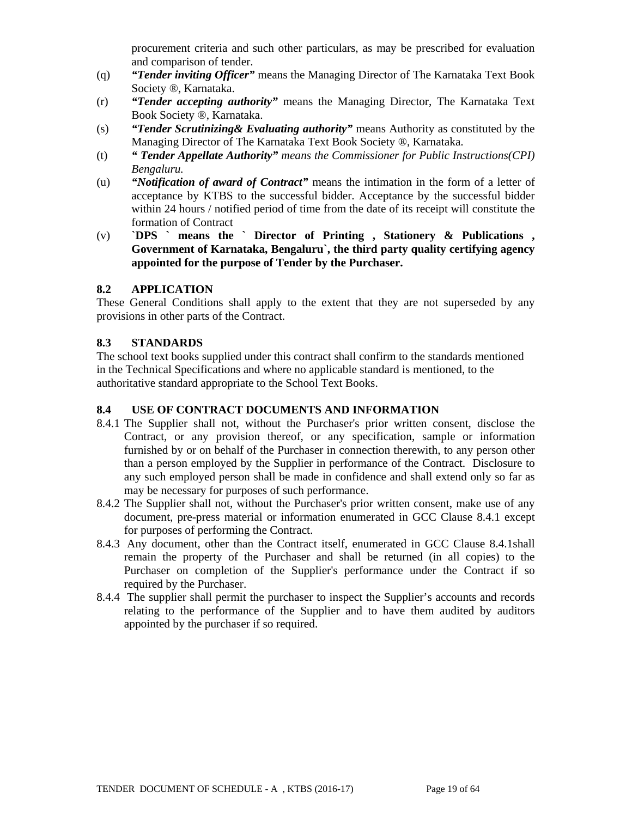procurement criteria and such other particulars, as may be prescribed for evaluation and comparison of tender.

- (q) *"Tender inviting Officer"* means the Managing Director of The Karnataka Text Book Society ®, Karnataka.
- (r) *"Tender accepting authority"* means the Managing Director, The Karnataka Text Book Society ®, Karnataka.
- (s) *"Tender Scrutinizing& Evaluating authority"* means Authority as constituted by the Managing Director of The Karnataka Text Book Society ®, Karnataka.
- (t) *" Tender Appellate Authority" means the Commissioner for Public Instructions(CPI) Bengaluru.*
- (u) *"Notification of award of Contract"* means the intimation in the form of a letter of acceptance by KTBS to the successful bidder. Acceptance by the successful bidder within 24 hours / notified period of time from the date of its receipt will constitute the formation of Contract
- (v) **`DPS ` means the ` Director of Printing , Stationery & Publications , Government of Karnataka, Bengaluru`, the third party quality certifying agency appointed for the purpose of Tender by the Purchaser.**

### **8.2 APPLICATION**

These General Conditions shall apply to the extent that they are not superseded by any provisions in other parts of the Contract.

### **8.3 STANDARDS**

The school text books supplied under this contract shall confirm to the standards mentioned in the Technical Specifications and where no applicable standard is mentioned, to the authoritative standard appropriate to the School Text Books.

#### **8.4 USE OF CONTRACT DOCUMENTS AND INFORMATION**

- 8.4.1 The Supplier shall not, without the Purchaser's prior written consent, disclose the Contract, or any provision thereof, or any specification, sample or information furnished by or on behalf of the Purchaser in connection therewith, to any person other than a person employed by the Supplier in performance of the Contract. Disclosure to any such employed person shall be made in confidence and shall extend only so far as may be necessary for purposes of such performance.
- 8.4.2 The Supplier shall not, without the Purchaser's prior written consent, make use of any document, pre-press material or information enumerated in GCC Clause 8.4.1 except for purposes of performing the Contract.
- 8.4.3 Any document, other than the Contract itself, enumerated in GCC Clause 8.4.1shall remain the property of the Purchaser and shall be returned (in all copies) to the Purchaser on completion of the Supplier's performance under the Contract if so required by the Purchaser.
- 8.4.4 The supplier shall permit the purchaser to inspect the Supplier's accounts and records relating to the performance of the Supplier and to have them audited by auditors appointed by the purchaser if so required.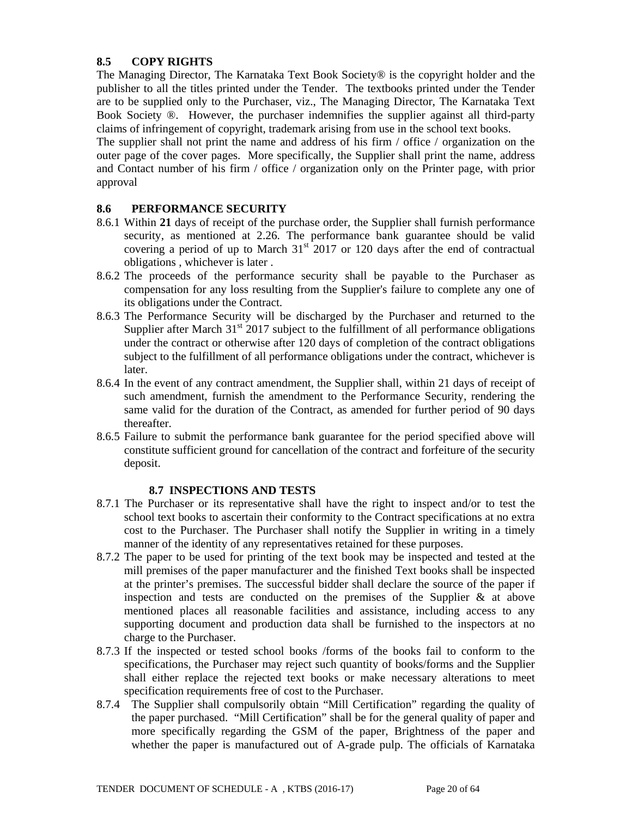## **8.5 COPY RIGHTS**

The Managing Director, The Karnataka Text Book Society® is the copyright holder and the publisher to all the titles printed under the Tender. The textbooks printed under the Tender are to be supplied only to the Purchaser, viz., The Managing Director, The Karnataka Text Book Society ®. However, the purchaser indemnifies the supplier against all third-party claims of infringement of copyright, trademark arising from use in the school text books.

The supplier shall not print the name and address of his firm / office / organization on the outer page of the cover pages. More specifically, the Supplier shall print the name, address and Contact number of his firm / office / organization only on the Printer page, with prior approval

### **8.6 PERFORMANCE SECURITY**

- 8.6.1 Within **21** days of receipt of the purchase order, the Supplier shall furnish performance security, as mentioned at 2.26. The performance bank guarantee should be valid covering a period of up to March  $31<sup>st</sup>$  2017 or 120 days after the end of contractual obligations , whichever is later .
- 8.6.2 The proceeds of the performance security shall be payable to the Purchaser as compensation for any loss resulting from the Supplier's failure to complete any one of its obligations under the Contract.
- 8.6.3 The Performance Security will be discharged by the Purchaser and returned to the Supplier after March  $31<sup>st</sup>$  2017 subject to the fulfillment of all performance obligations under the contract or otherwise after 120 days of completion of the contract obligations subject to the fulfillment of all performance obligations under the contract, whichever is later.
- 8.6.4 In the event of any contract amendment, the Supplier shall, within 21 days of receipt of such amendment, furnish the amendment to the Performance Security, rendering the same valid for the duration of the Contract, as amended for further period of 90 days thereafter.
- 8.6.5 Failure to submit the performance bank guarantee for the period specified above will constitute sufficient ground for cancellation of the contract and forfeiture of the security deposit.

## **8.7 INSPECTIONS AND TESTS**

- 8.7.1 The Purchaser or its representative shall have the right to inspect and/or to test the school text books to ascertain their conformity to the Contract specifications at no extra cost to the Purchaser. The Purchaser shall notify the Supplier in writing in a timely manner of the identity of any representatives retained for these purposes.
- 8.7.2 The paper to be used for printing of the text book may be inspected and tested at the mill premises of the paper manufacturer and the finished Text books shall be inspected at the printer's premises. The successful bidder shall declare the source of the paper if inspection and tests are conducted on the premises of the Supplier & at above mentioned places all reasonable facilities and assistance, including access to any supporting document and production data shall be furnished to the inspectors at no charge to the Purchaser.
- 8.7.3 If the inspected or tested school books /forms of the books fail to conform to the specifications, the Purchaser may reject such quantity of books/forms and the Supplier shall either replace the rejected text books or make necessary alterations to meet specification requirements free of cost to the Purchaser.
- 8.7.4 The Supplier shall compulsorily obtain "Mill Certification" regarding the quality of the paper purchased. "Mill Certification" shall be for the general quality of paper and more specifically regarding the GSM of the paper, Brightness of the paper and whether the paper is manufactured out of A-grade pulp. The officials of Karnataka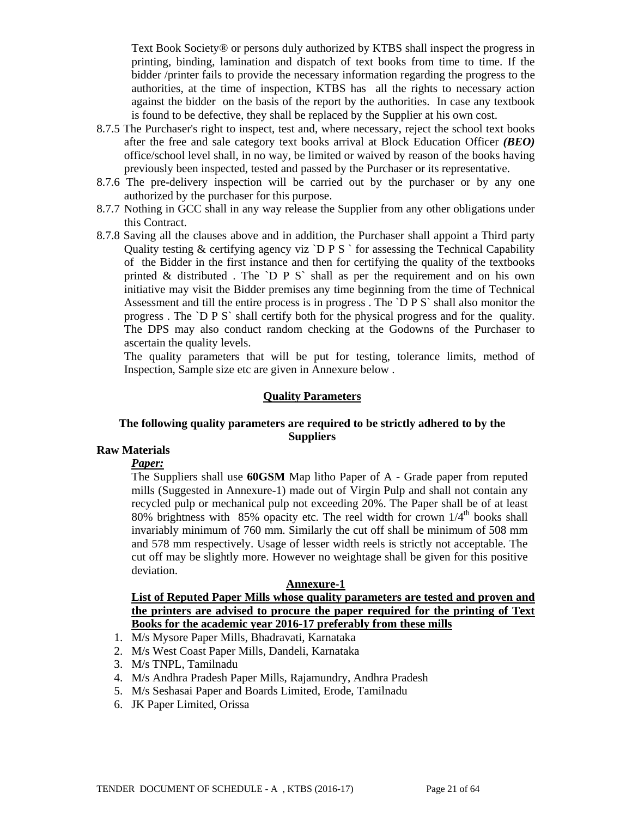Text Book Society® or persons duly authorized by KTBS shall inspect the progress in printing, binding, lamination and dispatch of text books from time to time. If the bidder /printer fails to provide the necessary information regarding the progress to the authorities, at the time of inspection, KTBS has all the rights to necessary action against the bidder on the basis of the report by the authorities. In case any textbook is found to be defective, they shall be replaced by the Supplier at his own cost.

- 8.7.5 The Purchaser's right to inspect, test and, where necessary, reject the school text books after the free and sale category text books arrival at Block Education Officer *(BEO)* office/school level shall, in no way, be limited or waived by reason of the books having previously been inspected, tested and passed by the Purchaser or its representative.
- 8.7.6 The pre-delivery inspection will be carried out by the purchaser or by any one authorized by the purchaser for this purpose.
- 8.7.7 Nothing in GCC shall in any way release the Supplier from any other obligations under this Contract.
- 8.7.8 Saving all the clauses above and in addition, the Purchaser shall appoint a Third party Quality testing  $&$  certifying agency viz `D P S ` for assessing the Technical Capability of the Bidder in the first instance and then for certifying the quality of the textbooks printed  $\&$  distributed. The `D P S` shall as per the requirement and on his own initiative may visit the Bidder premises any time beginning from the time of Technical Assessment and till the entire process is in progress . The `D P S` shall also monitor the progress . The `D P S` shall certify both for the physical progress and for the quality. The DPS may also conduct random checking at the Godowns of the Purchaser to ascertain the quality levels.

The quality parameters that will be put for testing, tolerance limits, method of Inspection, Sample size etc are given in Annexure below .

#### **Quality Parameters**

#### **The following quality parameters are required to be strictly adhered to by the Suppliers**

## **Raw Materials**

#### *Paper:*

The Suppliers shall use **60GSM** Map litho Paper of A - Grade paper from reputed mills (Suggested in Annexure-1) made out of Virgin Pulp and shall not contain any recycled pulp or mechanical pulp not exceeding 20%. The Paper shall be of at least 80% brightness with 85% opacity etc. The reel width for crown  $1/4<sup>th</sup>$  books shall invariably minimum of 760 mm. Similarly the cut off shall be minimum of 508 mm and 578 mm respectively. Usage of lesser width reels is strictly not acceptable. The cut off may be slightly more. However no weightage shall be given for this positive deviation.

### **Annexure-1**

**List of Reputed Paper Mills whose quality parameters are tested and proven and the printers are advised to procure the paper required for the printing of Text Books for the academic year 2016-17 preferably from these mills**

- 1. M/s Mysore Paper Mills, Bhadravati, Karnataka
- 2. M/s West Coast Paper Mills, Dandeli, Karnataka
- 3. M/s TNPL, Tamilnadu
- 4. M/s Andhra Pradesh Paper Mills, Rajamundry, Andhra Pradesh
- 5. M/s Seshasai Paper and Boards Limited, Erode, Tamilnadu
- 6. JK Paper Limited, Orissa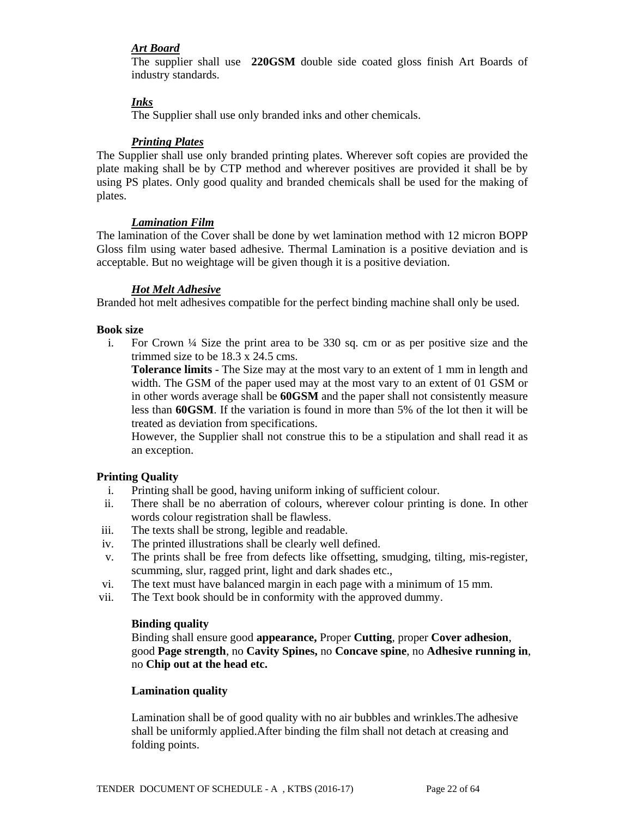### *Art Board*

The supplier shall use **220GSM** double side coated gloss finish Art Boards of industry standards.

### *Inks*

The Supplier shall use only branded inks and other chemicals.

#### *Printing Plates*

The Supplier shall use only branded printing plates. Wherever soft copies are provided the plate making shall be by CTP method and wherever positives are provided it shall be by using PS plates. Only good quality and branded chemicals shall be used for the making of plates.

#### *Lamination Film*

The lamination of the Cover shall be done by wet lamination method with 12 micron BOPP Gloss film using water based adhesive. Thermal Lamination is a positive deviation and is acceptable. But no weightage will be given though it is a positive deviation.

#### *Hot Melt Adhesive*

Branded hot melt adhesives compatible for the perfect binding machine shall only be used.

#### **Book size**

i. For Crown  $\frac{1}{4}$  Size the print area to be 330 sq. cm or as per positive size and the trimmed size to be 18.3 x 24.5 cms.

**Tolerance limits** - The Size may at the most vary to an extent of 1 mm in length and width. The GSM of the paper used may at the most vary to an extent of 01 GSM or in other words average shall be **60GSM** and the paper shall not consistently measure less than **60GSM**. If the variation is found in more than 5% of the lot then it will be treated as deviation from specifications.

However, the Supplier shall not construe this to be a stipulation and shall read it as an exception.

#### **Printing Quality**

- i. Printing shall be good, having uniform inking of sufficient colour.
- ii. There shall be no aberration of colours, wherever colour printing is done. In other words colour registration shall be flawless.
- iii. The texts shall be strong, legible and readable.
- iv. The printed illustrations shall be clearly well defined.
- v. The prints shall be free from defects like offsetting, smudging, tilting, mis-register, scumming, slur, ragged print, light and dark shades etc.,
- vi. The text must have balanced margin in each page with a minimum of 15 mm.
- vii. The Text book should be in conformity with the approved dummy.

#### **Binding quality**

Binding shall ensure good **appearance,** Proper **Cutting**, proper **Cover adhesion**, good **Page strength**, no **Cavity Spines,** no **Concave spine**, no **Adhesive running in**, no **Chip out at the head etc.**

#### **Lamination quality**

Lamination shall be of good quality with no air bubbles and wrinkles.The adhesive shall be uniformly applied.After binding the film shall not detach at creasing and folding points.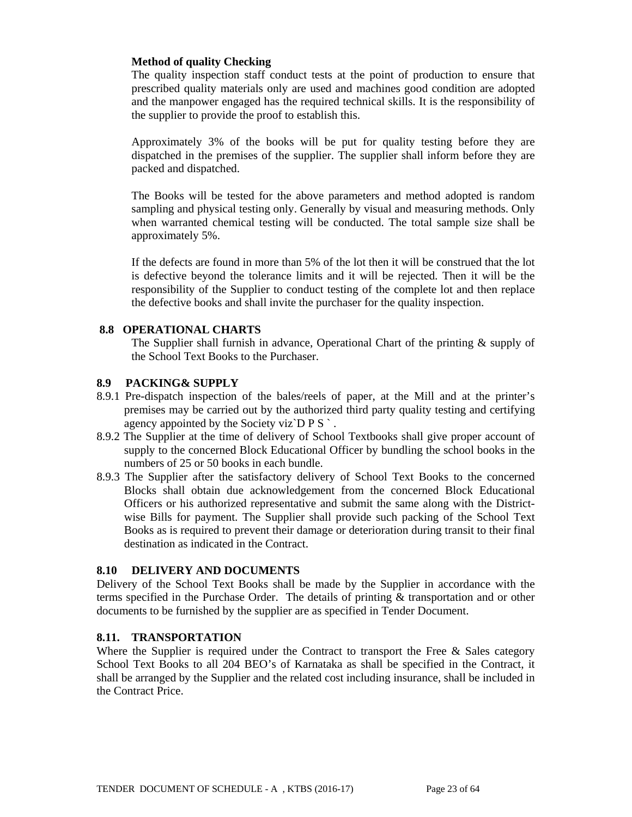### **Method of quality Checking**

The quality inspection staff conduct tests at the point of production to ensure that prescribed quality materials only are used and machines good condition are adopted and the manpower engaged has the required technical skills. It is the responsibility of the supplier to provide the proof to establish this.

Approximately 3% of the books will be put for quality testing before they are dispatched in the premises of the supplier. The supplier shall inform before they are packed and dispatched.

The Books will be tested for the above parameters and method adopted is random sampling and physical testing only. Generally by visual and measuring methods. Only when warranted chemical testing will be conducted. The total sample size shall be approximately 5%.

If the defects are found in more than 5% of the lot then it will be construed that the lot is defective beyond the tolerance limits and it will be rejected. Then it will be the responsibility of the Supplier to conduct testing of the complete lot and then replace the defective books and shall invite the purchaser for the quality inspection.

### **8.8 OPERATIONAL CHARTS**

The Supplier shall furnish in advance, Operational Chart of the printing & supply of the School Text Books to the Purchaser.

### **8.9 PACKING& SUPPLY**

- 8.9.1 Pre-dispatch inspection of the bales/reels of paper, at the Mill and at the printer's premises may be carried out by the authorized third party quality testing and certifying agency appointed by the Society viz $\overline{D} P S$ .
- 8.9.2 The Supplier at the time of delivery of School Textbooks shall give proper account of supply to the concerned Block Educational Officer by bundling the school books in the numbers of 25 or 50 books in each bundle.
- 8.9.3 The Supplier after the satisfactory delivery of School Text Books to the concerned Blocks shall obtain due acknowledgement from the concerned Block Educational Officers or his authorized representative and submit the same along with the Districtwise Bills for payment. The Supplier shall provide such packing of the School Text Books as is required to prevent their damage or deterioration during transit to their final destination as indicated in the Contract.

#### **8.10 DELIVERY AND DOCUMENTS**

Delivery of the School Text Books shall be made by the Supplier in accordance with the terms specified in the Purchase Order. The details of printing & transportation and or other documents to be furnished by the supplier are as specified in Tender Document.

#### **8.11. TRANSPORTATION**

Where the Supplier is required under the Contract to transport the Free  $\&$  Sales category School Text Books to all 204 BEO's of Karnataka as shall be specified in the Contract, it shall be arranged by the Supplier and the related cost including insurance, shall be included in the Contract Price.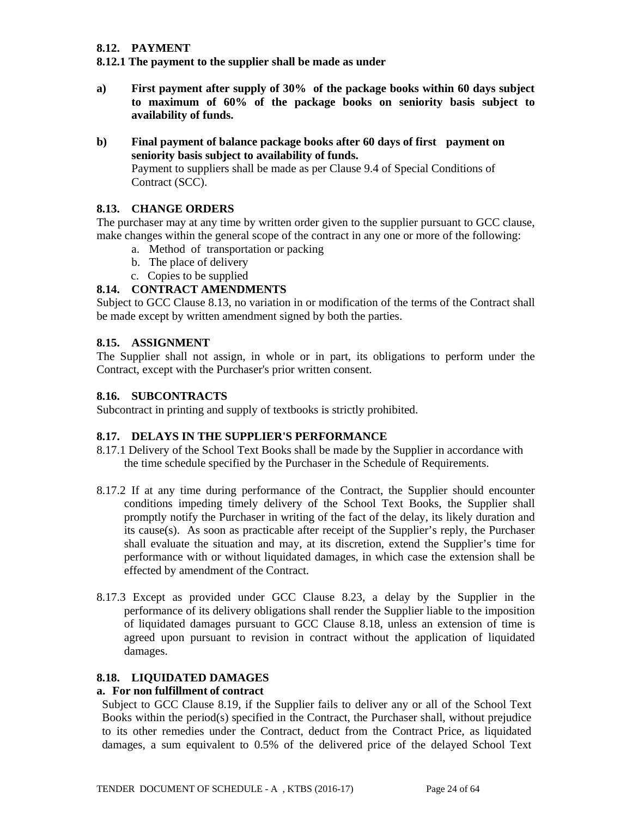## **8.12. PAYMENT**

**8.12.1 The payment to the supplier shall be made as under** 

- **a) First payment after supply of 30% of the package books within 60 days subject to maximum of 60% of the package books on seniority basis subject to availability of funds.**
- **b) Final payment of balance package books after 60 days of first payment on seniority basis subject to availability of funds.**

Payment to suppliers shall be made as per Clause 9.4 of Special Conditions of Contract (SCC).

### **8.13. CHANGE ORDERS**

The purchaser may at any time by written order given to the supplier pursuant to GCC clause, make changes within the general scope of the contract in any one or more of the following:

- a. Method of transportation or packing
- b. The place of delivery
- c. Copies to be supplied

## **8.14. CONTRACT AMENDMENTS**

Subject to GCC Clause 8.13, no variation in or modification of the terms of the Contract shall be made except by written amendment signed by both the parties.

#### **8.15. ASSIGNMENT**

The Supplier shall not assign, in whole or in part, its obligations to perform under the Contract, except with the Purchaser's prior written consent.

#### **8.16. SUBCONTRACTS**

Subcontract in printing and supply of textbooks is strictly prohibited.

#### **8.17. DELAYS IN THE SUPPLIER'S PERFORMANCE**

- 8.17.1 Delivery of the School Text Books shall be made by the Supplier in accordance with the time schedule specified by the Purchaser in the Schedule of Requirements.
- 8.17.2 If at any time during performance of the Contract, the Supplier should encounter conditions impeding timely delivery of the School Text Books, the Supplier shall promptly notify the Purchaser in writing of the fact of the delay, its likely duration and its cause(s). As soon as practicable after receipt of the Supplier's reply, the Purchaser shall evaluate the situation and may, at its discretion, extend the Supplier's time for performance with or without liquidated damages, in which case the extension shall be effected by amendment of the Contract.
- 8.17.3 Except as provided under GCC Clause 8.23, a delay by the Supplier in the performance of its delivery obligations shall render the Supplier liable to the imposition of liquidated damages pursuant to GCC Clause 8.18, unless an extension of time is agreed upon pursuant to revision in contract without the application of liquidated damages.

#### **8.18. LIQUIDATED DAMAGES**

#### **a. For non fulfillment of contract**

Subject to GCC Clause 8.19, if the Supplier fails to deliver any or all of the School Text Books within the period(s) specified in the Contract, the Purchaser shall, without prejudice to its other remedies under the Contract, deduct from the Contract Price, as liquidated damages, a sum equivalent to 0.5% of the delivered price of the delayed School Text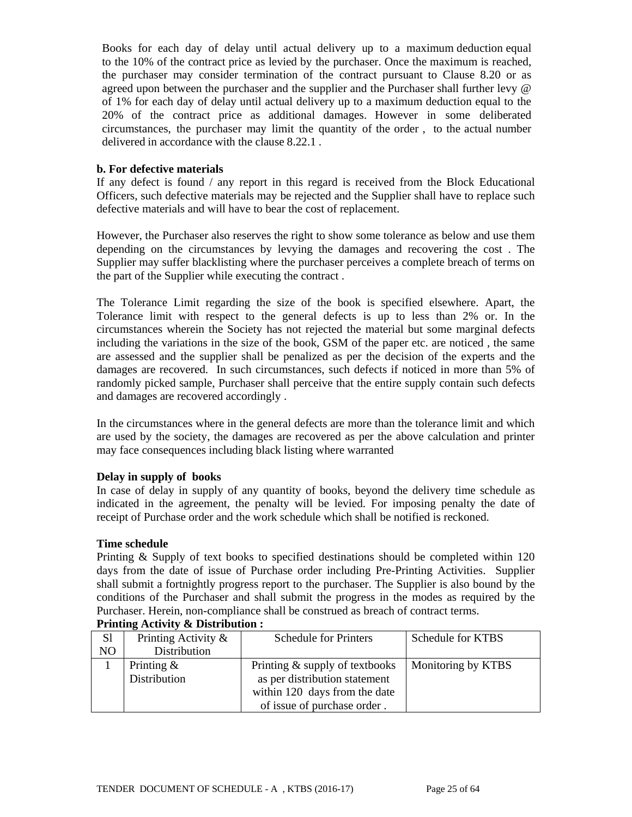Books for each day of delay until actual delivery up to a maximum deduction equal to the 10% of the contract price as levied by the purchaser. Once the maximum is reached, the purchaser may consider termination of the contract pursuant to Clause 8.20 or as agreed upon between the purchaser and the supplier and the Purchaser shall further levy @ of 1% for each day of delay until actual delivery up to a maximum deduction equal to the 20% of the contract price as additional damages. However in some deliberated circumstances, the purchaser may limit the quantity of the order , to the actual number delivered in accordance with the clause 8.22.1 .

#### **b. For defective materials**

If any defect is found / any report in this regard is received from the Block Educational Officers, such defective materials may be rejected and the Supplier shall have to replace such defective materials and will have to bear the cost of replacement.

However, the Purchaser also reserves the right to show some tolerance as below and use them depending on the circumstances by levying the damages and recovering the cost . The Supplier may suffer blacklisting where the purchaser perceives a complete breach of terms on the part of the Supplier while executing the contract .

The Tolerance Limit regarding the size of the book is specified elsewhere. Apart, the Tolerance limit with respect to the general defects is up to less than 2% or. In the circumstances wherein the Society has not rejected the material but some marginal defects including the variations in the size of the book, GSM of the paper etc. are noticed , the same are assessed and the supplier shall be penalized as per the decision of the experts and the damages are recovered. In such circumstances, such defects if noticed in more than 5% of randomly picked sample, Purchaser shall perceive that the entire supply contain such defects and damages are recovered accordingly .

In the circumstances where in the general defects are more than the tolerance limit and which are used by the society, the damages are recovered as per the above calculation and printer may face consequences including black listing where warranted

## **Delay in supply of books**

In case of delay in supply of any quantity of books, beyond the delivery time schedule as indicated in the agreement, the penalty will be levied. For imposing penalty the date of receipt of Purchase order and the work schedule which shall be notified is reckoned.

#### **Time schedule**

Printing & Supply of text books to specified destinations should be completed within 120 days from the date of issue of Purchase order including Pre-Printing Activities. Supplier shall submit a fortnightly progress report to the purchaser. The Supplier is also bound by the conditions of the Purchaser and shall submit the progress in the modes as required by the Purchaser. Herein, non-compliance shall be construed as breach of contract terms.

| S <sub>1</sub> | Printing Activity &           | <b>Schedule for Printers</b>                                    | Schedule for KTBS         |
|----------------|-------------------------------|-----------------------------------------------------------------|---------------------------|
| N <sub>O</sub> | Distribution                  |                                                                 |                           |
|                | Printing $\&$<br>Distribution | Printing & supply of textbooks<br>as per distribution statement | <b>Monitoring by KTBS</b> |
|                |                               | within 120 days from the date<br>of issue of purchase order.    |                           |

## **Printing Activity & Distribution :**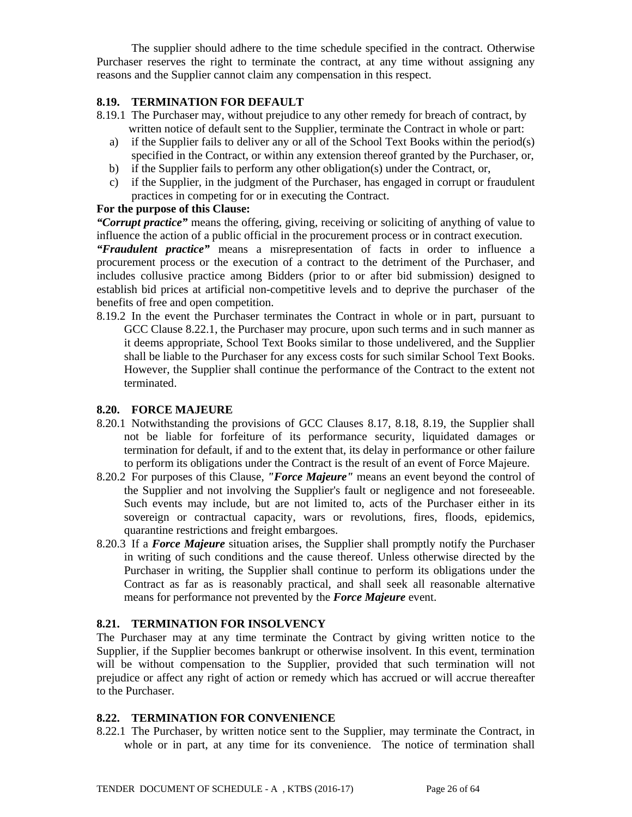The supplier should adhere to the time schedule specified in the contract. Otherwise Purchaser reserves the right to terminate the contract, at any time without assigning any reasons and the Supplier cannot claim any compensation in this respect.

### **8.19. TERMINATION FOR DEFAULT**

- 8.19.1 The Purchaser may, without prejudice to any other remedy for breach of contract, by written notice of default sent to the Supplier, terminate the Contract in whole or part:
	- a) if the Supplier fails to deliver any or all of the School Text Books within the period(s) specified in the Contract, or within any extension thereof granted by the Purchaser, or,
	- b) if the Supplier fails to perform any other obligation(s) under the Contract, or,
	- c) if the Supplier, in the judgment of the Purchaser, has engaged in corrupt or fraudulent practices in competing for or in executing the Contract.

#### **For the purpose of this Clause:**

*"Corrupt practice"* means the offering, giving, receiving or soliciting of anything of value to influence the action of a public official in the procurement process or in contract execution.

*"Fraudulent practice"* means a misrepresentation of facts in order to influence a procurement process or the execution of a contract to the detriment of the Purchaser, and includes collusive practice among Bidders (prior to or after bid submission) designed to establish bid prices at artificial non-competitive levels and to deprive the purchaser of the benefits of free and open competition.

8.19.2 In the event the Purchaser terminates the Contract in whole or in part, pursuant to GCC Clause 8.22.1, the Purchaser may procure, upon such terms and in such manner as it deems appropriate, School Text Books similar to those undelivered, and the Supplier shall be liable to the Purchaser for any excess costs for such similar School Text Books. However, the Supplier shall continue the performance of the Contract to the extent not terminated.

#### **8.20. FORCE MAJEURE**

- 8.20.1 Notwithstanding the provisions of GCC Clauses 8.17, 8.18, 8.19, the Supplier shall not be liable for forfeiture of its performance security, liquidated damages or termination for default, if and to the extent that, its delay in performance or other failure to perform its obligations under the Contract is the result of an event of Force Majeure.
- 8.20.2 For purposes of this Clause, *"Force Majeure"* means an event beyond the control of the Supplier and not involving the Supplier's fault or negligence and not foreseeable. Such events may include, but are not limited to, acts of the Purchaser either in its sovereign or contractual capacity, wars or revolutions, fires, floods, epidemics, quarantine restrictions and freight embargoes.
- 8.20.3 If a *Force Majeure* situation arises, the Supplier shall promptly notify the Purchaser in writing of such conditions and the cause thereof. Unless otherwise directed by the Purchaser in writing, the Supplier shall continue to perform its obligations under the Contract as far as is reasonably practical, and shall seek all reasonable alternative means for performance not prevented by the *Force Majeure* event.

#### **8.21. TERMINATION FOR INSOLVENCY**

The Purchaser may at any time terminate the Contract by giving written notice to the Supplier, if the Supplier becomes bankrupt or otherwise insolvent. In this event, termination will be without compensation to the Supplier, provided that such termination will not prejudice or affect any right of action or remedy which has accrued or will accrue thereafter to the Purchaser.

#### **8.22. TERMINATION FOR CONVENIENCE**

8.22.1 The Purchaser, by written notice sent to the Supplier, may terminate the Contract, in whole or in part, at any time for its convenience. The notice of termination shall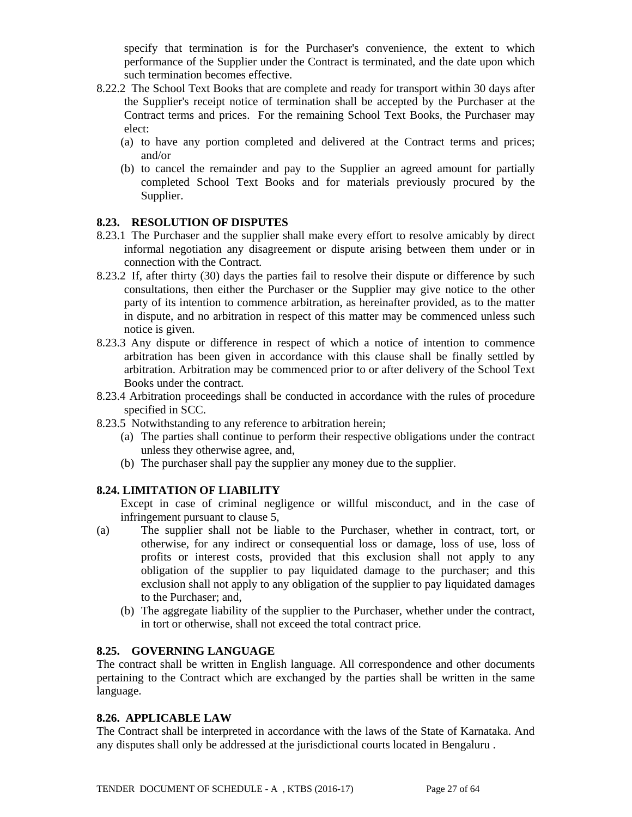specify that termination is for the Purchaser's convenience, the extent to which performance of the Supplier under the Contract is terminated, and the date upon which such termination becomes effective.

- 8.22.2 The School Text Books that are complete and ready for transport within 30 days after the Supplier's receipt notice of termination shall be accepted by the Purchaser at the Contract terms and prices. For the remaining School Text Books, the Purchaser may elect:
	- (a) to have any portion completed and delivered at the Contract terms and prices; and/or
	- (b) to cancel the remainder and pay to the Supplier an agreed amount for partially completed School Text Books and for materials previously procured by the Supplier.

#### **8.23. RESOLUTION OF DISPUTES**

- 8.23.1 The Purchaser and the supplier shall make every effort to resolve amicably by direct informal negotiation any disagreement or dispute arising between them under or in connection with the Contract.
- 8.23.2 If, after thirty (30) days the parties fail to resolve their dispute or difference by such consultations, then either the Purchaser or the Supplier may give notice to the other party of its intention to commence arbitration, as hereinafter provided, as to the matter in dispute, and no arbitration in respect of this matter may be commenced unless such notice is given.
- 8.23.3 Any dispute or difference in respect of which a notice of intention to commence arbitration has been given in accordance with this clause shall be finally settled by arbitration. Arbitration may be commenced prior to or after delivery of the School Text Books under the contract.
- 8.23.4 Arbitration proceedings shall be conducted in accordance with the rules of procedure specified in SCC.
- 8.23.5 Notwithstanding to any reference to arbitration herein;
	- (a) The parties shall continue to perform their respective obligations under the contract unless they otherwise agree, and,
	- (b) The purchaser shall pay the supplier any money due to the supplier.

## **8.24. LIMITATION OF LIABILITY**

Except in case of criminal negligence or willful misconduct, and in the case of infringement pursuant to clause 5,

- (a) The supplier shall not be liable to the Purchaser, whether in contract, tort, or otherwise, for any indirect or consequential loss or damage, loss of use, loss of profits or interest costs, provided that this exclusion shall not apply to any obligation of the supplier to pay liquidated damage to the purchaser; and this exclusion shall not apply to any obligation of the supplier to pay liquidated damages to the Purchaser; and,
	- (b) The aggregate liability of the supplier to the Purchaser, whether under the contract, in tort or otherwise, shall not exceed the total contract price.

#### **8.25. GOVERNING LANGUAGE**

The contract shall be written in English language. All correspondence and other documents pertaining to the Contract which are exchanged by the parties shall be written in the same language.

#### **8.26. APPLICABLE LAW**

The Contract shall be interpreted in accordance with the laws of the State of Karnataka. And any disputes shall only be addressed at the jurisdictional courts located in Bengaluru .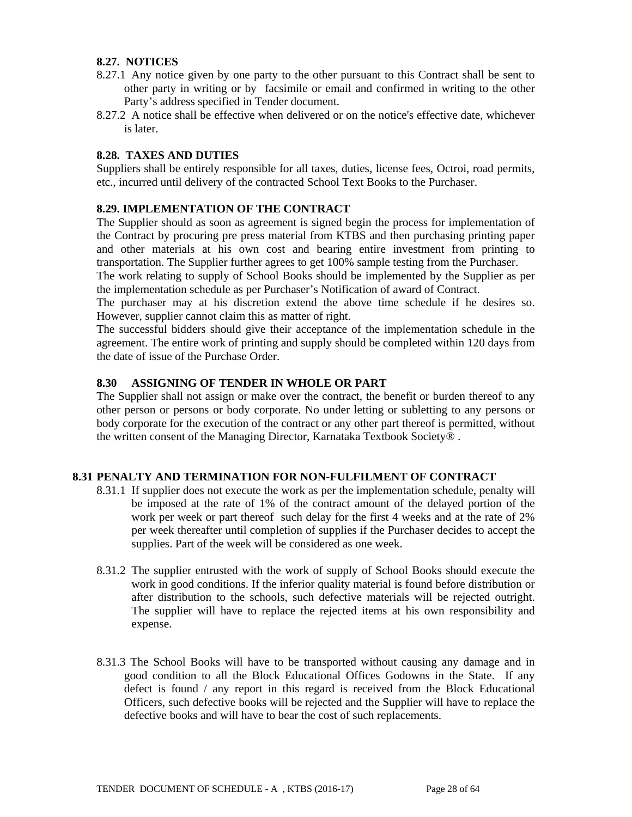#### **8.27. NOTICES**

- 8.27.1 Any notice given by one party to the other pursuant to this Contract shall be sent to other party in writing or by facsimile or email and confirmed in writing to the other Party's address specified in Tender document.
- 8.27.2 A notice shall be effective when delivered or on the notice's effective date, whichever is later.

### **8.28. TAXES AND DUTIES**

Suppliers shall be entirely responsible for all taxes, duties, license fees, Octroi, road permits, etc., incurred until delivery of the contracted School Text Books to the Purchaser.

### **8.29. IMPLEMENTATION OF THE CONTRACT**

The Supplier should as soon as agreement is signed begin the process for implementation of the Contract by procuring pre press material from KTBS and then purchasing printing paper and other materials at his own cost and bearing entire investment from printing to transportation. The Supplier further agrees to get 100% sample testing from the Purchaser.

The work relating to supply of School Books should be implemented by the Supplier as per the implementation schedule as per Purchaser's Notification of award of Contract.

The purchaser may at his discretion extend the above time schedule if he desires so. However, supplier cannot claim this as matter of right.

The successful bidders should give their acceptance of the implementation schedule in the agreement. The entire work of printing and supply should be completed within 120 days from the date of issue of the Purchase Order.

#### **8.30 ASSIGNING OF TENDER IN WHOLE OR PART**

The Supplier shall not assign or make over the contract, the benefit or burden thereof to any other person or persons or body corporate. No under letting or subletting to any persons or body corporate for the execution of the contract or any other part thereof is permitted, without the written consent of the Managing Director, Karnataka Textbook Society® .

#### **8.31 PENALTY AND TERMINATION FOR NON-FULFILMENT OF CONTRACT**

- 8.31.1 If supplier does not execute the work as per the implementation schedule, penalty will be imposed at the rate of 1% of the contract amount of the delayed portion of the work per week or part thereof such delay for the first 4 weeks and at the rate of 2% per week thereafter until completion of supplies if the Purchaser decides to accept the supplies. Part of the week will be considered as one week.
- 8.31.2 The supplier entrusted with the work of supply of School Books should execute the work in good conditions. If the inferior quality material is found before distribution or after distribution to the schools, such defective materials will be rejected outright. The supplier will have to replace the rejected items at his own responsibility and expense.
- 8.31.3 The School Books will have to be transported without causing any damage and in good condition to all the Block Educational Offices Godowns in the State. If any defect is found / any report in this regard is received from the Block Educational Officers, such defective books will be rejected and the Supplier will have to replace the defective books and will have to bear the cost of such replacements.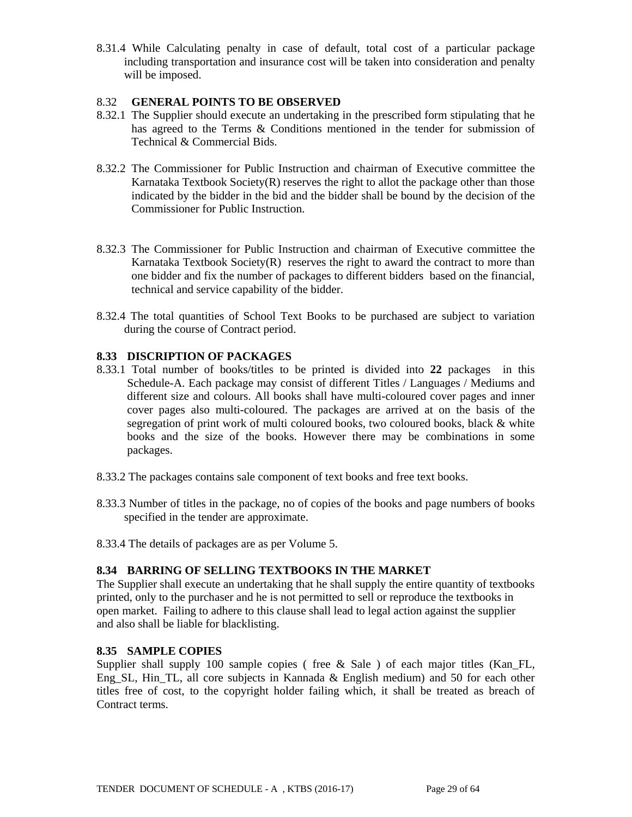8.31.4 While Calculating penalty in case of default, total cost of a particular package including transportation and insurance cost will be taken into consideration and penalty will be imposed.

#### 8.32 **GENERAL POINTS TO BE OBSERVED**

- 8.32.1 The Supplier should execute an undertaking in the prescribed form stipulating that he has agreed to the Terms & Conditions mentioned in the tender for submission of Technical & Commercial Bids.
- 8.32.2 The Commissioner for Public Instruction and chairman of Executive committee the Karnataka Textbook Society $(R)$  reserves the right to allot the package other than those indicated by the bidder in the bid and the bidder shall be bound by the decision of the Commissioner for Public Instruction.
- 8.32.3 The Commissioner for Public Instruction and chairman of Executive committee the Karnataka Textbook Society $(R)$  reserves the right to award the contract to more than one bidder and fix the number of packages to different bidders based on the financial, technical and service capability of the bidder.
- 8.32.4 The total quantities of School Text Books to be purchased are subject to variation during the course of Contract period.

### **8.33 DISCRIPTION OF PACKAGES**

- 8.33.1 Total number of books/titles to be printed is divided into **22** packages in this Schedule-A. Each package may consist of different Titles / Languages / Mediums and different size and colours. All books shall have multi-coloured cover pages and inner cover pages also multi-coloured. The packages are arrived at on the basis of the segregation of print work of multi coloured books, two coloured books, black & white books and the size of the books. However there may be combinations in some packages.
- 8.33.2 The packages contains sale component of text books and free text books.
- 8.33.3 Number of titles in the package, no of copies of the books and page numbers of books specified in the tender are approximate.
- 8.33.4 The details of packages are as per Volume 5.

## **8.34 BARRING OF SELLING TEXTBOOKS IN THE MARKET**

The Supplier shall execute an undertaking that he shall supply the entire quantity of textbooks printed, only to the purchaser and he is not permitted to sell or reproduce the textbooks in open market. Failing to adhere to this clause shall lead to legal action against the supplier and also shall be liable for blacklisting.

#### **8.35 SAMPLE COPIES**

Supplier shall supply 100 sample copies ( free  $\&$  Sale ) of each major titles (Kan\_FL, Eng SL, Hin TL, all core subjects in Kannada  $\&$  English medium) and 50 for each other titles free of cost, to the copyright holder failing which, it shall be treated as breach of Contract terms.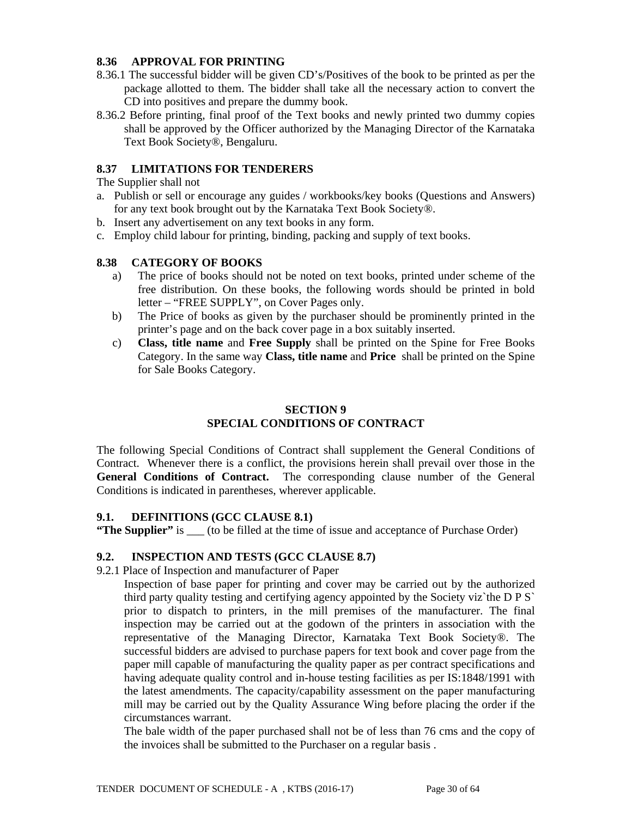### **8.36 APPROVAL FOR PRINTING**

- 8.36.1 The successful bidder will be given CD's/Positives of the book to be printed as per the package allotted to them. The bidder shall take all the necessary action to convert the CD into positives and prepare the dummy book.
- 8.36.2 Before printing, final proof of the Text books and newly printed two dummy copies shall be approved by the Officer authorized by the Managing Director of the Karnataka Text Book Society®, Bengaluru.

## **8.37 LIMITATIONS FOR TENDERERS**

The Supplier shall not

- a. Publish or sell or encourage any guides / workbooks/key books (Questions and Answers) for any text book brought out by the Karnataka Text Book Society®.
- b. Insert any advertisement on any text books in any form.
- c. Employ child labour for printing, binding, packing and supply of text books.

### **8.38 CATEGORY OF BOOKS**

- a) The price of books should not be noted on text books, printed under scheme of the free distribution. On these books, the following words should be printed in bold letter – "FREE SUPPLY", on Cover Pages only.
- b) The Price of books as given by the purchaser should be prominently printed in the printer's page and on the back cover page in a box suitably inserted.
- c) **Class, title name** and **Free Supply** shall be printed on the Spine for Free Books Category. In the same way **Class, title name** and **Price** shall be printed on the Spine for Sale Books Category.

## **SECTION 9 SPECIAL CONDITIONS OF CONTRACT**

The following Special Conditions of Contract shall supplement the General Conditions of Contract. Whenever there is a conflict, the provisions herein shall prevail over those in the **General Conditions of Contract.** The corresponding clause number of the General Conditions is indicated in parentheses, wherever applicable.

#### **9.1. DEFINITIONS (GCC CLAUSE 8.1)**

**"The Supplier"** is (to be filled at the time of issue and acceptance of Purchase Order)

## **9.2. INSPECTION AND TESTS (GCC CLAUSE 8.7)**

9.2.1 Place of Inspection and manufacturer of Paper

Inspection of base paper for printing and cover may be carried out by the authorized third party quality testing and certifying agency appointed by the Society viz`the D P S` prior to dispatch to printers, in the mill premises of the manufacturer. The final inspection may be carried out at the godown of the printers in association with the representative of the Managing Director, Karnataka Text Book Society®. The successful bidders are advised to purchase papers for text book and cover page from the paper mill capable of manufacturing the quality paper as per contract specifications and having adequate quality control and in-house testing facilities as per IS:1848/1991 with the latest amendments. The capacity/capability assessment on the paper manufacturing mill may be carried out by the Quality Assurance Wing before placing the order if the circumstances warrant.

The bale width of the paper purchased shall not be of less than 76 cms and the copy of the invoices shall be submitted to the Purchaser on a regular basis .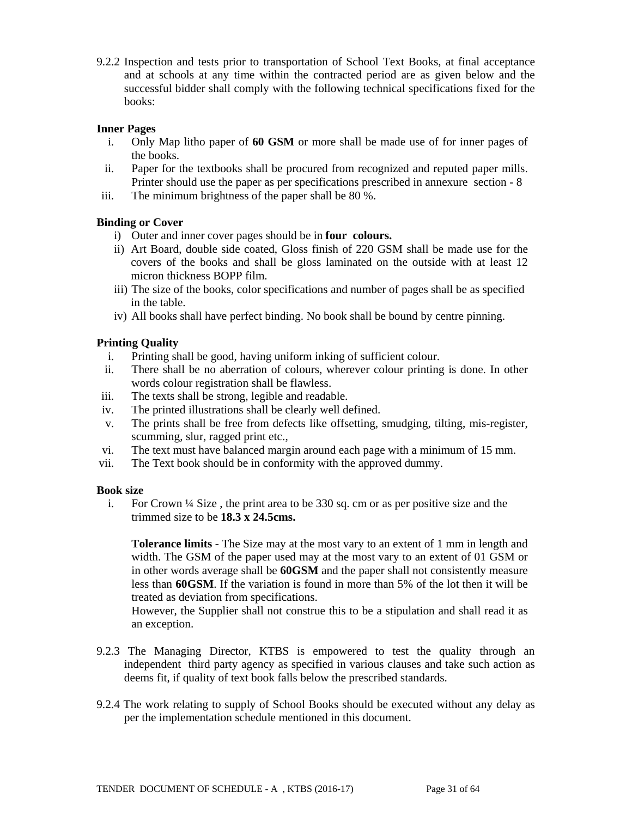9.2.2 Inspection and tests prior to transportation of School Text Books, at final acceptance and at schools at any time within the contracted period are as given below and the successful bidder shall comply with the following technical specifications fixed for the books:

### **Inner Pages**

- i. Only Map litho paper of **60 GSM** or more shall be made use of for inner pages of the books.
- ii. Paper for the textbooks shall be procured from recognized and reputed paper mills. Printer should use the paper as per specifications prescribed in annexure section - 8
- iii. The minimum brightness of the paper shall be 80 %.

### **Binding or Cover**

- i) Outer and inner cover pages should be in **four colours.**
- ii) Art Board, double side coated, Gloss finish of 220 GSM shall be made use for the covers of the books and shall be gloss laminated on the outside with at least 12 micron thickness BOPP film.
- iii) The size of the books, color specifications and number of pages shall be as specified in the table.
- iv) All books shall have perfect binding. No book shall be bound by centre pinning.

### **Printing Quality**

- i. Printing shall be good, having uniform inking of sufficient colour.
- ii. There shall be no aberration of colours, wherever colour printing is done. In other words colour registration shall be flawless.
- iii. The texts shall be strong, legible and readable.
- iv. The printed illustrations shall be clearly well defined.
- v. The prints shall be free from defects like offsetting, smudging, tilting, mis-register, scumming, slur, ragged print etc.,
- vi. The text must have balanced margin around each page with a minimum of 15 mm.
- vii. The Text book should be in conformity with the approved dummy.

#### **Book size**

i. For Crown ¼ Size , the print area to be 330 sq. cm or as per positive size and the trimmed size to be **18.3 x 24.5cms.**

**Tolerance limits** - The Size may at the most vary to an extent of 1 mm in length and width. The GSM of the paper used may at the most vary to an extent of 01 GSM or in other words average shall be **60GSM** and the paper shall not consistently measure less than **60GSM**. If the variation is found in more than 5% of the lot then it will be treated as deviation from specifications.

However, the Supplier shall not construe this to be a stipulation and shall read it as an exception.

- 9.2.3 The Managing Director, KTBS is empowered to test the quality through an independent third party agency as specified in various clauses and take such action as deems fit, if quality of text book falls below the prescribed standards.
- 9.2.4 The work relating to supply of School Books should be executed without any delay as per the implementation schedule mentioned in this document.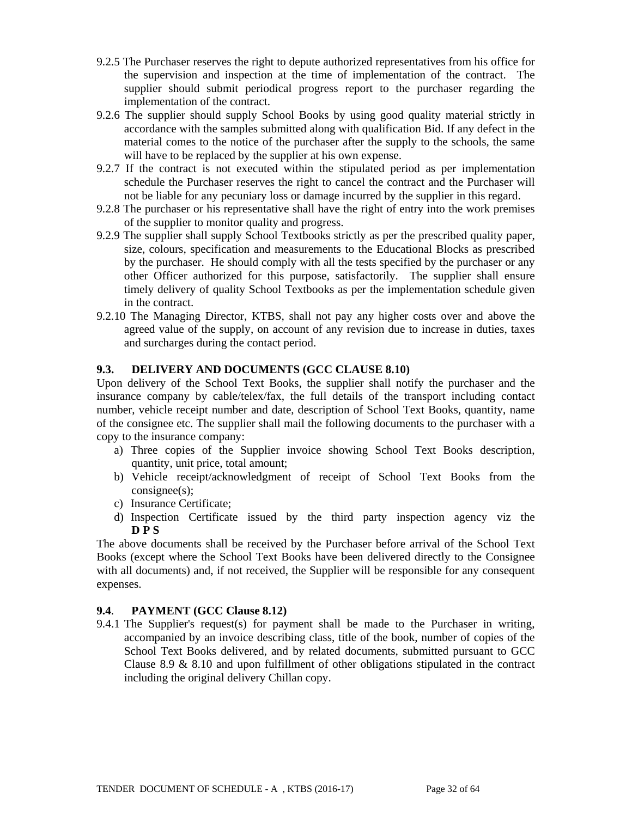- 9.2.5 The Purchaser reserves the right to depute authorized representatives from his office for the supervision and inspection at the time of implementation of the contract. The supplier should submit periodical progress report to the purchaser regarding the implementation of the contract.
- 9.2.6 The supplier should supply School Books by using good quality material strictly in accordance with the samples submitted along with qualification Bid. If any defect in the material comes to the notice of the purchaser after the supply to the schools, the same will have to be replaced by the supplier at his own expense.
- 9.2.7 If the contract is not executed within the stipulated period as per implementation schedule the Purchaser reserves the right to cancel the contract and the Purchaser will not be liable for any pecuniary loss or damage incurred by the supplier in this regard.
- 9.2.8 The purchaser or his representative shall have the right of entry into the work premises of the supplier to monitor quality and progress.
- 9.2.9 The supplier shall supply School Textbooks strictly as per the prescribed quality paper, size, colours, specification and measurements to the Educational Blocks as prescribed by the purchaser. He should comply with all the tests specified by the purchaser or any other Officer authorized for this purpose, satisfactorily. The supplier shall ensure timely delivery of quality School Textbooks as per the implementation schedule given in the contract.
- 9.2.10 The Managing Director, KTBS, shall not pay any higher costs over and above the agreed value of the supply, on account of any revision due to increase in duties, taxes and surcharges during the contact period.

### **9.3. DELIVERY AND DOCUMENTS (GCC CLAUSE 8.10)**

Upon delivery of the School Text Books, the supplier shall notify the purchaser and the insurance company by cable/telex/fax, the full details of the transport including contact number, vehicle receipt number and date, description of School Text Books, quantity, name of the consignee etc. The supplier shall mail the following documents to the purchaser with a copy to the insurance company:

- a) Three copies of the Supplier invoice showing School Text Books description, quantity, unit price, total amount;
- b) Vehicle receipt/acknowledgment of receipt of School Text Books from the consignee(s);
- c) Insurance Certificate;
- d) Inspection Certificate issued by the third party inspection agency viz the **D P S**

The above documents shall be received by the Purchaser before arrival of the School Text Books (except where the School Text Books have been delivered directly to the Consignee with all documents) and, if not received, the Supplier will be responsible for any consequent expenses.

#### **9.4**. **PAYMENT (GCC Clause 8.12)**

9.4.1 The Supplier's request(s) for payment shall be made to the Purchaser in writing, accompanied by an invoice describing class, title of the book, number of copies of the School Text Books delivered, and by related documents, submitted pursuant to GCC Clause 8.9 & 8.10 and upon fulfillment of other obligations stipulated in the contract including the original delivery Chillan copy.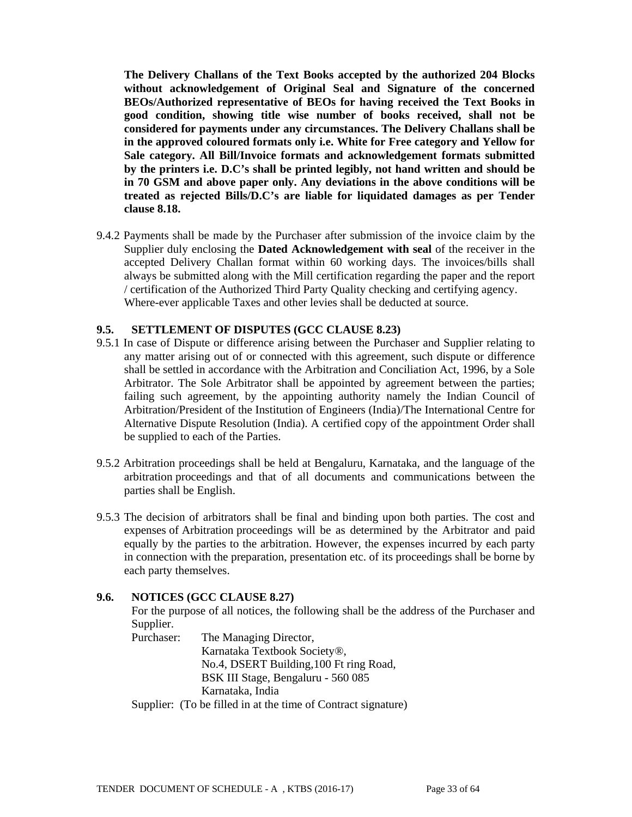**The Delivery Challans of the Text Books accepted by the authorized 204 Blocks without acknowledgement of Original Seal and Signature of the concerned BEOs/Authorized representative of BEOs for having received the Text Books in good condition, showing title wise number of books received, shall not be considered for payments under any circumstances. The Delivery Challans shall be in the approved coloured formats only i.e. White for Free category and Yellow for Sale category. All Bill/Invoice formats and acknowledgement formats submitted by the printers i.e. D.C's shall be printed legibly, not hand written and should be in 70 GSM and above paper only. Any deviations in the above conditions will be treated as rejected Bills/D.C's are liable for liquidated damages as per Tender clause 8.18.** 

9.4.2 Payments shall be made by the Purchaser after submission of the invoice claim by the Supplier duly enclosing the **Dated Acknowledgement with seal** of the receiver in the accepted Delivery Challan format within 60 working days. The invoices/bills shall always be submitted along with the Mill certification regarding the paper and the report / certification of the Authorized Third Party Quality checking and certifying agency. Where-ever applicable Taxes and other levies shall be deducted at source.

#### **9.5. SETTLEMENT OF DISPUTES (GCC CLAUSE 8.23)**

- 9.5.1 In case of Dispute or difference arising between the Purchaser and Supplier relating to any matter arising out of or connected with this agreement, such dispute or difference shall be settled in accordance with the Arbitration and Conciliation Act, 1996, by a Sole Arbitrator. The Sole Arbitrator shall be appointed by agreement between the parties; failing such agreement, by the appointing authority namely the Indian Council of Arbitration/President of the Institution of Engineers (India)/The International Centre for Alternative Dispute Resolution (India). A certified copy of the appointment Order shall be supplied to each of the Parties.
- 9.5.2 Arbitration proceedings shall be held at Bengaluru, Karnataka, and the language of the arbitration proceedings and that of all documents and communications between the parties shall be English.
- 9.5.3 The decision of arbitrators shall be final and binding upon both parties. The cost and expenses of Arbitration proceedings will be as determined by the Arbitrator and paid equally by the parties to the arbitration. However, the expenses incurred by each party in connection with the preparation, presentation etc. of its proceedings shall be borne by each party themselves.

#### **9.6. NOTICES (GCC CLAUSE 8.27)**

 For the purpose of all notices, the following shall be the address of the Purchaser and Supplier.

 Purchaser: The Managing Director, Karnataka Textbook Society®, No.4, DSERT Building,100 Ft ring Road, BSK III Stage, Bengaluru - 560 085 Karnataka, India Supplier: (To be filled in at the time of Contract signature)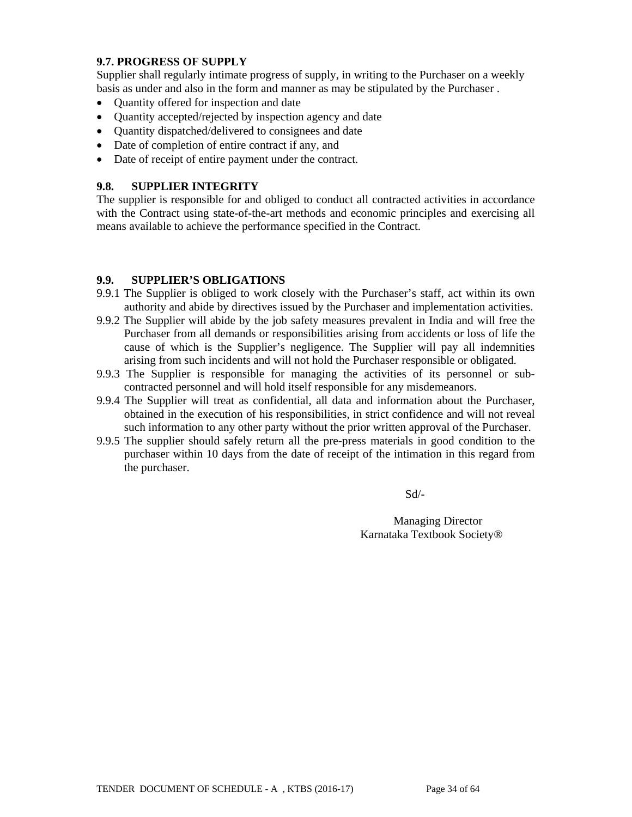### **9.7. PROGRESS OF SUPPLY**

Supplier shall regularly intimate progress of supply, in writing to the Purchaser on a weekly basis as under and also in the form and manner as may be stipulated by the Purchaser .

- Quantity offered for inspection and date
- Quantity accepted/rejected by inspection agency and date
- Quantity dispatched/delivered to consignees and date
- Date of completion of entire contract if any, and
- Date of receipt of entire payment under the contract.

### **9.8. SUPPLIER INTEGRITY**

The supplier is responsible for and obliged to conduct all contracted activities in accordance with the Contract using state-of-the-art methods and economic principles and exercising all means available to achieve the performance specified in the Contract.

### **9.9. SUPPLIER'S OBLIGATIONS**

- 9.9.1 The Supplier is obliged to work closely with the Purchaser's staff, act within its own authority and abide by directives issued by the Purchaser and implementation activities.
- 9.9.2 The Supplier will abide by the job safety measures prevalent in India and will free the Purchaser from all demands or responsibilities arising from accidents or loss of life the cause of which is the Supplier's negligence. The Supplier will pay all indemnities arising from such incidents and will not hold the Purchaser responsible or obligated.
- 9.9.3 The Supplier is responsible for managing the activities of its personnel or subcontracted personnel and will hold itself responsible for any misdemeanors.
- 9.9.4 The Supplier will treat as confidential, all data and information about the Purchaser, obtained in the execution of his responsibilities, in strict confidence and will not reveal such information to any other party without the prior written approval of the Purchaser.
- 9.9.5 The supplier should safely return all the pre-press materials in good condition to the purchaser within 10 days from the date of receipt of the intimation in this regard from the purchaser.

Sd/-

Managing Director Karnataka Textbook Society®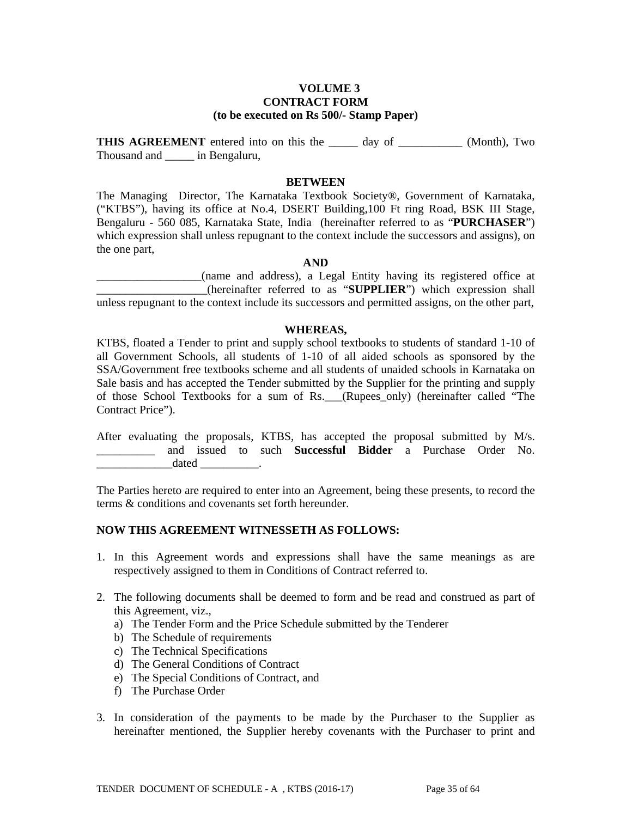#### **VOLUME 3 CONTRACT FORM (to be executed on Rs 500/- Stamp Paper)**

**THIS AGREEMENT** entered into on this the day of \_\_\_\_\_\_\_\_\_\_ (Month), Two Thousand and \_\_\_\_\_ in Bengaluru,

#### **BETWEEN**

The Managing Director, The Karnataka Textbook Society®, Government of Karnataka, ("KTBS"), having its office at No.4, DSERT Building,100 Ft ring Road, BSK III Stage, Bengaluru - 560 085, Karnataka State, India (hereinafter referred to as "**PURCHASER**") which expression shall unless repugnant to the context include the successors and assigns), on the one part,

#### **AND**

\_\_\_\_\_\_\_\_\_\_\_\_\_\_\_\_\_\_(name and address), a Legal Entity having its registered office at \_\_\_\_\_\_\_\_\_\_\_\_\_\_\_\_\_\_\_(hereinafter referred to as "**SUPPLIER**") which expression shall unless repugnant to the context include its successors and permitted assigns, on the other part,

#### **WHEREAS,**

KTBS, floated a Tender to print and supply school textbooks to students of standard 1-10 of all Government Schools, all students of 1-10 of all aided schools as sponsored by the SSA/Government free textbooks scheme and all students of unaided schools in Karnataka on Sale basis and has accepted the Tender submitted by the Supplier for the printing and supply of those School Textbooks for a sum of Rs.\_\_\_(Rupees\_only) (hereinafter called "The Contract Price").

After evaluating the proposals, KTBS, has accepted the proposal submitted by M/s. \_\_\_\_\_\_\_\_\_\_ and issued to such **Successful Bidder** a Purchase Order No.  $dataed$   $\qquad \qquad$ 

The Parties hereto are required to enter into an Agreement, being these presents, to record the terms & conditions and covenants set forth hereunder.

#### **NOW THIS AGREEMENT WITNESSETH AS FOLLOWS:**

- 1. In this Agreement words and expressions shall have the same meanings as are respectively assigned to them in Conditions of Contract referred to.
- 2. The following documents shall be deemed to form and be read and construed as part of this Agreement, viz.,
	- a) The Tender Form and the Price Schedule submitted by the Tenderer
	- b) The Schedule of requirements
	- c) The Technical Specifications
	- d) The General Conditions of Contract
	- e) The Special Conditions of Contract, and
	- f) The Purchase Order
- 3. In consideration of the payments to be made by the Purchaser to the Supplier as hereinafter mentioned, the Supplier hereby covenants with the Purchaser to print and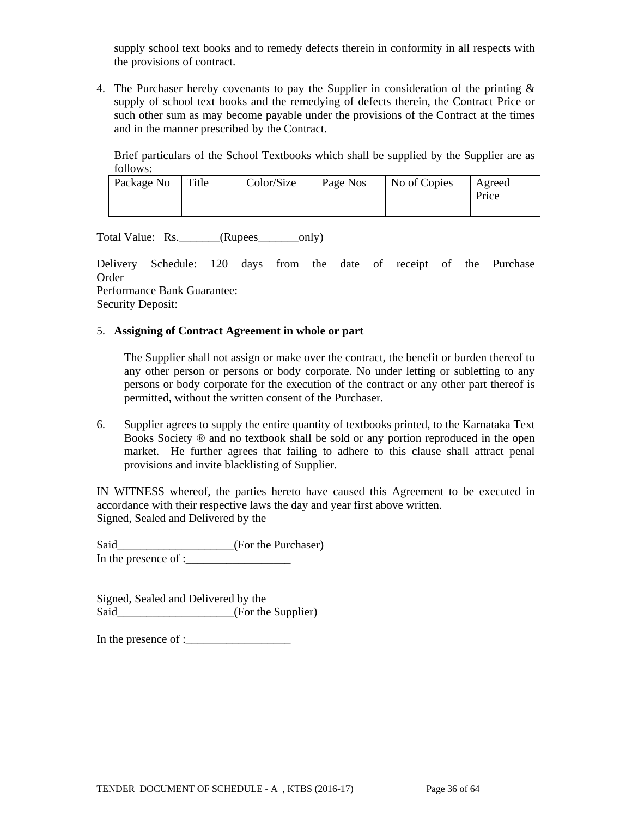supply school text books and to remedy defects therein in conformity in all respects with the provisions of contract.

4. The Purchaser hereby covenants to pay the Supplier in consideration of the printing  $\&$ supply of school text books and the remedying of defects therein, the Contract Price or such other sum as may become payable under the provisions of the Contract at the times and in the manner prescribed by the Contract.

Brief particulars of the School Textbooks which shall be supplied by the Supplier are as follows:

| Package No | l Title | Color/Size | Page Nos | No of Copies | Agreed<br>Price |
|------------|---------|------------|----------|--------------|-----------------|
|            |         |            |          |              |                 |

Total Value: Rs. \_\_\_\_\_\_\_(Rupees\_\_\_\_\_\_\_only)

Delivery Schedule: 120 days from the date of receipt of the Purchase Order

Performance Bank Guarantee: Security Deposit:

### 5. **Assigning of Contract Agreement in whole or part**

The Supplier shall not assign or make over the contract, the benefit or burden thereof to any other person or persons or body corporate. No under letting or subletting to any persons or body corporate for the execution of the contract or any other part thereof is permitted, without the written consent of the Purchaser.

6. Supplier agrees to supply the entire quantity of textbooks printed, to the Karnataka Text Books Society ® and no textbook shall be sold or any portion reproduced in the open market. He further agrees that failing to adhere to this clause shall attract penal provisions and invite blacklisting of Supplier.

IN WITNESS whereof, the parties hereto have caused this Agreement to be executed in accordance with their respective laws the day and year first above written. Signed, Sealed and Delivered by the

Said\_\_\_\_\_\_\_\_\_\_\_\_\_\_\_\_\_\_\_\_(For the Purchaser) In the presence of :\_\_\_\_\_\_\_\_\_\_\_\_\_\_\_\_\_\_

Signed, Sealed and Delivered by the Said\_\_\_\_\_\_\_\_\_\_\_\_\_\_\_\_\_\_\_\_\_(For the Supplier)

In the presence of :\_\_\_\_\_\_\_\_\_\_\_\_\_\_\_\_\_\_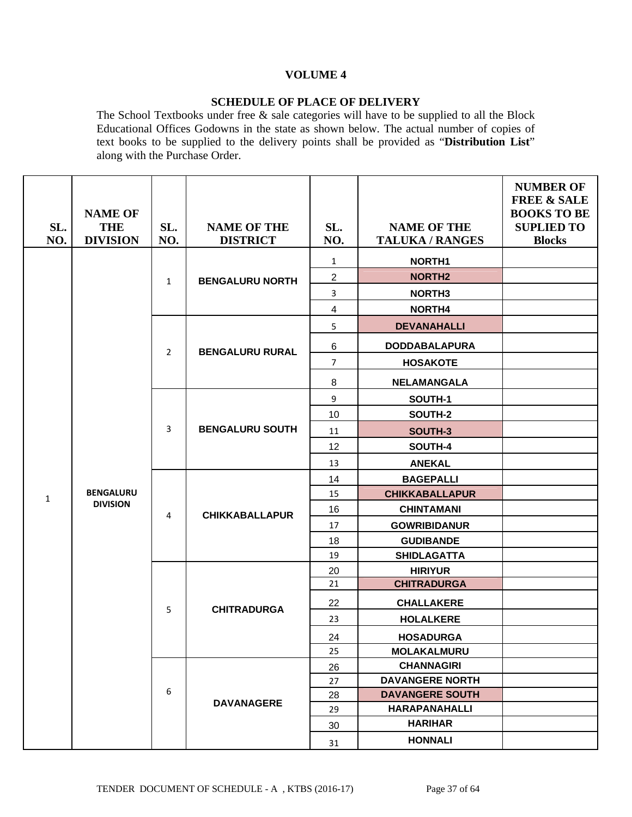## **VOLUME 4**

## **SCHEDULE OF PLACE OF DELIVERY**

The School Textbooks under free & sale categories will have to be supplied to all the Block Educational Offices Godowns in the state as shown below. The actual number of copies of text books to be supplied to the delivery points shall be provided as "**Distribution List**" along with the Purchase Order.

|              |                               |                |                                       |                |                                              | <b>NUMBER OF</b><br><b>FREE &amp; SALE</b> |
|--------------|-------------------------------|----------------|---------------------------------------|----------------|----------------------------------------------|--------------------------------------------|
|              | <b>NAME OF</b>                |                |                                       |                |                                              | <b>BOOKS TO BE</b>                         |
| SL.<br>NO.   | <b>THE</b><br><b>DIVISION</b> | SL.<br>NO.     | <b>NAME OF THE</b><br><b>DISTRICT</b> | SL.<br>NO.     | <b>NAME OF THE</b><br><b>TALUKA / RANGES</b> | <b>SUPLIED TO</b><br><b>Blocks</b>         |
|              |                               |                |                                       |                |                                              |                                            |
|              |                               |                |                                       | $\mathbf{1}$   | NORTH1                                       |                                            |
|              |                               | $\mathbf{1}$   | <b>BENGALURU NORTH</b>                | $\mathbf{2}$   | <b>NORTH2</b>                                |                                            |
|              |                               |                |                                       | 3              | <b>NORTH3</b>                                |                                            |
|              |                               |                |                                       | 4              | NORTH4                                       |                                            |
|              |                               |                |                                       | 5              | <b>DEVANAHALLI</b>                           |                                            |
|              |                               | $\overline{2}$ | <b>BENGALURU RURAL</b>                | $\,6$          | <b>DODDABALAPURA</b>                         |                                            |
|              |                               |                |                                       | $\overline{7}$ | <b>HOSAKOTE</b>                              |                                            |
|              |                               |                |                                       | 8              | <b>NELAMANGALA</b>                           |                                            |
|              |                               |                |                                       | 9              | SOUTH-1                                      |                                            |
|              |                               |                |                                       | 10             | SOUTH-2                                      |                                            |
|              |                               | 3              | <b>BENGALURU SOUTH</b>                | 11             | SOUTH-3                                      |                                            |
|              |                               |                |                                       | 12             | SOUTH-4                                      |                                            |
|              |                               |                |                                       | 13             | <b>ANEKAL</b>                                |                                            |
|              |                               |                |                                       | 14             | <b>BAGEPALLI</b>                             |                                            |
| $\mathbf{1}$ | <b>BENGALURU</b>              |                |                                       | 15             | <b>CHIKKABALLAPUR</b>                        |                                            |
|              | <b>DIVISION</b>               | 4              | <b>CHIKKABALLAPUR</b>                 | 16             | <b>CHINTAMANI</b>                            |                                            |
|              |                               |                |                                       | 17             | <b>GOWRIBIDANUR</b>                          |                                            |
|              |                               |                |                                       | 18             | <b>GUDIBANDE</b>                             |                                            |
|              |                               |                |                                       | 19             | <b>SHIDLAGATTA</b>                           |                                            |
|              |                               |                |                                       | 20             | <b>HIRIYUR</b>                               |                                            |
|              |                               |                |                                       | 21             | <b>CHITRADURGA</b>                           |                                            |
|              |                               | 5              | <b>CHITRADURGA</b>                    | 22             | <b>CHALLAKERE</b>                            |                                            |
|              |                               |                |                                       | 23             | <b>HOLALKERE</b>                             |                                            |
|              |                               |                |                                       | 24             | <b>HOSADURGA</b>                             |                                            |
|              |                               |                |                                       | 25             | <b>MOLAKALMURU</b>                           |                                            |
|              |                               |                |                                       | 26             | <b>CHANNAGIRI</b>                            |                                            |
|              |                               |                |                                       | 27             | <b>DAVANGERE NORTH</b>                       |                                            |
|              |                               | 6              | <b>DAVANAGERE</b>                     | 28             | <b>DAVANGERE SOUTH</b>                       |                                            |
|              |                               |                |                                       | 29             | <b>HARAPANAHALLI</b>                         |                                            |
|              |                               |                |                                       | 30             | <b>HARIHAR</b>                               |                                            |
|              |                               |                |                                       | 31             | <b>HONNALI</b>                               |                                            |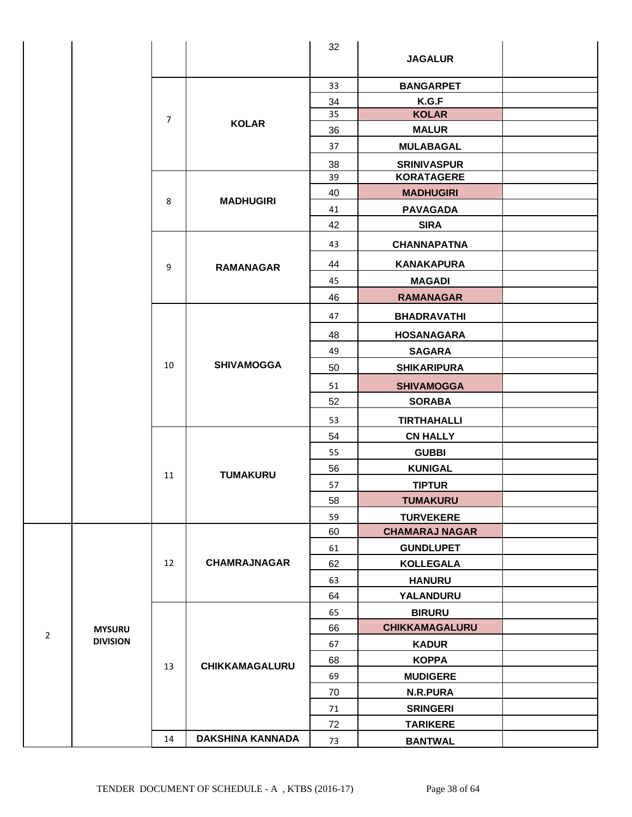|                |                 |                |                         | 32 | <b>JAGALUR</b>        |  |
|----------------|-----------------|----------------|-------------------------|----|-----------------------|--|
|                |                 |                |                         | 33 | <b>BANGARPET</b>      |  |
|                |                 |                |                         | 34 | K.G.F                 |  |
|                |                 | $\overline{7}$ | <b>KOLAR</b>            | 35 | <b>KOLAR</b>          |  |
|                |                 |                |                         | 36 | <b>MALUR</b>          |  |
|                |                 |                |                         | 37 | <b>MULABAGAL</b>      |  |
|                |                 |                |                         | 38 | <b>SRINIVASPUR</b>    |  |
|                |                 |                |                         | 39 | <b>KORATAGERE</b>     |  |
|                |                 | 8              | <b>MADHUGIRI</b>        | 40 | <b>MADHUGIRI</b>      |  |
|                |                 |                |                         | 41 | <b>PAVAGADA</b>       |  |
|                |                 |                |                         | 42 | <b>SIRA</b>           |  |
|                |                 |                |                         | 43 | <b>CHANNAPATNA</b>    |  |
|                |                 | 9              | <b>RAMANAGAR</b>        | 44 | <b>KANAKAPURA</b>     |  |
|                |                 |                |                         | 45 | <b>MAGADI</b>         |  |
|                |                 |                |                         | 46 | <b>RAMANAGAR</b>      |  |
|                |                 |                |                         | 47 | <b>BHADRAVATHI</b>    |  |
|                |                 |                |                         | 48 | <b>HOSANAGARA</b>     |  |
|                |                 |                |                         | 49 | <b>SAGARA</b>         |  |
|                |                 | 10             | <b>SHIVAMOGGA</b>       | 50 | <b>SHIKARIPURA</b>    |  |
|                |                 |                |                         | 51 | <b>SHIVAMOGGA</b>     |  |
|                |                 |                |                         | 52 | <b>SORABA</b>         |  |
|                |                 |                |                         | 53 | <b>TIRTHAHALLI</b>    |  |
|                |                 |                |                         | 54 | <b>CN HALLY</b>       |  |
|                |                 |                |                         | 55 | <b>GUBBI</b>          |  |
|                |                 | 11             | <b>TUMAKURU</b>         | 56 | <b>KUNIGAL</b>        |  |
|                |                 |                |                         | 57 | <b>TIPTUR</b>         |  |
|                |                 |                |                         | 58 | <b>TUMAKURU</b>       |  |
|                |                 |                |                         | 59 | <b>TURVEKERE</b>      |  |
|                |                 |                |                         | 60 | <b>CHAMARAJ NAGAR</b> |  |
|                |                 |                |                         | 61 | <b>GUNDLUPET</b>      |  |
|                |                 | 12             | <b>CHAMRAJNAGAR</b>     | 62 | <b>KOLLEGALA</b>      |  |
|                |                 |                |                         | 63 | <b>HANURU</b>         |  |
|                |                 |                |                         | 64 | YALANDURU             |  |
|                |                 |                |                         | 65 | <b>BIRURU</b>         |  |
|                | <b>MYSURU</b>   |                |                         | 66 | CHIKKAMAGALURU        |  |
| $\overline{2}$ | <b>DIVISION</b> |                |                         | 67 | <b>KADUR</b>          |  |
|                |                 | 13             | CHIKKAMAGALURU          | 68 | <b>KOPPA</b>          |  |
|                |                 |                |                         | 69 | <b>MUDIGERE</b>       |  |
|                |                 |                |                         | 70 | N.R.PURA              |  |
|                |                 |                |                         | 71 | <b>SRINGERI</b>       |  |
|                |                 |                |                         | 72 | <b>TARIKERE</b>       |  |
|                |                 | 14             | <b>DAKSHINA KANNADA</b> | 73 | <b>BANTWAL</b>        |  |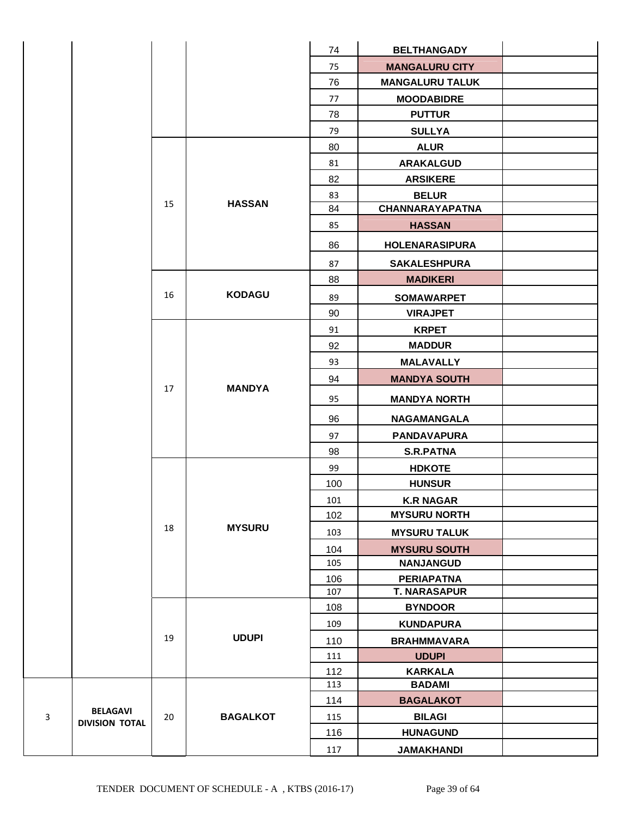|   |                       |    |                 | 74  | <b>BELTHANGADY</b>     |  |
|---|-----------------------|----|-----------------|-----|------------------------|--|
|   |                       |    |                 | 75  | <b>MANGALURU CITY</b>  |  |
|   |                       |    |                 | 76  | <b>MANGALURU TALUK</b> |  |
|   |                       |    |                 | 77  | <b>MOODABIDRE</b>      |  |
|   |                       |    |                 | 78  | <b>PUTTUR</b>          |  |
|   |                       |    |                 | 79  | <b>SULLYA</b>          |  |
|   |                       |    |                 | 80  | <b>ALUR</b>            |  |
|   |                       |    |                 | 81  | <b>ARAKALGUD</b>       |  |
|   |                       |    |                 | 82  | <b>ARSIKERE</b>        |  |
|   |                       |    |                 | 83  | <b>BELUR</b>           |  |
|   |                       | 15 | <b>HASSAN</b>   | 84  | <b>CHANNARAYAPATNA</b> |  |
|   |                       |    |                 | 85  | <b>HASSAN</b>          |  |
|   |                       |    |                 | 86  | <b>HOLENARASIPURA</b>  |  |
|   |                       |    |                 | 87  | <b>SAKALESHPURA</b>    |  |
|   |                       |    |                 | 88  | <b>MADIKERI</b>        |  |
|   |                       | 16 | <b>KODAGU</b>   | 89  | <b>SOMAWARPET</b>      |  |
|   |                       |    |                 | 90  | <b>VIRAJPET</b>        |  |
|   |                       |    |                 | 91  | <b>KRPET</b>           |  |
|   |                       |    |                 | 92  | <b>MADDUR</b>          |  |
|   |                       |    |                 | 93  | <b>MALAVALLY</b>       |  |
|   |                       |    |                 | 94  | <b>MANDYA SOUTH</b>    |  |
|   |                       | 17 | <b>MANDYA</b>   | 95  | <b>MANDYA NORTH</b>    |  |
|   |                       |    |                 | 96  | <b>NAGAMANGALA</b>     |  |
|   |                       |    |                 | 97  | <b>PANDAVAPURA</b>     |  |
|   |                       |    |                 | 98  | <b>S.R.PATNA</b>       |  |
|   |                       |    |                 | 99  | <b>HDKOTE</b>          |  |
|   |                       |    |                 | 100 | <b>HUNSUR</b>          |  |
|   |                       |    |                 | 101 | <b>K.R NAGAR</b>       |  |
|   |                       |    |                 | 102 | <b>MYSURU NORTH</b>    |  |
|   |                       | 18 | <b>MYSURU</b>   | 103 | <b>MYSURU TALUK</b>    |  |
|   |                       |    |                 | 104 | <b>MYSURU SOUTH</b>    |  |
|   |                       |    |                 | 105 | <b>NANJANGUD</b>       |  |
|   |                       |    |                 | 106 | <b>PERIAPATNA</b>      |  |
|   |                       |    |                 | 107 | <b>T. NARASAPUR</b>    |  |
|   |                       |    |                 | 108 | <b>BYNDOOR</b>         |  |
|   |                       |    |                 | 109 | <b>KUNDAPURA</b>       |  |
|   |                       | 19 | <b>UDUPI</b>    | 110 | <b>BRAHMMAVARA</b>     |  |
|   |                       |    |                 | 111 | <b>UDUPI</b>           |  |
|   |                       |    |                 | 112 | <b>KARKALA</b>         |  |
|   |                       |    |                 | 113 | <b>BADAMI</b>          |  |
|   | <b>BELAGAVI</b>       |    |                 | 114 | <b>BAGALAKOT</b>       |  |
| 3 | <b>DIVISION TOTAL</b> | 20 | <b>BAGALKOT</b> | 115 | <b>BILAGI</b>          |  |
|   |                       |    |                 | 116 | <b>HUNAGUND</b>        |  |
|   |                       |    |                 | 117 | <b>JAMAKHANDI</b>      |  |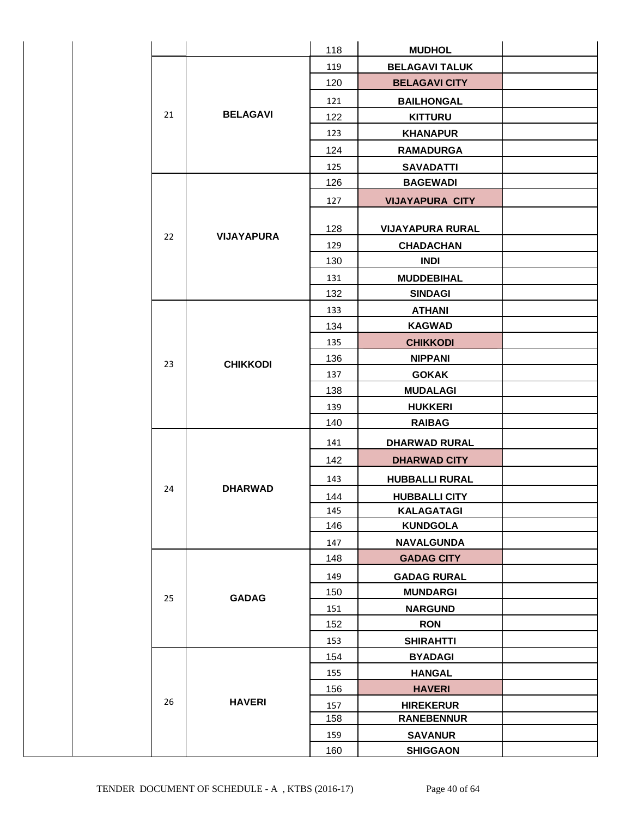|  |    |                   | 118 | <b>MUDHOL</b>           |  |
|--|----|-------------------|-----|-------------------------|--|
|  |    |                   | 119 | <b>BELAGAVI TALUK</b>   |  |
|  |    |                   | 120 | <b>BELAGAVI CITY</b>    |  |
|  |    |                   | 121 | <b>BAILHONGAL</b>       |  |
|  | 21 | <b>BELAGAVI</b>   | 122 | <b>KITTURU</b>          |  |
|  |    |                   | 123 | <b>KHANAPUR</b>         |  |
|  |    |                   | 124 | <b>RAMADURGA</b>        |  |
|  |    |                   | 125 | <b>SAVADATTI</b>        |  |
|  |    |                   | 126 | <b>BAGEWADI</b>         |  |
|  |    |                   | 127 | <b>VIJAYAPURA CITY</b>  |  |
|  |    |                   | 128 | <b>VIJAYAPURA RURAL</b> |  |
|  | 22 | <b>VIJAYAPURA</b> | 129 | <b>CHADACHAN</b>        |  |
|  |    |                   | 130 | <b>INDI</b>             |  |
|  |    |                   | 131 | <b>MUDDEBIHAL</b>       |  |
|  |    |                   | 132 | <b>SINDAGI</b>          |  |
|  |    |                   | 133 | <b>ATHANI</b>           |  |
|  |    |                   | 134 | <b>KAGWAD</b>           |  |
|  |    |                   | 135 | <b>CHIKKODI</b>         |  |
|  | 23 | <b>CHIKKODI</b>   | 136 | <b>NIPPANI</b>          |  |
|  |    |                   | 137 | <b>GOKAK</b>            |  |
|  |    |                   | 138 | <b>MUDALAGI</b>         |  |
|  |    |                   | 139 | <b>HUKKERI</b>          |  |
|  |    |                   | 140 | <b>RAIBAG</b>           |  |
|  |    |                   | 141 | <b>DHARWAD RURAL</b>    |  |
|  |    |                   | 142 | <b>DHARWAD CITY</b>     |  |
|  |    |                   | 143 | <b>HUBBALLI RURAL</b>   |  |
|  | 24 | <b>DHARWAD</b>    | 144 | <b>HUBBALLI CITY</b>    |  |
|  |    |                   | 145 | <b>KALAGATAGI</b>       |  |
|  |    |                   | 146 | <b>KUNDGOLA</b>         |  |
|  |    |                   | 147 | <b>NAVALGUNDA</b>       |  |
|  |    |                   | 148 | <b>GADAG CITY</b>       |  |
|  |    |                   | 149 | <b>GADAG RURAL</b>      |  |
|  | 25 | <b>GADAG</b>      | 150 | <b>MUNDARGI</b>         |  |
|  |    |                   | 151 | <b>NARGUND</b>          |  |
|  |    |                   | 152 | <b>RON</b>              |  |
|  |    |                   | 153 | <b>SHIRAHTTI</b>        |  |
|  |    |                   | 154 | <b>BYADAGI</b>          |  |
|  |    |                   | 155 | <b>HANGAL</b>           |  |
|  |    |                   | 156 | <b>HAVERI</b>           |  |
|  | 26 | <b>HAVERI</b>     | 157 | <b>HIREKERUR</b>        |  |
|  |    |                   | 158 | <b>RANEBENNUR</b>       |  |
|  |    |                   | 159 | <b>SAVANUR</b>          |  |
|  |    |                   | 160 | <b>SHIGGAON</b>         |  |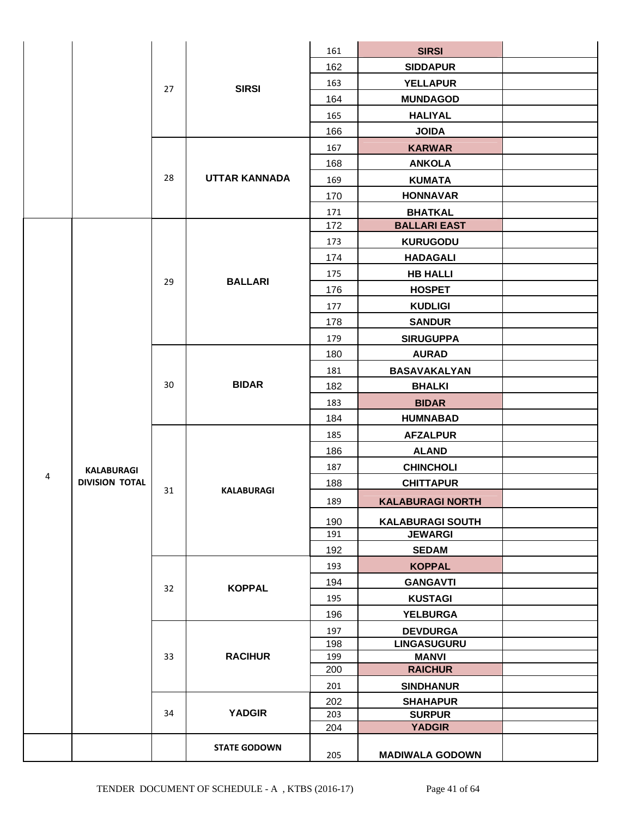|   |                                            |    |                      | 161        | <b>SIRSI</b>                       |  |
|---|--------------------------------------------|----|----------------------|------------|------------------------------------|--|
|   |                                            |    |                      | 162        | <b>SIDDAPUR</b>                    |  |
|   |                                            |    |                      | 163        | <b>YELLAPUR</b>                    |  |
|   |                                            | 27 | <b>SIRSI</b>         | 164        | <b>MUNDAGOD</b>                    |  |
|   |                                            |    |                      | 165        | <b>HALIYAL</b>                     |  |
|   |                                            |    |                      | 166        | <b>JOIDA</b>                       |  |
|   |                                            |    |                      | 167        | <b>KARWAR</b>                      |  |
|   |                                            |    |                      | 168        | <b>ANKOLA</b>                      |  |
|   |                                            | 28 | <b>UTTAR KANNADA</b> | 169        | <b>KUMATA</b>                      |  |
|   |                                            |    |                      | 170        | <b>HONNAVAR</b>                    |  |
|   |                                            |    |                      | 171        | <b>BHATKAL</b>                     |  |
|   |                                            |    |                      | 172        | <b>BALLARI EAST</b>                |  |
|   |                                            |    |                      | 173        | <b>KURUGODU</b>                    |  |
|   |                                            |    |                      | 174        | <b>HADAGALI</b>                    |  |
|   |                                            |    |                      | 175        | <b>HB HALLI</b>                    |  |
|   |                                            | 29 | <b>BALLARI</b>       | 176        | <b>HOSPET</b>                      |  |
|   |                                            |    |                      | 177        | <b>KUDLIGI</b>                     |  |
|   |                                            |    |                      | 178        | <b>SANDUR</b>                      |  |
|   |                                            |    |                      | 179        | <b>SIRUGUPPA</b>                   |  |
|   |                                            |    |                      | 180        | <b>AURAD</b>                       |  |
|   |                                            |    |                      | 181        | BASAVAKALYAN                       |  |
|   |                                            | 30 | <b>BIDAR</b>         | 182        | <b>BHALKI</b>                      |  |
|   |                                            |    |                      | 183        | <b>BIDAR</b>                       |  |
|   |                                            |    |                      | 184        | <b>HUMNABAD</b>                    |  |
|   |                                            |    |                      | 185        | <b>AFZALPUR</b>                    |  |
|   |                                            |    |                      | 186        | <b>ALAND</b>                       |  |
|   |                                            |    |                      | 187        | <b>CHINCHOLI</b>                   |  |
| 4 | <b>KALABURAGI</b><br><b>DIVISION TOTAL</b> |    |                      | 188        | <b>CHITTAPUR</b>                   |  |
|   |                                            | 31 | <b>KALABURAGI</b>    |            |                                    |  |
|   |                                            |    |                      | 189        | <b>KALABURAGI NORTH</b>            |  |
|   |                                            |    |                      | 190        | <b>KALABURAGI SOUTH</b>            |  |
|   |                                            |    |                      | 191        | <b>JEWARGI</b>                     |  |
|   |                                            |    |                      | 192        | <b>SEDAM</b>                       |  |
|   |                                            |    |                      | 193        | <b>KOPPAL</b>                      |  |
|   |                                            | 32 | <b>KOPPAL</b>        | 194        | <b>GANGAVTI</b>                    |  |
|   |                                            |    |                      | 195        | <b>KUSTAGI</b>                     |  |
|   |                                            |    |                      | 196        | <b>YELBURGA</b>                    |  |
|   |                                            |    |                      | 197        | <b>DEVDURGA</b>                    |  |
|   |                                            | 33 | <b>RACIHUR</b>       | 198<br>199 | <b>LINGASUGURU</b><br><b>MANVI</b> |  |
|   |                                            |    |                      | 200        | <b>RAICHUR</b>                     |  |
|   |                                            |    |                      | 201        | <b>SINDHANUR</b>                   |  |
|   |                                            |    |                      | 202        | <b>SHAHAPUR</b>                    |  |
|   |                                            | 34 | <b>YADGIR</b>        | 203        | <b>SURPUR</b>                      |  |
|   |                                            |    |                      | 204        | <b>YADGIR</b>                      |  |
|   |                                            |    | <b>STATE GODOWN</b>  |            |                                    |  |
|   |                                            |    |                      | 205        | <b>MADIWALA GODOWN</b>             |  |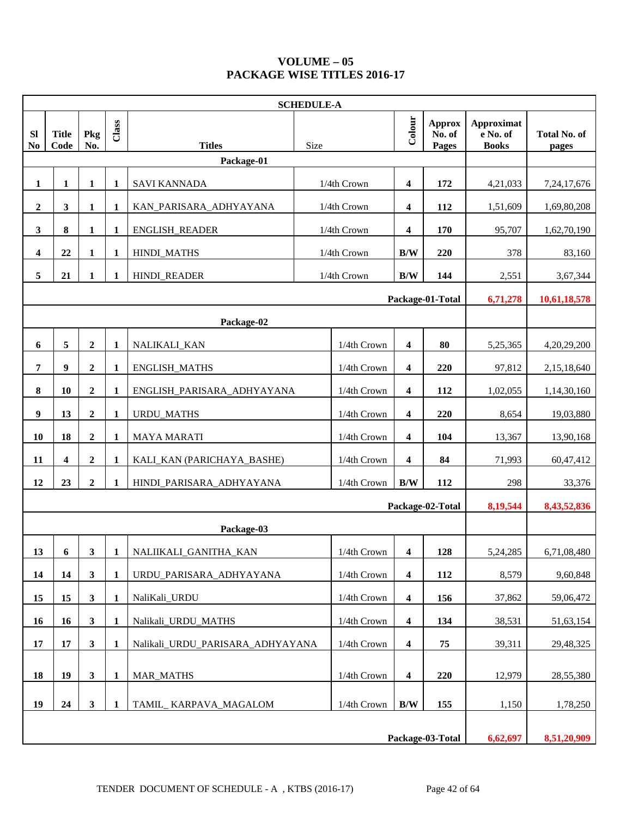## **VOLUME – 05 PACKAGE WISE TITLES 2016-17**

|                             | <b>SCHEDULE-A</b>                            |                  |              |                                                    |      |             |                         |                                  |                                        |                              |
|-----------------------------|----------------------------------------------|------------------|--------------|----------------------------------------------------|------|-------------|-------------------------|----------------------------------|----------------------------------------|------------------------------|
| <b>SI</b><br>N <sub>0</sub> | <b>Title</b><br>Code                         | Pkg<br>No.       | Class        | <b>Titles</b>                                      | Size |             | Colour                  | <b>Approx</b><br>No. of<br>Pages | Approximat<br>e No. of<br><b>Books</b> | <b>Total No. of</b><br>pages |
|                             |                                              |                  |              | Package-01                                         |      |             |                         |                                  |                                        |                              |
| 1                           | 1                                            | 1                | $\mathbf{1}$ | <b>SAVI KANNADA</b>                                |      | 1/4th Crown | $\overline{\mathbf{4}}$ | 172                              | 4,21,033                               | 7,24,17,676                  |
| $\boldsymbol{2}$            | $\mathbf{3}$                                 | 1                | 1            | KAN_PARISARA_ADHYAYANA                             |      | 1/4th Crown | 4                       | 112                              | 1,51,609                               | 1,69,80,208                  |
| $\mathbf{3}$                | 8                                            | 1                | 1            | ENGLISH_READER                                     |      | 1/4th Crown | 4                       | 170                              | 95,707                                 | 1,62,70,190                  |
| 4                           | 22                                           | $\mathbf{1}$     | 1            | <b>HINDI_MATHS</b>                                 |      | 1/4th Crown | $\mathbf{B}/\mathbf{W}$ | 220                              | 378                                    | 83,160                       |
| 5                           | 21                                           | 1                | 1            | <b>HINDI_READER</b>                                |      | 1/4th Crown | B/W                     | 144                              | 2,551                                  | 3,67,344                     |
|                             | Package-01-Total<br>6,71,278<br>10,61,18,578 |                  |              |                                                    |      |             |                         |                                  |                                        |                              |
|                             |                                              |                  |              | Package-02                                         |      |             |                         |                                  |                                        |                              |
| 6                           | 5                                            | $\boldsymbol{2}$ | $\mathbf{1}$ | NALIKALI_KAN                                       |      | 1/4th Crown | $\boldsymbol{4}$        | 80                               | 5,25,365                               | 4,20,29,200                  |
| 7                           | 9                                            | $\overline{2}$   | 1            | <b>ENGLISH_MATHS</b>                               |      | 1/4th Crown | 4                       | 220                              | 97,812                                 | 2,15,18,640                  |
| $\bf{8}$                    | 10                                           | $\boldsymbol{2}$ | 1            | ENGLISH_PARISARA_ADHYAYANA                         |      | 1/4th Crown | $\boldsymbol{4}$        | 112                              | 1,02,055                               | 1,14,30,160                  |
| 9                           | 13                                           | $\boldsymbol{2}$ | 1            | <b>URDU_MATHS</b>                                  |      | 1/4th Crown | $\boldsymbol{4}$        | 220                              | 8,654                                  | 19,03,880                    |
| 10                          | 18                                           | $\boldsymbol{2}$ | $\mathbf{1}$ | <b>MAYA MARATI</b>                                 |      | 1/4th Crown | $\boldsymbol{4}$        | 104                              | 13,367                                 | 13,90,168                    |
| 11                          | 4                                            | $\boldsymbol{2}$ | 1            | KALI_KAN (PARICHAYA_BASHE)                         |      | 1/4th Crown | 4                       | 84                               | 71,993                                 | 60,47,412                    |
| 12                          | 23                                           | $\overline{2}$   | 1            | HINDI_PARISARA_ADHYAYANA                           |      | 1/4th Crown | B/W                     | 112                              | 298                                    | 33,376                       |
|                             |                                              |                  |              |                                                    |      |             |                         | Package-02-Total                 | 8,19,544                               | 8,43,52,836                  |
|                             |                                              |                  |              | Package-03                                         |      |             |                         |                                  |                                        |                              |
| 13                          | 6                                            | $\mathbf{3}$     | 1            | NALIIKALI_GANITHA_KAN                              |      | 1/4th Crown | $\overline{\mathbf{4}}$ | 128                              | 5,24,285                               | 6,71,08,480                  |
| 14                          | 14                                           | $\mathbf{3}$     | $\mathbf{1}$ | URDU_PARISARA_ADHYAYANA                            |      | 1/4th Crown | $\boldsymbol{4}$        | 112                              | 8,579                                  | 9,60,848                     |
| 15                          | 15                                           | $\mathbf{3}$     | $\mathbf{1}$ | NaliKali_URDU                                      |      | 1/4th Crown | $\boldsymbol{4}$        | 156                              | 37,862                                 | 59,06,472                    |
| 16                          | 16                                           | $\mathbf{3}$     | $\mathbf{1}$ | Nalikali_URDU_MATHS                                |      | 1/4th Crown | 4                       | 134                              | 38,531                                 | 51,63,154                    |
| 17                          | 17                                           | $\mathbf{3}$     | 1            | Nalikali URDU PARISARA ADHYAYANA                   |      | 1/4th Crown | $\boldsymbol{4}$        | 75                               | 39,311                                 | 29,48,325                    |
| 18                          | 19                                           | $\mathbf{3}$     | $\mathbf{1}$ | <b>MAR MATHS</b>                                   |      | 1/4th Crown | $\overline{\mathbf{4}}$ | 220                              | 12,979                                 | 28,55,380                    |
| 19                          | 24                                           | $\mathbf{3}$     | 1            | $\rm\,B/W$<br>1/4th Crown<br>TAMIL_KARPAVA_MAGALOM |      |             | 155                     | 1,150                            | 1,78,250                               |                              |
|                             |                                              |                  |              |                                                    |      |             |                         | Package-03-Total                 | 6,62,697                               | 8,51,20,909                  |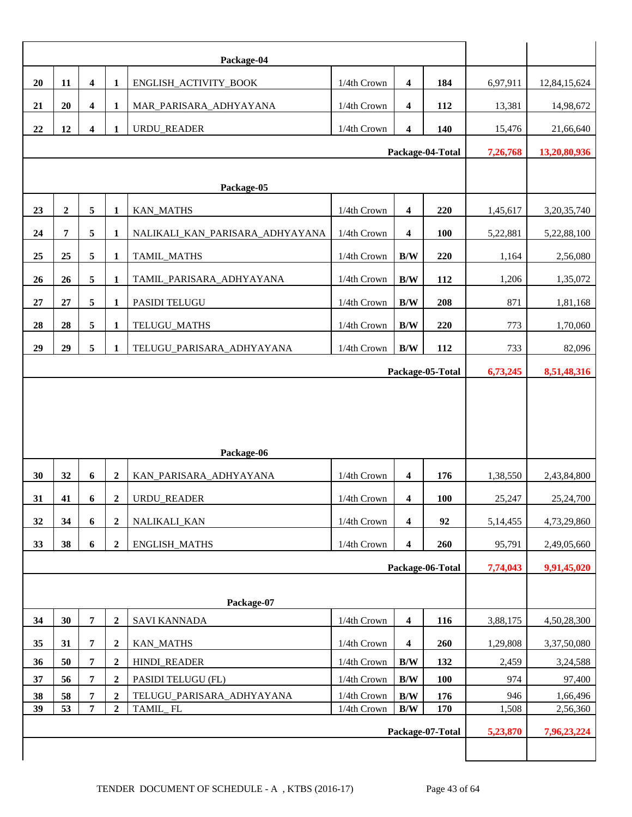| 20 | 11             | $\overline{\mathbf{4}}$ | 1                | ENGLISH_ACTIVITY_BOOK           | 1/4th Crown | 4                       | 184              | 6,97,911 | 12,84,15,624   |
|----|----------------|-------------------------|------------------|---------------------------------|-------------|-------------------------|------------------|----------|----------------|
| 21 | 20             | $\overline{\mathbf{4}}$ | 1                | MAR_PARISARA_ADHYAYANA          | 1/4th Crown | $\overline{\mathbf{4}}$ | 112              | 13,381   | 14,98,672      |
| 22 | 12             | 4                       | 1                | URDU_READER                     | 1/4th Crown | $\overline{\mathbf{4}}$ | 140              |          |                |
|    |                |                         |                  | 15,476                          | 21,66,640   |                         |                  |          |                |
|    |                |                         |                  |                                 |             |                         | Package-04-Total | 7,26,768 | 13,20,80,936   |
|    |                |                         |                  | Package-05                      |             |                         |                  |          |                |
| 23 | $\overline{2}$ | 5                       | 1                | KAN_MATHS                       | 1/4th Crown | $\overline{\mathbf{4}}$ | 220              | 1,45,617 | 3, 20, 35, 740 |
| 24 | 7              | 5                       | 1                | NALIKALI_KAN_PARISARA_ADHYAYANA | 1/4th Crown | 4                       | <b>100</b>       | 5,22,881 | 5,22,88,100    |
| 25 | 25             | 5                       | 1                | TAMIL_MATHS                     | 1/4th Crown | B/W                     | 220              | 1,164    | 2,56,080       |
| 26 | 26             | 5                       | 1                | TAMIL_PARISARA_ADHYAYANA        | 1/4th Crown | B/W                     | 112              | 1,206    | 1,35,072       |
| 27 | 27             | 5                       |                  |                                 |             | B/W                     | 208              |          |                |
|    |                |                         | 1                | PASIDI TELUGU                   | 1/4th Crown |                         |                  | 871      | 1,81,168       |
| 28 | 28             | 5                       | $\mathbf{1}$     | TELUGU_MATHS                    | 1/4th Crown | $\rm\,B/W$              | 220              | 773      | 1,70,060       |
| 29 | 29             | 5                       | 1                | TELUGU_PARISARA_ADHYAYANA       | 1/4th Crown | B/W                     | 112              | 733      | 82,096         |
|    |                |                         | Package-05-Total | 6,73,245                        | 8,51,48,316 |                         |                  |          |                |
|    |                |                         |                  | Package-06                      |             |                         |                  |          |                |
| 30 | 32             | 6                       | $\boldsymbol{2}$ | KAN_PARISARA_ADHYAYANA          | 1/4th Crown | $\overline{\mathbf{4}}$ | 176              | 1,38,550 | 2,43,84,800    |
| 31 | 41             | 6                       | $\boldsymbol{2}$ | <b>URDU READER</b>              | 1/4th Crown | 4                       | 100              | 25,247   | 25,24,700      |
| 32 | 34             | 6                       | $\overline{2}$   | NALIKALI_KAN                    | 1/4th Crown | $\overline{\mathbf{4}}$ | 92               | 5,14,455 | 4,73,29,860    |
| 33 | 38             | 6                       | $\overline{2}$   | <b>ENGLISH_MATHS</b>            | 1/4th Crown | $\overline{\mathbf{4}}$ | 260              | 95,791   | 2,49,05,660    |
|    |                |                         |                  |                                 |             |                         | Package-06-Total | 7,74,043 | 9,91,45,020    |
|    |                |                         |                  |                                 |             |                         |                  |          |                |
|    |                |                         |                  | Package-07                      |             |                         |                  |          |                |
| 34 | 30             | $\overline{7}$          | $\overline{2}$   | <b>SAVI KANNADA</b>             | 1/4th Crown | $\overline{\mathbf{4}}$ | 116              | 3,88,175 | 4,50,28,300    |
| 35 | 31             | $\overline{\mathbf{7}}$ | $\boldsymbol{2}$ | <b>KAN_MATHS</b>                | 1/4th Crown | $\overline{\mathbf{4}}$ | 260              | 1,29,808 | 3,37,50,080    |
| 36 | 50             | 7                       | $\boldsymbol{2}$ | <b>HINDI_READER</b>             | 1/4th Crown | B/W                     | 132              | 2,459    | 3,24,588       |
| 37 | 56             | 7                       | $\boldsymbol{2}$ | PASIDI TELUGU (FL)              | 1/4th Crown | B/W                     | 100              | 974      | 97,400         |
| 38 | 58             | 7                       | $\overline{2}$   | TELUGU_PARISARA_ADHYAYANA       | 1/4th Crown | B/W                     | 176              | 946      | 1,66,496       |
| 39 | 53             | 7                       | $\boldsymbol{2}$ | TAMIL_FL                        | 1/4th Crown | $\rm\,B/W$              | 170              | 1,508    | 2,56,360       |
|    |                |                         |                  |                                 |             |                         | Package-07-Total | 5,23,870 | 7,96,23,224    |
|    |                |                         |                  |                                 |             |                         |                  |          |                |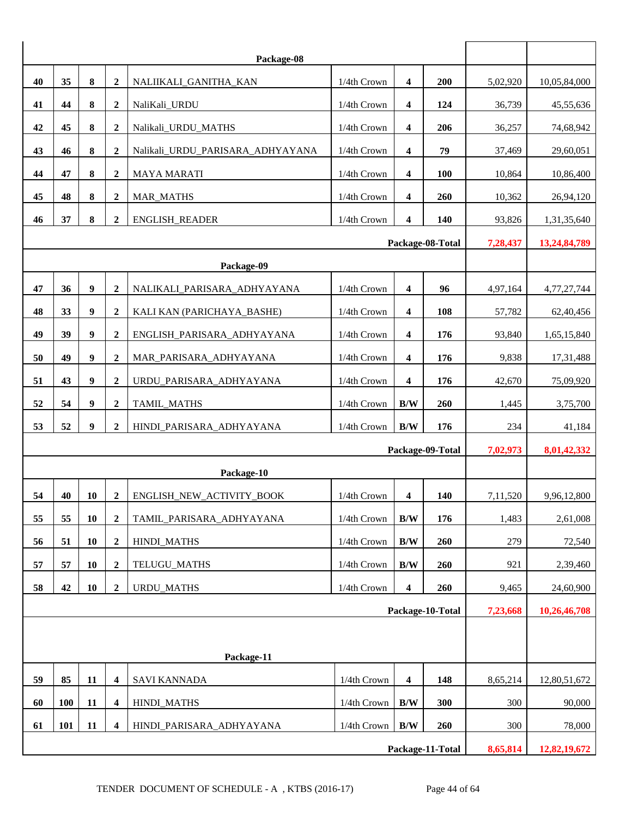|    |            |                  |                  | Package-08                       |             |                         |                  |          |              |
|----|------------|------------------|------------------|----------------------------------|-------------|-------------------------|------------------|----------|--------------|
| 40 | 35         | 8                | $\boldsymbol{2}$ | NALIIKALI_GANITHA_KAN            | 1/4th Crown | 4                       | 200              | 5,02,920 | 10,05,84,000 |
| 41 | 44         | 8                | $\boldsymbol{2}$ | NaliKali_URDU                    | 1/4th Crown | 4                       | 124              | 36,739   | 45,55,636    |
| 42 | 45         | 8                | $\boldsymbol{2}$ | Nalikali_URDU_MATHS              | 1/4th Crown | 4                       | 206              | 36,257   | 74,68,942    |
| 43 | 46         | 8                | $\overline{2}$   | Nalikali_URDU_PARISARA_ADHYAYANA | 1/4th Crown | 4                       | 79               | 37,469   | 29,60,051    |
| 44 | 47         | 8                | $\boldsymbol{2}$ | <b>MAYA MARATI</b>               | 1/4th Crown | 4                       | 100              | 10,864   | 10,86,400    |
| 45 | 48         | $\bf 8$          | $\mathbf 2$      | <b>MAR_MATHS</b>                 | 1/4th Crown | 4                       | 260              | 10,362   | 26,94,120    |
| 46 | 37         | 8                | $\boldsymbol{2}$ | <b>ENGLISH_READER</b>            | 1/4th Crown | $\overline{\mathbf{4}}$ | 140              | 93,826   | 1,31,35,640  |
|    |            |                  |                  |                                  |             |                         | Package-08-Total | 7,28,437 | 13,24,84,789 |
|    | Package-09 |                  |                  |                                  |             |                         |                  |          |              |
| 47 | 36         | $\boldsymbol{9}$ | $\boldsymbol{2}$ | NALIKALI_PARISARA_ADHYAYANA      | 1/4th Crown | 4                       | 96               | 4,97,164 | 4,77,27,744  |
| 48 | 33         | 9                | $\boldsymbol{2}$ | KALI KAN (PARICHAYA_BASHE)       | 1/4th Crown | 4                       | 108              | 57,782   | 62,40,456    |
| 49 | 39         | $\boldsymbol{9}$ | $\overline{2}$   | ENGLISH_PARISARA_ADHYAYANA       | 1/4th Crown | 4                       | 176              | 93,840   | 1,65,15,840  |
| 50 | 49         | $\boldsymbol{9}$ | $\boldsymbol{2}$ | MAR_PARISARA_ADHYAYANA           | 1/4th Crown | 4                       | 176              | 9,838    | 17,31,488    |
| 51 | 43         | $\boldsymbol{9}$ | $\overline{2}$   | URDU_PARISARA_ADHYAYANA          | 1/4th Crown | 4                       | 176              | 42,670   | 75,09,920    |
| 52 | 54         | $\boldsymbol{9}$ | $\boldsymbol{2}$ | TAMIL_MATHS                      | 1/4th Crown | B/W                     | 260              | 1,445    | 3,75,700     |
| 53 | 52         | $\boldsymbol{9}$ | $\overline{2}$   | HINDI_PARISARA_ADHYAYANA         | 1/4th Crown | B/W                     | 176              | 234      | 41,184       |
|    |            |                  |                  |                                  |             |                         | Package-09-Total | 7,02,973 | 8,01,42,332  |
|    |            |                  |                  | Package-10                       |             |                         |                  |          |              |
| 54 | 40         | 10               | $\boldsymbol{2}$ | ENGLISH_NEW_ACTIVITY_BOOK        | 1/4th Crown | 4                       | 140              | 7,11,520 | 9,96,12,800  |
| 55 | 55         | 10               | $\boldsymbol{2}$ | TAMIL_PARISARA_ADHYAYANA         | 1/4th Crown | B/W                     | 176              | 1,483    | 2,61,008     |
| 56 | 51         | 10               | $\boldsymbol{2}$ | HINDI_MATHS                      | 1/4th Crown | $\rm\,B/W$              | 260              | 279      | 72,540       |
| 57 | 57         | 10               | $\boldsymbol{2}$ | TELUGU_MATHS                     | 1/4th Crown | B/W                     | 260              | 921      | 2,39,460     |
| 58 | 42         | 10               | $\boldsymbol{2}$ | <b>URDU_MATHS</b>                | 1/4th Crown | 4                       | 260              | 9,465    | 24,60,900    |
|    |            |                  |                  |                                  |             |                         | Package-10-Total | 7,23,668 | 10,26,46,708 |
|    |            |                  |                  |                                  |             |                         |                  |          |              |
|    |            |                  |                  | Package-11                       |             |                         |                  |          |              |
| 59 | 85         | 11               | $\boldsymbol{4}$ | <b>SAVI KANNADA</b>              | 1/4th Crown | $\boldsymbol{4}$        | 148              | 8,65,214 | 12,80,51,672 |
| 60 | <b>100</b> | 11               | 4                | HINDI_MATHS                      | 1/4th Crown | B/W                     | 300              | 300      | 90,000       |
| 61 | 101        | 11               | 4                | HINDI_PARISARA_ADHYAYANA         | 1/4th Crown | $\rm\,B/W$              | 260              | 300      | 78,000       |
|    |            |                  |                  |                                  |             |                         | Package-11-Total | 8,65,814 | 12,82,19,672 |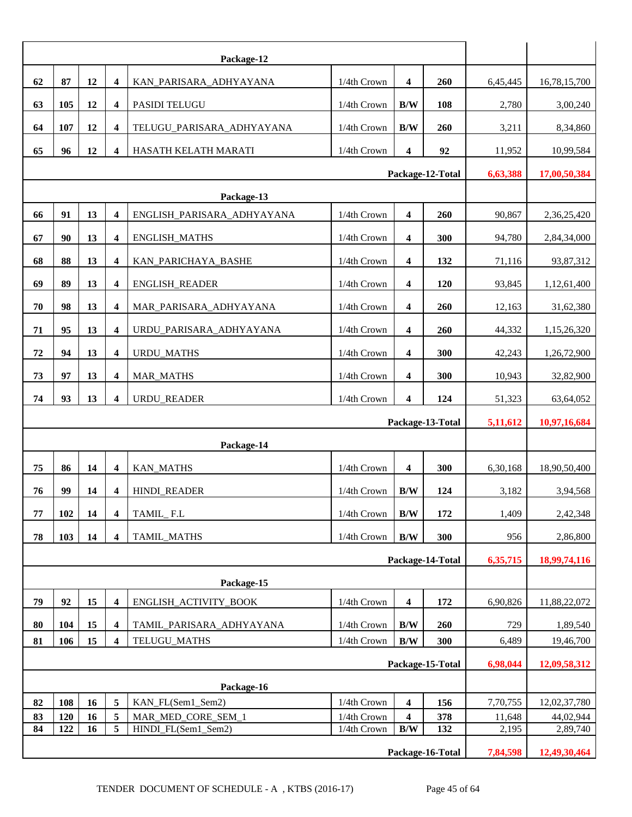| 62 | 87         | 12                                                                                                    | $\overline{\mathbf{4}}$ | KAN_PARISARA_ADHYAYANA     | 1/4th Crown  | $\boldsymbol{4}$        | 260              | 6,45,445 | 16,78,15,700 |
|----|------------|-------------------------------------------------------------------------------------------------------|-------------------------|----------------------------|--------------|-------------------------|------------------|----------|--------------|
| 63 | 105        | 12                                                                                                    | $\overline{\mathbf{4}}$ | PASIDI TELUGU              | 1/4th Crown  | $\mathbf{B}/\mathbf{W}$ | 108              | 2,780    | 3,00,240     |
| 64 | 107        | 12                                                                                                    | 4                       | TELUGU_PARISARA_ADHYAYANA  | 1/4th Crown  | B/W<br>260              |                  | 3,211    | 8,34,860     |
| 65 | 96         | 12<br>$\overline{\mathbf{4}}$<br>HASATH KELATH MARATI<br>1/4th Crown<br>$\overline{\mathbf{4}}$<br>92 |                         |                            |              |                         |                  | 11,952   | 10,99,584    |
|    |            |                                                                                                       | Package-12-Total        | 6,63,388                   | 17,00,50,384 |                         |                  |          |              |
|    | Package-13 |                                                                                                       |                         |                            |              |                         |                  |          |              |
| 66 | 91         | 13                                                                                                    | $\overline{\mathbf{4}}$ | ENGLISH_PARISARA_ADHYAYANA | 1/4th Crown  | $\boldsymbol{4}$        | 260              | 90,867   | 2,36,25,420  |
| 67 | 90         | 13                                                                                                    | $\overline{\mathbf{4}}$ | <b>ENGLISH_MATHS</b>       | 1/4th Crown  | 4                       | 300              | 94,780   | 2,84,34,000  |
| 68 | 88         | 13                                                                                                    | 4                       | KAN_PARICHAYA_BASHE        | 1/4th Crown  | 4                       | 132              | 71,116   | 93,87,312    |
| 69 | 89         | 13                                                                                                    | $\overline{\mathbf{4}}$ | ENGLISH_READER             | 1/4th Crown  | $\overline{\mathbf{4}}$ | 120              | 93,845   | 1,12,61,400  |
| 70 | 98         | 13                                                                                                    | 4                       | MAR_PARISARA_ADHYAYANA     | 1/4th Crown  | 4                       | 260              | 12,163   | 31,62,380    |
| 71 | 95         | 13                                                                                                    | $\overline{\mathbf{4}}$ | URDU_PARISARA_ADHYAYANA    | 1/4th Crown  | 4                       | 260              | 44,332   | 1,15,26,320  |
| 72 | 94         | 13                                                                                                    | $\overline{\mathbf{4}}$ | <b>URDU_MATHS</b>          | 1/4th Crown  | $\overline{\mathbf{4}}$ | 300              | 42,243   | 1,26,72,900  |
| 73 | 97         | 13                                                                                                    | $\overline{\mathbf{4}}$ | MAR_MATHS                  | 1/4th Crown  | $\boldsymbol{4}$        | 300              | 10,943   | 32,82,900    |
| 74 | 93         | 13                                                                                                    | $\overline{\mathbf{4}}$ | <b>URDU_READER</b>         | 1/4th Crown  | $\overline{\mathbf{4}}$ | 124              | 51,323   | 63,64,052    |
|    |            |                                                                                                       |                         |                            |              |                         | Package-13-Total | 5,11,612 | 10,97,16,684 |
|    |            |                                                                                                       |                         | Package-14                 |              |                         |                  |          |              |
|    |            |                                                                                                       |                         |                            |              |                         |                  |          |              |
| 75 | 86         | 14                                                                                                    | 4                       | <b>KAN_MATHS</b>           | 1/4th Crown  | 4                       | 300              | 6,30,168 | 18,90,50,400 |
| 76 | 99         | 14                                                                                                    | 4                       | <b>HINDI_READER</b>        | 1/4th Crown  | B/W                     | 124              | 3,182    | 3,94,568     |
| 77 | 102        | 14                                                                                                    | $\overline{\mathbf{4}}$ | TAMIL_F.L                  | 1/4th Crown  | $\rm\,B/W$              | 172              | 1,409    | 2,42,348     |
| 78 | 103        | 14                                                                                                    | $\overline{\mathbf{4}}$ | TAMIL_MATHS                | 1/4th Crown  | $\mathbf{B}/\mathbf{W}$ | 300              | 956      | 2,86,800     |
|    |            |                                                                                                       |                         |                            |              |                         | Package-14-Total | 6,35,715 | 18,99,74,116 |
|    |            |                                                                                                       |                         | Package-15                 |              |                         |                  |          |              |
| 79 | 92         | 15                                                                                                    | $\overline{\mathbf{4}}$ | ENGLISH_ACTIVITY_BOOK      | 1/4th Crown  | $\boldsymbol{4}$        | 172              | 6,90,826 | 11,88,22,072 |
| 80 | 104        | 15                                                                                                    | $\overline{\mathbf{4}}$ | TAMIL_PARISARA_ADHYAYANA   | 1/4th Crown  | $\rm\,B/W$              | 260              | 729      | 1,89,540     |
| 81 | 106        | 15                                                                                                    | 4                       | TELUGU_MATHS               | 1/4th Crown  | $\rm\,B/W$              | 300              | 6,489    | 19,46,700    |
|    |            |                                                                                                       |                         |                            |              |                         | Package-15-Total | 6,98,044 | 12,09,58,312 |
|    |            |                                                                                                       |                         | Package-16                 |              |                         |                  |          |              |
| 82 | 108        | 16                                                                                                    | 5                       | KAN_FL(Sem1_Sem2)          | 1/4th Crown  | $\boldsymbol{4}$        | 156              | 7,70,755 | 12,02,37,780 |
| 83 | 120        | 16                                                                                                    | 5                       | MAR_MED_CORE_SEM_1         | 1/4th Crown  | 4                       | 378              | 11,648   | 44,02,944    |
| 84 | 122        | 16                                                                                                    | 5                       | HINDI_FL(Sem1_Sem2)        | 1/4th Crown  | B/W                     | 132              | 2,195    | 2,89,740     |
|    |            |                                                                                                       |                         |                            |              |                         | Package-16-Total | 7,84,598 | 12,49,30,464 |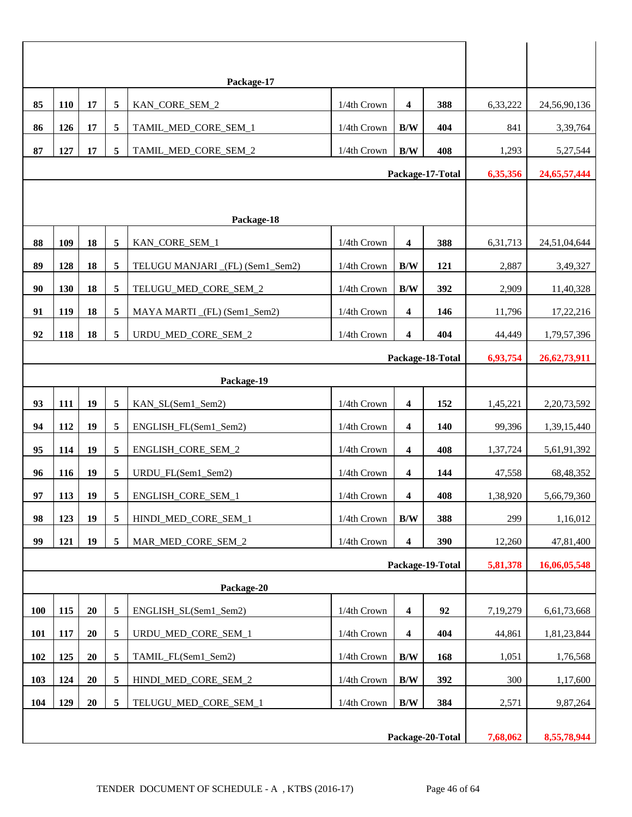|                  |     |        |                         | Package-17                      |               |                         |                  |          |                 |
|------------------|-----|--------|-------------------------|---------------------------------|---------------|-------------------------|------------------|----------|-----------------|
| 85               | 110 | 17     | 5                       | KAN_CORE_SEM_2                  | 1/4th Crown   | $\boldsymbol{4}$        | 388              | 6,33,222 | 24,56,90,136    |
| 86               | 126 | 17     | 5                       | TAMIL_MED_CORE_SEM_1            | 1/4th Crown   | B/W                     | 404              | 841      | 3,39,764        |
| 87               | 127 | 17     | $\sqrt{5}$              | TAMIL_MED_CORE_SEM_2            | 1/4th Crown   | B/W                     | 408              | 1,293    | 5,27,544        |
|                  |     |        |                         |                                 |               |                         | Package-17-Total | 6,35,356 | 24, 65, 57, 444 |
|                  |     |        |                         |                                 |               |                         |                  |          |                 |
|                  |     |        |                         | Package-18                      |               |                         |                  |          |                 |
| 88               | 109 | 18     | 5                       | KAN_CORE_SEM_1                  | 1/4th Crown   | $\overline{\mathbf{4}}$ | 388              | 6,31,713 | 24,51,04,644    |
| 89               | 128 | 18     | 5                       | TELUGU MANJARI (FL) (Sem1_Sem2) | 1/4th Crown   | B/W                     | 121              | 2,887    | 3,49,327        |
| 90               | 130 | 18     | 5                       | TELUGU_MED_CORE_SEM_2           | 1/4th Crown   | B/W                     | 392              | 2,909    | 11,40,328       |
| 91               | 119 | 18     | 5                       | MAYA MARTI_(FL) (Sem1_Sem2)     | $1/4th$ Crown | $\boldsymbol{4}$        | 146              | 11,796   | 17,22,216       |
| 92               | 118 | 18     | $\sqrt{5}$              | URDU_MED_CORE_SEM_2             | 1/4th Crown   | $\boldsymbol{4}$        | 404              | 44,449   | 1,79,57,396     |
| Package-18-Total |     |        |                         |                                 |               |                         |                  |          | 26, 62, 73, 911 |
| Package-19       |     |        |                         |                                 |               |                         |                  |          |                 |
| 93               | 111 | 19     | 5                       | KAN_SL(Sem1_Sem2)               | 1/4th Crown   | $\overline{\mathbf{4}}$ | 152              | 1,45,221 | 2,20,73,592     |
| 94               | 112 | 19     | 5                       | ENGLISH_FL(Sem1_Sem2)           | 1/4th Crown   | $\boldsymbol{4}$        | 140              | 99,396   | 1,39,15,440     |
| 95               | 114 | 19     | 5                       | ENGLISH_CORE_SEM_2              | 1/4th Crown   | 4                       | 408              | 1,37,724 | 5,61,91,392     |
| 96               | 116 | 19     | 5                       | URDU_FL(Sem1_Sem2)              | 1/4th Crown   | $\overline{\mathbf{4}}$ | 144              | 47,558   | 68,48,352       |
| 97               | 113 | 19     | $\overline{\mathbf{5}}$ | ENGLISH_CORE_SEM_1              | 1/4th Crown   | 4                       | 408              | 1,38,920 | 5,66,79,360     |
| 98               | 123 | 19     | 5                       | HINDI MED CORE SEM 1            | 1/4th Crown   | B/W                     | 388              | 299      | 1,16,012        |
| 99               | 121 | 19     | $\overline{5}$          | MAR_MED_CORE_SEM_2              | 1/4th Crown   | $\boldsymbol{4}$        | 390              | 12,260   | 47,81,400       |
|                  |     |        |                         |                                 |               |                         | Package-19-Total | 5,81,378 | 16,06,05,548    |
|                  |     |        |                         | Package-20                      |               |                         |                  |          |                 |
| 100              | 115 | 20     | 5                       | ENGLISH_SL(Sem1_Sem2)           | 1/4th Crown   | $\boldsymbol{4}$        | 92               | 7,19,279 | 6,61,73,668     |
| 101              | 117 | 20     | 5                       | URDU_MED_CORE_SEM_1             | 1/4th Crown   | $\boldsymbol{4}$        | 404              | 44,861   | 1,81,23,844     |
| 102              | 125 | $20\,$ | 5                       | TAMIL_FL(Sem1_Sem2)             | 1/4th Crown   | B/W                     | 168              | 1,051    | 1,76,568        |
| 103              | 124 | 20     | $\overline{\mathbf{5}}$ | HINDI_MED_CORE_SEM_2            | 1/4th Crown   | B/W                     | 392              | 300      | 1,17,600        |
| 104              | 129 | 20     | $\sqrt{5}$              | TELUGU_MED_CORE_SEM_1           | 1/4th Crown   | B/W                     | 384              | 2,571    | 9,87,264        |
|                  |     |        |                         |                                 |               |                         |                  |          |                 |
|                  |     |        |                         |                                 |               |                         | Package-20-Total | 7,68,062 | 8,55,78,944     |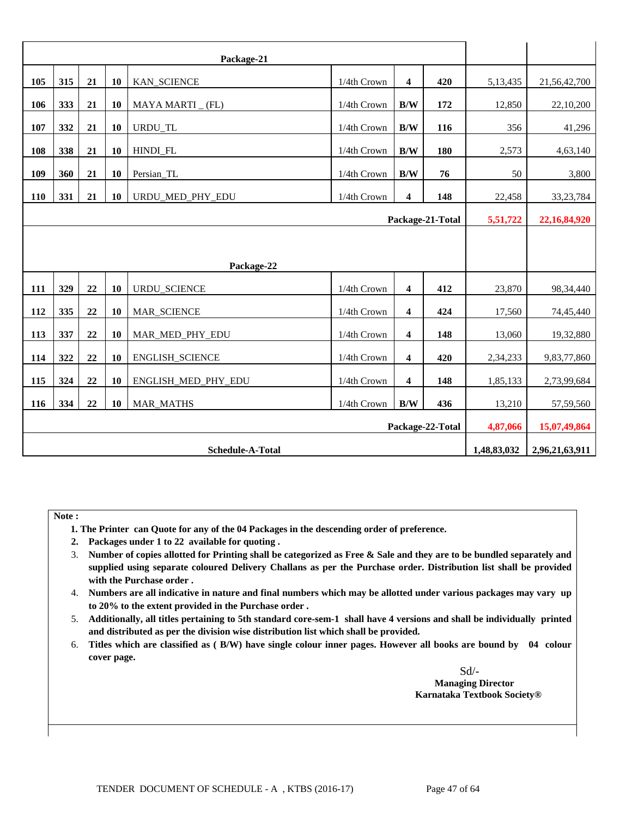|     |                  |    |           | Package-21          |             |                         |                  |             |                |
|-----|------------------|----|-----------|---------------------|-------------|-------------------------|------------------|-------------|----------------|
| 105 | 315              | 21 | 10        | KAN_SCIENCE         | 1/4th Crown | $\overline{\mathbf{4}}$ | 420              | 5,13,435    | 21,56,42,700   |
| 106 | 333              | 21 | 10        | MAYA MARTI _ (FL)   | 1/4th Crown | B/W                     | 172              | 12,850      | 22,10,200      |
| 107 | 332              | 21 | 10        | URDU_TL             | 1/4th Crown | B/W                     | 116              | 356         | 41,296         |
| 108 | 338              | 21 | 10        | HINDI_FL            | 1/4th Crown | B/W                     | 180              | 2,573       | 4,63,140       |
| 109 | 360              | 21 | 10        | Persian_TL          | 1/4th Crown | B/W                     | 76               | 50          | 3,800          |
| 110 | 331              | 21 | 10        | URDU_MED_PHY_EDU    | 1/4th Crown | $\overline{\mathbf{4}}$ | 148              | 22,458      | 33, 23, 784    |
|     |                  |    |           |                     |             |                         | Package-21-Total | 5,51,722    | 22,16,84,920   |
|     |                  |    |           |                     |             |                         |                  |             |                |
|     |                  |    |           | Package-22          |             |                         |                  |             |                |
| 111 | 329              | 22 | 10        | URDU_SCIENCE        | 1/4th Crown | $\overline{\mathbf{4}}$ | 412              | 23,870      | 98,34,440      |
| 112 | 335              | 22 | 10        | MAR_SCIENCE         | 1/4th Crown | $\overline{\mathbf{4}}$ | 424              | 17,560      | 74,45,440      |
| 113 | 337              | 22 | 10        | MAR_MED_PHY_EDU     | 1/4th Crown | $\overline{\mathbf{4}}$ | 148              | 13,060      | 19,32,880      |
| 114 | 322              | 22 | 10        | ENGLISH_SCIENCE     | 1/4th Crown | 4                       | 420              | 2,34,233    | 9,83,77,860    |
| 115 | 324              | 22 | <b>10</b> | ENGLISH_MED_PHY_EDU | 1/4th Crown | 4                       | 148              | 1,85,133    | 2,73,99,684    |
| 116 | 334              | 22 | 10        | <b>MAR_MATHS</b>    | 1/4th Crown | B/W                     | 436              | 13,210      | 57,59,560      |
|     |                  |    |           |                     |             |                         |                  |             |                |
|     | Package-22-Total |    |           |                     |             |                         |                  | 4,87,066    | 15,07,49,864   |
|     |                  |    |           | Schedule-A-Total    |             |                         |                  | 1,48,83,032 | 2,96,21,63,911 |

**Note :** 

- **1. The Printer can Quote for any of the 04 Packages in the descending order of preference.**
- **2. Packages under 1 to 22 available for quoting .**
- 3. **Number of copies allotted for Printing shall be categorized as Free & Sale and they are to be bundled separately and supplied using separate coloured Delivery Challans as per the Purchase order. Distribution list shall be provided with the Purchase order .**
- 4. **Numbers are all indicative in nature and final numbers which may be allotted under various packages may vary up to 20% to the extent provided in the Purchase order .**
- 5. **Additionally, all titles pertaining to 5th standard core-sem-1 shall have 4 versions and shall be individually printed and distributed as per the division wise distribution list which shall be provided.**
- 6. **Titles which are classified as ( B/W) have single colour inner pages. However all books are bound by 04 colour cover page.**

 Sd/- **Managing Director Karnataka Textbook Society®**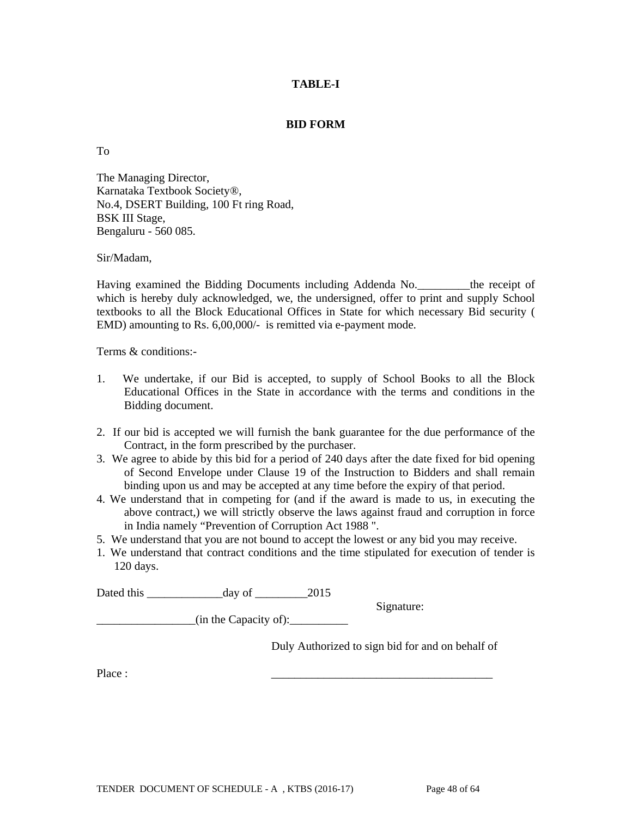### **TABLE-I**

#### **BID FORM**

To

The Managing Director, Karnataka Textbook Society®, No.4, DSERT Building, 100 Ft ring Road, BSK III Stage, Bengaluru - 560 085.

Sir/Madam,

Having examined the Bidding Documents including Addenda No. The receipt of which is hereby duly acknowledged, we, the undersigned, offer to print and supply School textbooks to all the Block Educational Offices in State for which necessary Bid security ( EMD) amounting to Rs. 6,00,000/- is remitted via e-payment mode.

Terms & conditions:-

- 1. We undertake, if our Bid is accepted, to supply of School Books to all the Block Educational Offices in the State in accordance with the terms and conditions in the Bidding document.
- 2. If our bid is accepted we will furnish the bank guarantee for the due performance of the Contract, in the form prescribed by the purchaser.
- 3. We agree to abide by this bid for a period of 240 days after the date fixed for bid opening of Second Envelope under Clause 19 of the Instruction to Bidders and shall remain binding upon us and may be accepted at any time before the expiry of that period.
- 4. We understand that in competing for (and if the award is made to us, in executing the above contract,) we will strictly observe the laws against fraud and corruption in force in India namely "Prevention of Corruption Act 1988 ".
- 5. We understand that you are not bound to accept the lowest or any bid you may receive.
- 1. We understand that contract conditions and the time stipulated for execution of tender is 120 days.

Dated this day of 2015

 $(in$  the Capacity of):

Duly Authorized to sign bid for and on behalf of

Signature:

Place : \_\_\_\_\_\_\_\_\_\_\_\_\_\_\_\_\_\_\_\_\_\_\_\_\_\_\_\_\_\_\_\_\_\_\_\_\_\_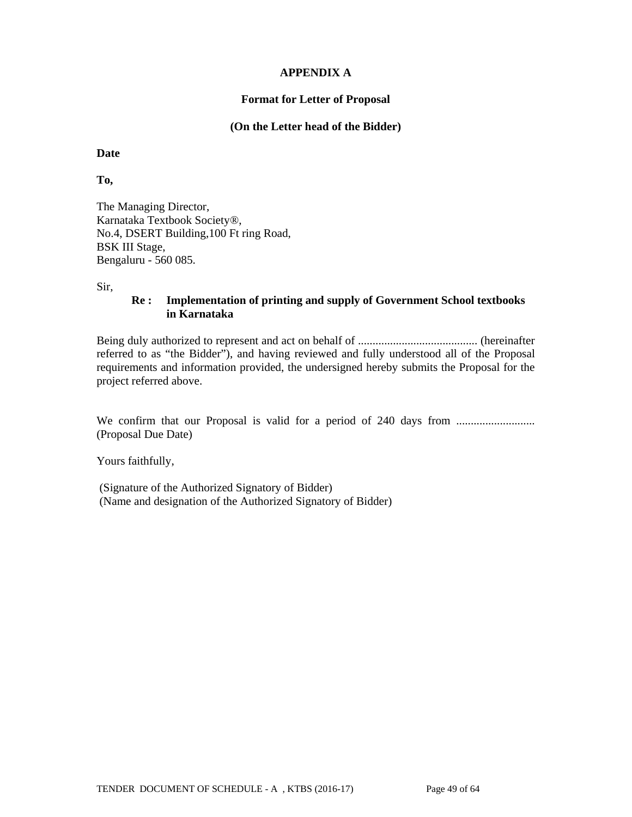### **APPENDIX A**

#### **Format for Letter of Proposal**

#### **(On the Letter head of the Bidder)**

#### **Date**

### **To,**

The Managing Director, Karnataka Textbook Society®, No.4, DSERT Building,100 Ft ring Road, BSK III Stage, Bengaluru - 560 085.

#### Sir,

## **Re : Implementation of printing and supply of Government School textbooks in Karnataka**

Being duly authorized to represent and act on behalf of ......................................... (hereinafter referred to as "the Bidder"), and having reviewed and fully understood all of the Proposal requirements and information provided, the undersigned hereby submits the Proposal for the project referred above.

We confirm that our Proposal is valid for a period of 240 days from ........................... (Proposal Due Date)

Yours faithfully,

 (Signature of the Authorized Signatory of Bidder) (Name and designation of the Authorized Signatory of Bidder)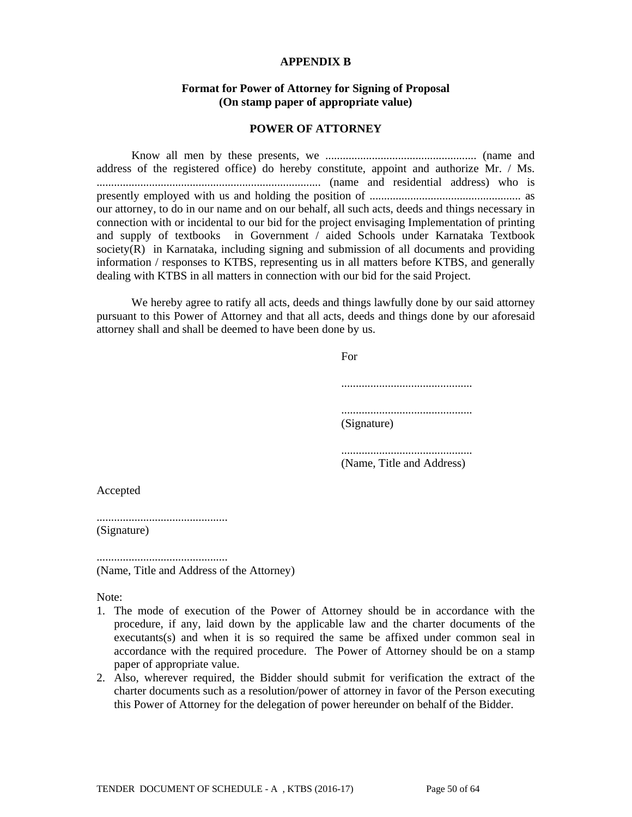#### **APPENDIX B**

#### **Format for Power of Attorney for Signing of Proposal (On stamp paper of appropriate value)**

#### **POWER OF ATTORNEY**

 Know all men by these presents, we .................................................... (name and address of the registered office) do hereby constitute, appoint and authorize Mr. / Ms. ............................................................................. (name and residential address) who is presently employed with us and holding the position of .................................................... as our attorney, to do in our name and on our behalf, all such acts, deeds and things necessary in connection with or incidental to our bid for the project envisaging Implementation of printing and supply of textbooks in Government / aided Schools under Karnataka Textbook society(R) in Karnataka, including signing and submission of all documents and providing information / responses to KTBS, representing us in all matters before KTBS, and generally dealing with KTBS in all matters in connection with our bid for the said Project.

 We hereby agree to ratify all acts, deeds and things lawfully done by our said attorney pursuant to this Power of Attorney and that all acts, deeds and things done by our aforesaid attorney shall and shall be deemed to have been done by us.

 For ............................................. ............................................. (Signature) ............................................. (Name, Title and Address)

Accepted

............................................. (Signature)

.............................................

(Name, Title and Address of the Attorney)

Note:

- 1. The mode of execution of the Power of Attorney should be in accordance with the procedure, if any, laid down by the applicable law and the charter documents of the executants(s) and when it is so required the same be affixed under common seal in accordance with the required procedure. The Power of Attorney should be on a stamp paper of appropriate value.
- 2. Also, wherever required, the Bidder should submit for verification the extract of the charter documents such as a resolution/power of attorney in favor of the Person executing this Power of Attorney for the delegation of power hereunder on behalf of the Bidder.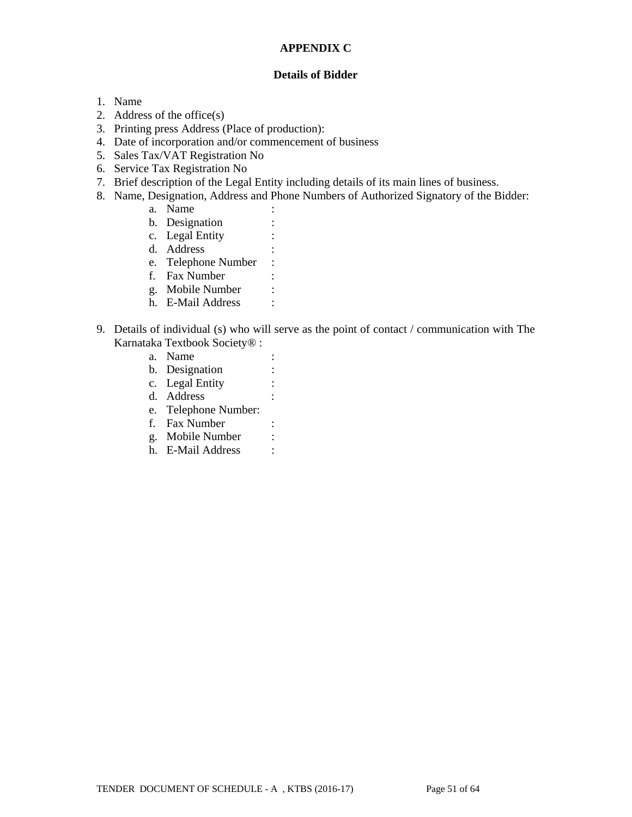## **APPENDIX C**

#### **Details of Bidder**

- 1. Name
- 2. Address of the office(s)
- 3. Printing press Address (Place of production):
- 4. Date of incorporation and/or commencement of business
- 5. Sales Tax/VAT Registration No
- 6. Service Tax Registration No
- 7. Brief description of the Legal Entity including details of its main lines of business.
- 8. Name, Designation, Address and Phone Numbers of Authorized Signatory of the Bidder:
	- a. Name :
	- b. Designation :
	- c. Legal Entity :
	- d. Address :
	- e. Telephone Number :
	- f. Fax Number :
	- g. Mobile Number :
	- h. E-Mail Address :
- 9. Details of individual (s) who will serve as the point of contact / communication with The Karnataka Textbook Society® :
	- a. Name :
	- b. Designation :
	- c. Legal Entity :
	- d. Address :
	- e. Telephone Number:
	- f. Fax Number :
	- g. Mobile Number :
	- h. E-Mail Address :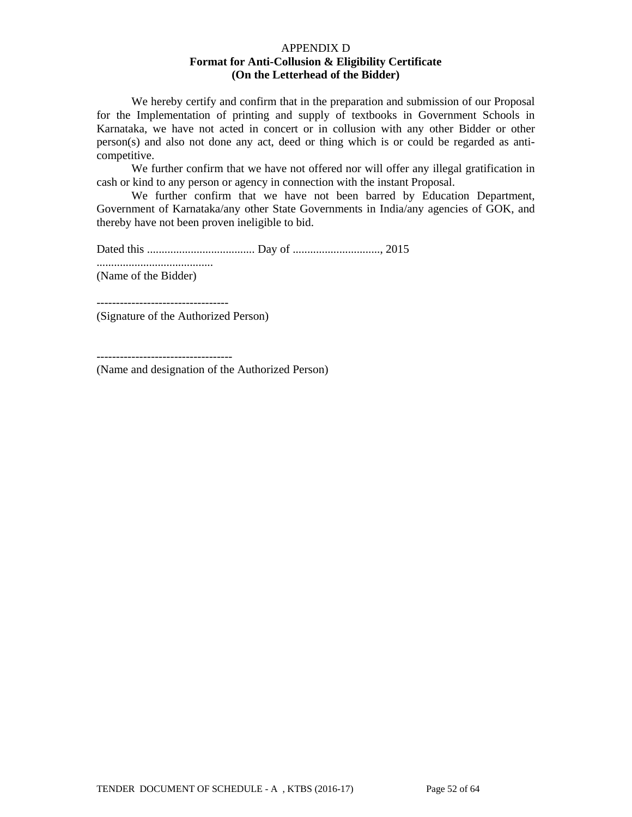#### APPENDIX D **Format for Anti-Collusion & Eligibility Certificate (On the Letterhead of the Bidder)**

 We hereby certify and confirm that in the preparation and submission of our Proposal for the Implementation of printing and supply of textbooks in Government Schools in Karnataka, we have not acted in concert or in collusion with any other Bidder or other person(s) and also not done any act, deed or thing which is or could be regarded as anticompetitive.

 We further confirm that we have not offered nor will offer any illegal gratification in cash or kind to any person or agency in connection with the instant Proposal.

 We further confirm that we have not been barred by Education Department, Government of Karnataka/any other State Governments in India/any agencies of GOK, and thereby have not been proven ineligible to bid.

Dated this ..................................... Day of .............................., 2015 ........................................ (Name of the Bidder)

---------------------------------- (Signature of the Authorized Person)

-----------------------------------

(Name and designation of the Authorized Person)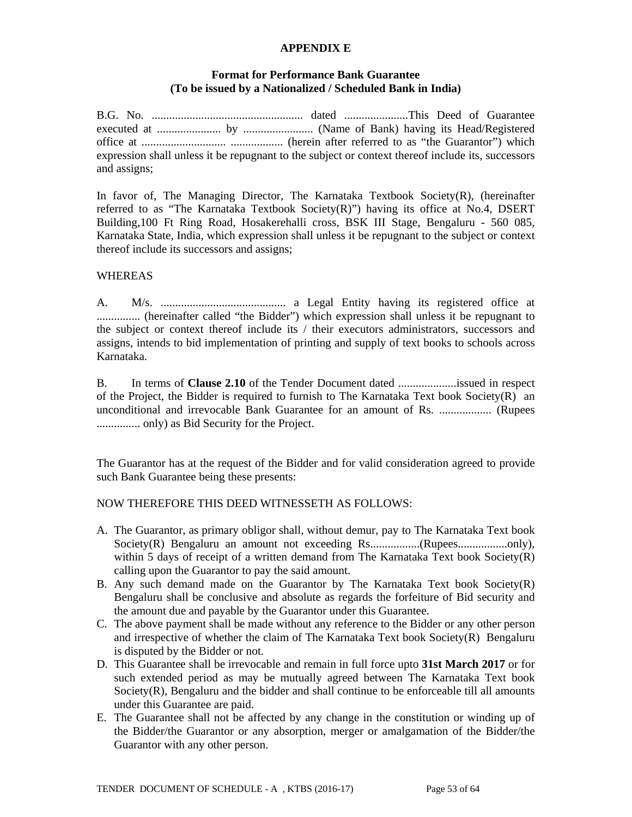### **APPENDIX E**

#### **Format for Performance Bank Guarantee (To be issued by a Nationalized / Scheduled Bank in India)**

B.G. No. .................................................... dated ......................This Deed of Guarantee executed at ...................... by ........................ (Name of Bank) having its Head/Registered office at ............................. .................. (herein after referred to as "the Guarantor") which expression shall unless it be repugnant to the subject or context thereof include its, successors and assigns;

In favor of, The Managing Director, The Karnataka Textbook Society(R), (hereinafter referred to as "The Karnataka Textbook Society $(R)$ ") having its office at No.4, DSERT Building,100 Ft Ring Road, Hosakerehalli cross, BSK III Stage, Bengaluru - 560 085, Karnataka State, India, which expression shall unless it be repugnant to the subject or context thereof include its successors and assigns;

### WHEREAS

A. M/s. ........................................... a Legal Entity having its registered office at ............... (hereinafter called "the Bidder") which expression shall unless it be repugnant to the subject or context thereof include its / their executors administrators, successors and assigns, intends to bid implementation of printing and supply of text books to schools across Karnataka.

B. In terms of **Clause 2.10** of the Tender Document dated ....................issued in respect of the Project, the Bidder is required to furnish to The Karnataka Text book Society $(R)$  an unconditional and irrevocable Bank Guarantee for an amount of Rs. .................. (Rupees ............... only) as Bid Security for the Project.

The Guarantor has at the request of the Bidder and for valid consideration agreed to provide such Bank Guarantee being these presents:

#### NOW THEREFORE THIS DEED WITNESSETH AS FOLLOWS:

- A. The Guarantor, as primary obligor shall, without demur, pay to The Karnataka Text book Society(R) Bengaluru an amount not exceeding Rs.................(Rupees.................only), within 5 days of receipt of a written demand from The Karnataka Text book  $Society(R)$ calling upon the Guarantor to pay the said amount.
- B. Any such demand made on the Guarantor by The Karnataka Text book Society(R) Bengaluru shall be conclusive and absolute as regards the forfeiture of Bid security and the amount due and payable by the Guarantor under this Guarantee.
- C. The above payment shall be made without any reference to the Bidder or any other person and irrespective of whether the claim of The Karnataka Text book Society(R) Bengaluru is disputed by the Bidder or not.
- D. This Guarantee shall be irrevocable and remain in full force upto **31st March 2017** or for such extended period as may be mutually agreed between The Karnataka Text book Society(R), Bengaluru and the bidder and shall continue to be enforceable till all amounts under this Guarantee are paid.
- E. The Guarantee shall not be affected by any change in the constitution or winding up of the Bidder/the Guarantor or any absorption, merger or amalgamation of the Bidder/the Guarantor with any other person.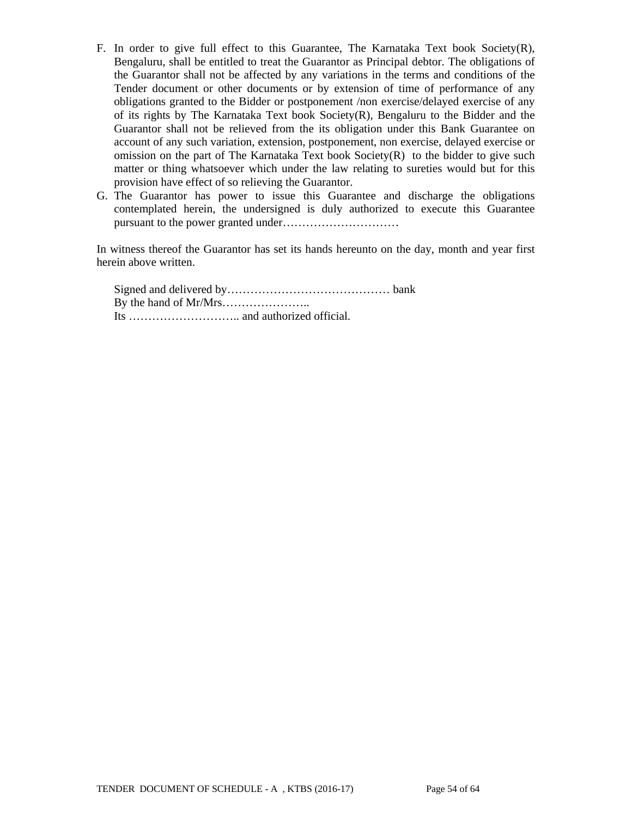- F. In order to give full effect to this Guarantee, The Karnataka Text book Society $(R)$ , Bengaluru, shall be entitled to treat the Guarantor as Principal debtor. The obligations of the Guarantor shall not be affected by any variations in the terms and conditions of the Tender document or other documents or by extension of time of performance of any obligations granted to the Bidder or postponement /non exercise/delayed exercise of any of its rights by The Karnataka Text book Society(R), Bengaluru to the Bidder and the Guarantor shall not be relieved from the its obligation under this Bank Guarantee on account of any such variation, extension, postponement, non exercise, delayed exercise or omission on the part of The Karnataka Text book  $Society(R)$  to the bidder to give such matter or thing whatsoever which under the law relating to sureties would but for this provision have effect of so relieving the Guarantor.
- G. The Guarantor has power to issue this Guarantee and discharge the obligations contemplated herein, the undersigned is duly authorized to execute this Guarantee pursuant to the power granted under…………………………

In witness thereof the Guarantor has set its hands hereunto on the day, month and year first herein above written.

Signed and delivered by…………………………………… bank By the hand of Mr/Mrs………………….. Its ……………………….. and authorized official.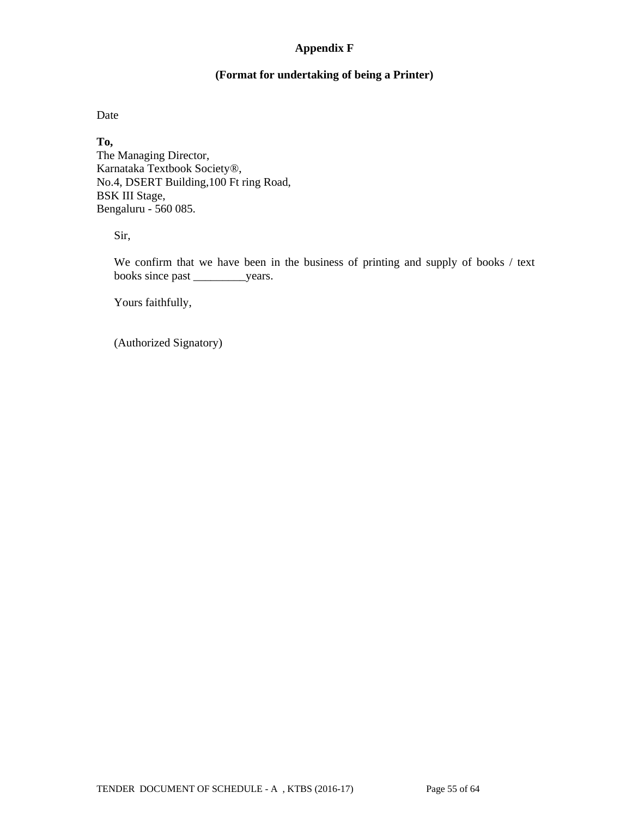## **Appendix F**

## **(Format for undertaking of being a Printer)**

Date

**To,**  The Managing Director, Karnataka Textbook Society®, No.4, DSERT Building,100 Ft ring Road, BSK III Stage, Bengaluru - 560 085.

Sir,

We confirm that we have been in the business of printing and supply of books / text books since past \_\_\_\_\_\_\_\_\_years.

Yours faithfully,

(Authorized Signatory)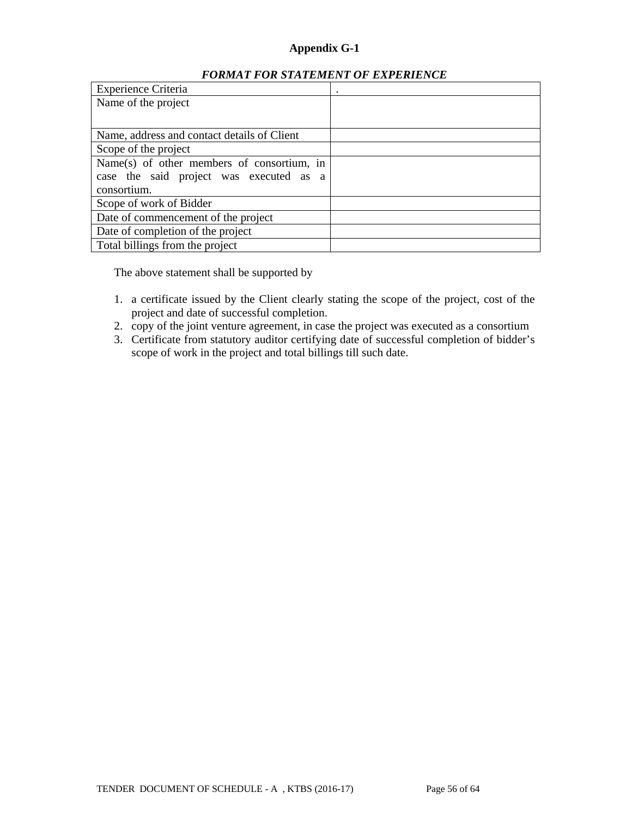## **Appendix G-1**

#### *FORMAT FOR STATEMENT OF EXPERIENCE*

| <b>Experience Criteria</b>                  | $\bullet$ |
|---------------------------------------------|-----------|
| Name of the project                         |           |
|                                             |           |
| Name, address and contact details of Client |           |
| Scope of the project                        |           |
| Name(s) of other members of consortium, in  |           |
| case the said project was executed as a     |           |
| consortium.                                 |           |
| Scope of work of Bidder                     |           |
| Date of commencement of the project         |           |
| Date of completion of the project           |           |
| Total billings from the project             |           |

The above statement shall be supported by

- 1. a certificate issued by the Client clearly stating the scope of the project, cost of the project and date of successful completion.
- 2. copy of the joint venture agreement, in case the project was executed as a consortium
- 3. Certificate from statutory auditor certifying date of successful completion of bidder's scope of work in the project and total billings till such date.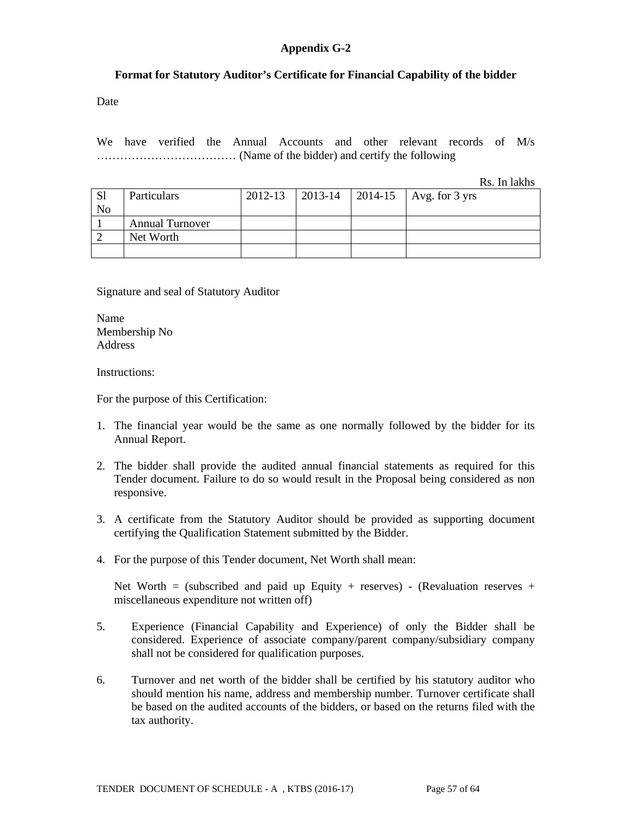## **Appendix G-2**

#### **Format for Statutory Auditor's Certificate for Financial Capability of the bidder**

Date

We have verified the Annual Accounts and other relevant records of M/s ……………………………… (Name of the bidder) and certify the following

Rs. In lakhs

| <sub>S1</sub>  | <b>Particulars</b>     | 2012-13 |  | 2013-14   2014-15   Avg. for 3 yrs |
|----------------|------------------------|---------|--|------------------------------------|
| N <sub>o</sub> |                        |         |  |                                    |
|                | <b>Annual Turnover</b> |         |  |                                    |
|                | Net Worth              |         |  |                                    |
|                |                        |         |  |                                    |

Signature and seal of Statutory Auditor

Name Membership No Address

Instructions:

For the purpose of this Certification:

- 1. The financial year would be the same as one normally followed by the bidder for its Annual Report.
- 2. The bidder shall provide the audited annual financial statements as required for this Tender document. Failure to do so would result in the Proposal being considered as non responsive.
- 3. A certificate from the Statutory Auditor should be provided as supporting document certifying the Qualification Statement submitted by the Bidder.
- 4. For the purpose of this Tender document, Net Worth shall mean:

Net Worth = (subscribed and paid up Equity + reserves) - (Revaluation reserves + miscellaneous expenditure not written off)

- 5. Experience (Financial Capability and Experience) of only the Bidder shall be considered. Experience of associate company/parent company/subsidiary company shall not be considered for qualification purposes.
- 6. Turnover and net worth of the bidder shall be certified by his statutory auditor who should mention his name, address and membership number. Turnover certificate shall be based on the audited accounts of the bidders, or based on the returns filed with the tax authority.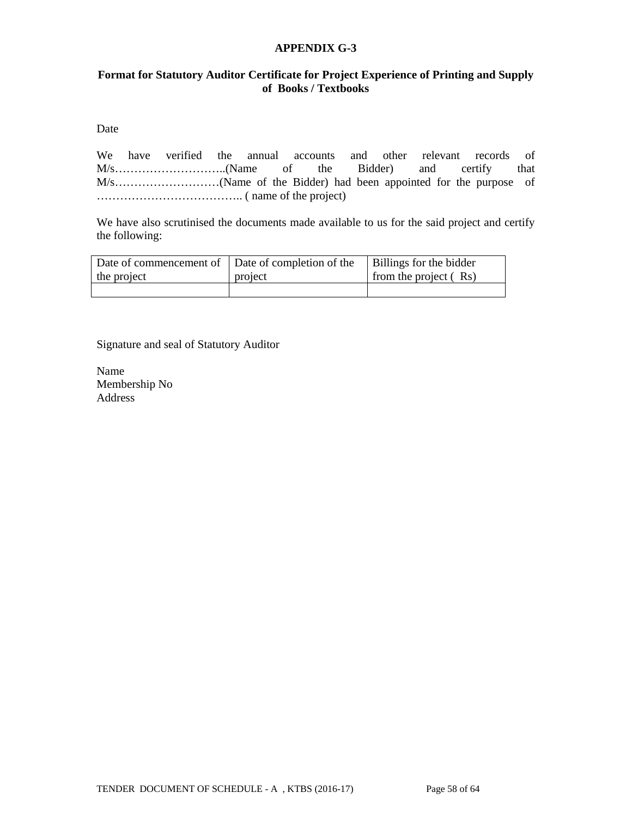### **APPENDIX G-3**

### **Format for Statutory Auditor Certificate for Project Experience of Printing and Supply of Books / Textbooks**

Date

We have verified the annual accounts and other relevant records of M/s………………………..(Name of the Bidder) and certify that M/s………………………(Name of the Bidder) had been appointed for the purpose of ……………………………….. ( name of the project)

We have also scrutinised the documents made available to us for the said project and certify the following:

|             | Date of commencement of   Date of completion of the   Billings for the bidder |                         |
|-------------|-------------------------------------------------------------------------------|-------------------------|
| the project | project                                                                       | from the project $(Rs)$ |
|             |                                                                               |                         |

Signature and seal of Statutory Auditor

Name Membership No Address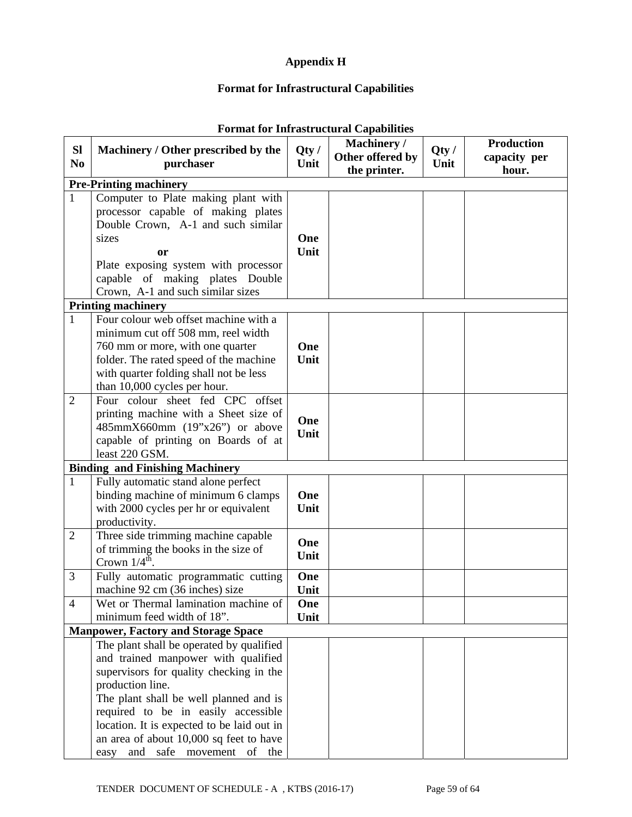## **Appendix H**

# **Format for Infrastructural Capabilities**

| SI             | Machinery / Other prescribed by the                                          | Qty/ | Machinery /      | Qty/ | <b>Production</b> |
|----------------|------------------------------------------------------------------------------|------|------------------|------|-------------------|
| N <sub>0</sub> | purchaser                                                                    | Unit | Other offered by | Unit | capacity per      |
|                |                                                                              |      | the printer.     |      | hour.             |
| $\mathbf{1}$   | <b>Pre-Printing machinery</b>                                                |      |                  |      |                   |
|                | Computer to Plate making plant with<br>processor capable of making plates    |      |                  |      |                   |
|                | Double Crown, A-1 and such similar                                           |      |                  |      |                   |
|                | sizes                                                                        | One  |                  |      |                   |
|                | or                                                                           | Unit |                  |      |                   |
|                | Plate exposing system with processor                                         |      |                  |      |                   |
|                | capable of making plates Double                                              |      |                  |      |                   |
|                | Crown, A-1 and such similar sizes                                            |      |                  |      |                   |
|                | <b>Printing machinery</b>                                                    |      |                  |      |                   |
| $\mathbf{1}$   | Four colour web offset machine with a                                        |      |                  |      |                   |
|                | minimum cut off 508 mm, reel width                                           |      |                  |      |                   |
|                | 760 mm or more, with one quarter                                             | One  |                  |      |                   |
|                | folder. The rated speed of the machine                                       | Unit |                  |      |                   |
|                | with quarter folding shall not be less                                       |      |                  |      |                   |
|                | than 10,000 cycles per hour.                                                 |      |                  |      |                   |
| 2              | Four colour sheet fed CPC offset                                             |      |                  |      |                   |
|                | printing machine with a Sheet size of                                        | One  |                  |      |                   |
|                | $485mmX660mm$ (19"x26") or above                                             | Unit |                  |      |                   |
|                | capable of printing on Boards of at                                          |      |                  |      |                   |
|                | least 220 GSM.                                                               |      |                  |      |                   |
|                | <b>Binding and Finishing Machinery</b>                                       |      |                  |      |                   |
| $\mathbf{1}$   | Fully automatic stand alone perfect                                          | One  |                  |      |                   |
|                | binding machine of minimum 6 clamps<br>with 2000 cycles per hr or equivalent | Unit |                  |      |                   |
|                | productivity.                                                                |      |                  |      |                   |
| $\overline{2}$ | Three side trimming machine capable                                          |      |                  |      |                   |
|                | of trimming the books in the size of                                         | One  |                  |      |                   |
|                | Crown $1/4^{\text{th}}$ .                                                    | Unit |                  |      |                   |
| $\mathfrak{Z}$ | Fully automatic programmatic cutting                                         | One  |                  |      |                   |
|                | machine 92 cm (36 inches) size                                               | Unit |                  |      |                   |
| $\overline{4}$ | Wet or Thermal lamination machine of                                         | One  |                  |      |                   |
|                | minimum feed width of 18".                                                   | Unit |                  |      |                   |
|                | <b>Manpower, Factory and Storage Space</b>                                   |      |                  |      |                   |
|                | The plant shall be operated by qualified                                     |      |                  |      |                   |
|                | and trained manpower with qualified                                          |      |                  |      |                   |
|                | supervisors for quality checking in the                                      |      |                  |      |                   |
|                | production line.                                                             |      |                  |      |                   |
|                | The plant shall be well planned and is                                       |      |                  |      |                   |
|                | required to be in easily accessible                                          |      |                  |      |                   |
|                | location. It is expected to be laid out in                                   |      |                  |      |                   |
|                | an area of about 10,000 sq feet to have                                      |      |                  |      |                   |
|                | and safe movement of the<br>easy                                             |      |                  |      |                   |

## **Format for Infrastructural Capabilities**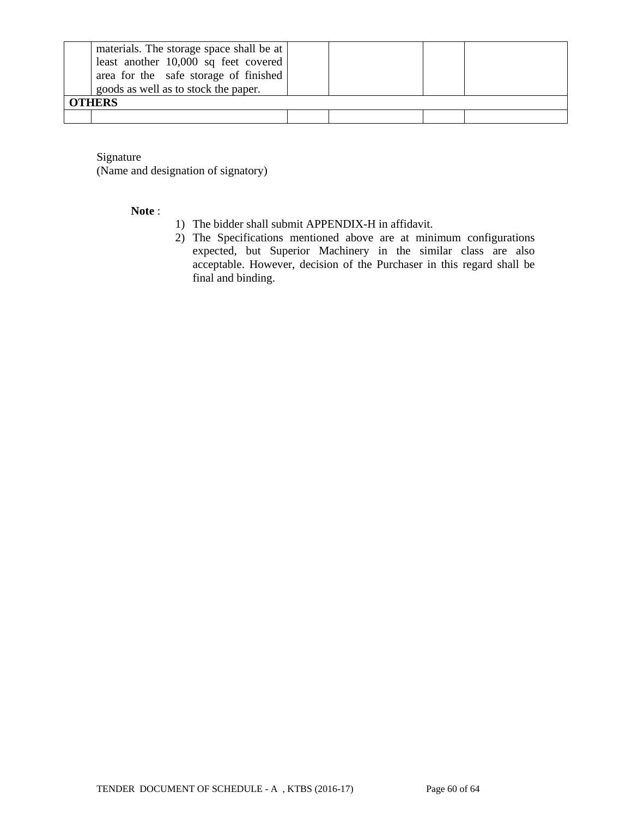| materials. The storage space shall be at  <br>least another $10,000$ sq feet covered<br>area for the safe storage of finished<br>goods as well as to stock the paper.<br><b>OTHERS</b> |  |  |
|----------------------------------------------------------------------------------------------------------------------------------------------------------------------------------------|--|--|
|                                                                                                                                                                                        |  |  |

Signature

(Name and designation of signatory)

#### **Note** :

- 1) The bidder shall submit APPENDIX-H in affidavit.
- 2) The Specifications mentioned above are at minimum configurations expected, but Superior Machinery in the similar class are also acceptable. However, decision of the Purchaser in this regard shall be final and binding.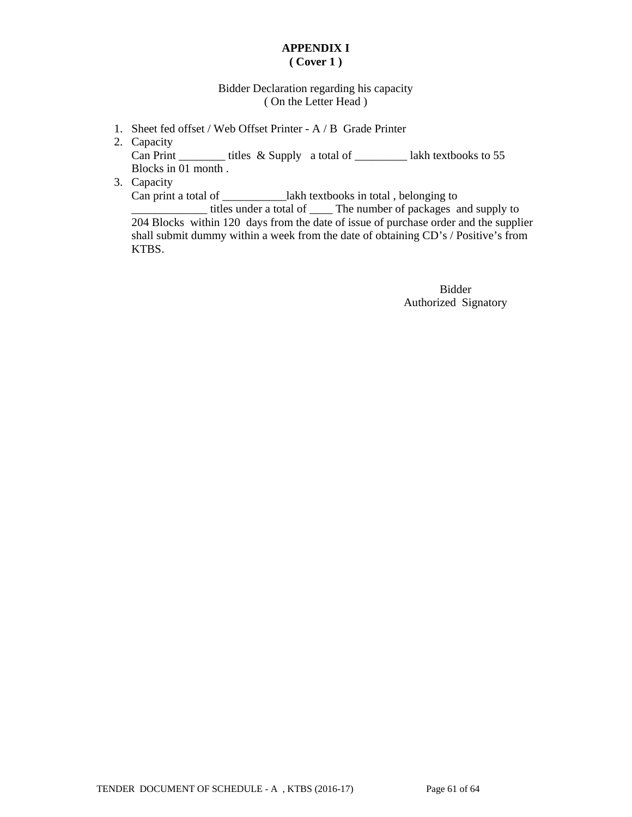## **APPENDIX I ( Cover 1 )**

### Bidder Declaration regarding his capacity ( On the Letter Head )

- 1. Sheet fed offset / Web Offset Printer A / B Grade Printer
- 2. Capacity Can Print \_\_\_\_\_\_\_\_\_\_ titles & Supply a total of \_\_\_\_\_\_\_\_\_\_\_\_ lakh textbooks to 55 Blocks in 01 month .
- 3. Capacity

Can print a total of \_\_\_\_\_\_\_\_\_\_\_lakh textbooks in total , belonging to

\_\_\_\_\_\_\_\_\_\_\_\_\_ titles under a total of \_\_\_\_ The number of packages and supply to 204 Blocks within 120 days from the date of issue of purchase order and the supplier shall submit dummy within a week from the date of obtaining CD's / Positive's from KTBS.

> Bidder Authorized Signatory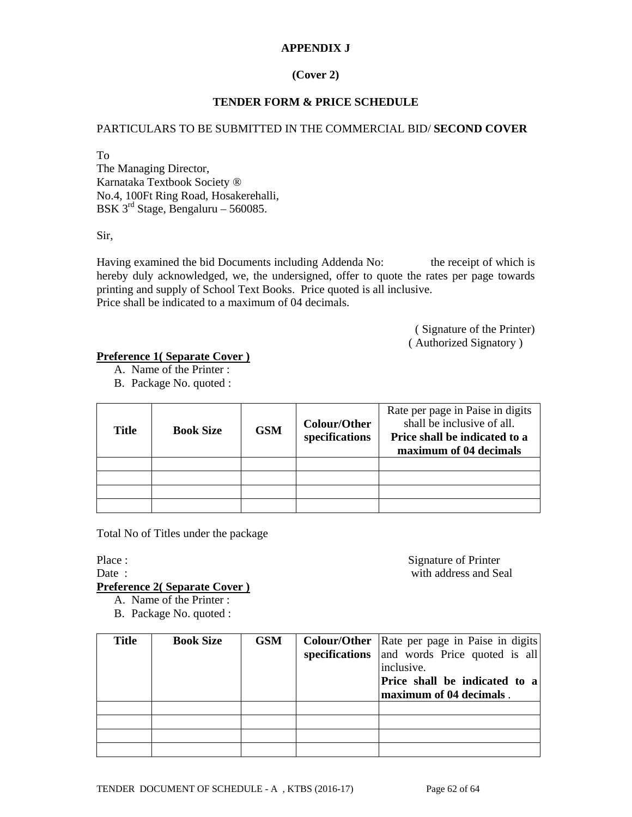## **APPENDIX J**

## **(Cover 2)**

## **TENDER FORM & PRICE SCHEDULE**

### PARTICULARS TO BE SUBMITTED IN THE COMMERCIAL BID/ **SECOND COVER**

To

The Managing Director, Karnataka Textbook Society ® No.4, 100Ft Ring Road, Hosakerehalli, BSK 3rd Stage, Bengaluru – 560085.

Sir,

Having examined the bid Documents including Addenda No: the receipt of which is hereby duly acknowledged, we, the undersigned, offer to quote the rates per page towards printing and supply of School Text Books. Price quoted is all inclusive. Price shall be indicated to a maximum of 04 decimals.

> ( Signature of the Printer) ( Authorized Signatory )

#### **Preference 1( Separate Cover )**

- A. Name of the Printer :
- B. Package No. quoted :

| <b>Title</b> | <b>Book Size</b> | <b>GSM</b> | Colour/Other<br>specifications | Rate per page in Paise in digits<br>shall be inclusive of all.<br>Price shall be indicated to a<br>maximum of 04 decimals |
|--------------|------------------|------------|--------------------------------|---------------------------------------------------------------------------------------------------------------------------|
|              |                  |            |                                |                                                                                                                           |
|              |                  |            |                                |                                                                                                                           |
|              |                  |            |                                |                                                                                                                           |
|              |                  |            |                                |                                                                                                                           |

Total No of Titles under the package

Place : Signature of Printer Date : with address and Seal

## **Preference 2( Separate Cover )**

- A. Name of the Printer :
- B. Package No. quoted :

| <b>Title</b> | <b>Book Size</b> | <b>GSM</b> | <b>Colour/Other</b>   Rate per page in Paise in digits  <br>specifications and words Price quoted is all<br>inclusive.<br>Price shall be indicated to a<br>maximum of 04 decimals. |
|--------------|------------------|------------|------------------------------------------------------------------------------------------------------------------------------------------------------------------------------------|
|              |                  |            |                                                                                                                                                                                    |
|              |                  |            |                                                                                                                                                                                    |
|              |                  |            |                                                                                                                                                                                    |
|              |                  |            |                                                                                                                                                                                    |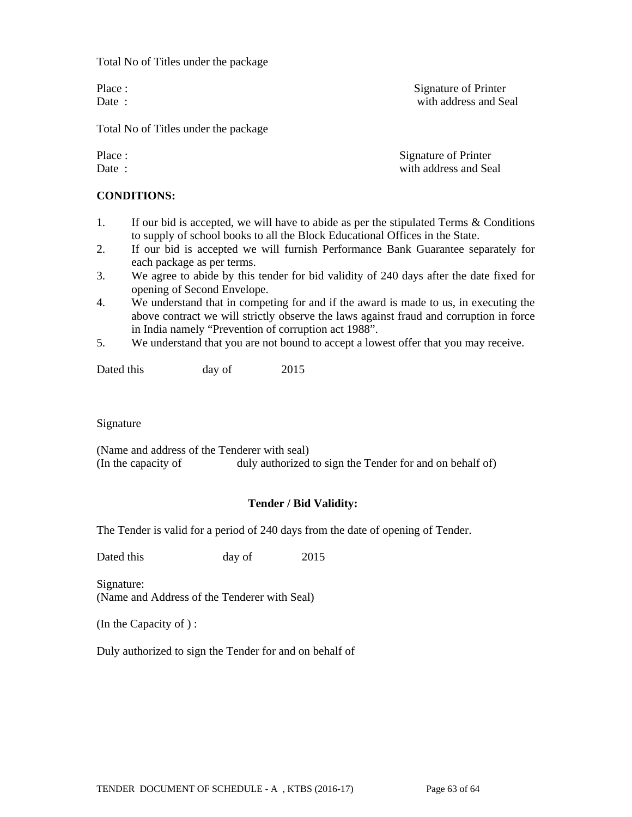Total No of Titles under the package

Place : Signature of Printer Date : with address and Seal

Total No of Titles under the package

Place : Signature of Printer Date : with address and Seal

#### **CONDITIONS:**

- 1. If our bid is accepted, we will have to abide as per the stipulated Terms & Conditions to supply of school books to all the Block Educational Offices in the State.
- 2. If our bid is accepted we will furnish Performance Bank Guarantee separately for each package as per terms.
- 3. We agree to abide by this tender for bid validity of 240 days after the date fixed for opening of Second Envelope.
- 4. We understand that in competing for and if the award is made to us, in executing the above contract we will strictly observe the laws against fraud and corruption in force in India namely "Prevention of corruption act 1988".
- 5. We understand that you are not bound to accept a lowest offer that you may receive.

Dated this day of 2015

Signature

(Name and address of the Tenderer with seal) (In the capacity of duly authorized to sign the Tender for and on behalf of)

#### **Tender / Bid Validity:**

The Tender is valid for a period of 240 days from the date of opening of Tender.

Dated this day of 2015

Signature: (Name and Address of the Tenderer with Seal)

(In the Capacity of ) :

Duly authorized to sign the Tender for and on behalf of